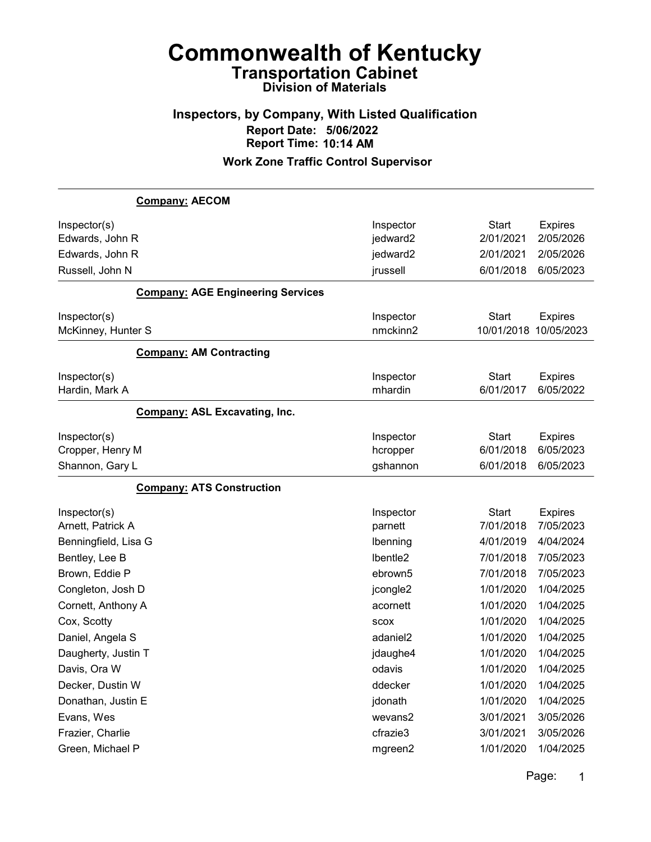#### Inspectors, by Company, With Listed Qualification Report Date: 5/06/2022 Report Time: 10:14 AM Work Zone Traffic Control Supervisor

Company: AECOM Inspector(s) **Inspector** Start Expires Edwards, John R jedward2 2/01/2021 2/05/2026 Edwards, John R jedward2 2/01/2021 2/05/2026 Russell, John N jrussell 6/01/2018 6/05/2023 Company: AGE Engineering Services Inspector(s) **Inspector** Start Expires McKinney, Hunter S nmckinn2 10/01/2018 10/05/2023 Company: AM Contracting Inspector(s) **Inspector** Start Expires Hardin, Mark A mhardin 6/01/2017 6/05/2022 Company: ASL Excavating, Inc. Inspector(s) **Inspector** Start Expires Cropper, Henry M hcropper 6/01/2018 6/05/2023 Shannon, Gary L gshannon 6/01/2018 6/05/2023 Company: ATS Construction Inspector(s) **Inspector** Start Expires Arnett, Patrick A parnett 7/01/2018 7/05/2023 Benningfield, Lisa G lbenning and the lbenning and the 4/01/2019 4/04/2024 Bentley, Lee B lbentle2 1/01/2018 7/05/2023 Brown, Eddie P ebrown5 7/01/2018 7/05/2023 Congleton, Josh D jcongle2 1/01/2020 1/04/2025 Cornett, Anthony A acornett 1/01/2020 1/04/2025 Cox, Scotty scox 1/01/2020 1/04/2025 Daniel, Angela S adaniel2 1/01/2020 1/04/2025 Daugherty, Justin T and Training the Community of the Hostel ideal in the ideal of the 1/01/2020 1/04/2025 Davis, Ora W odavis 1/01/2020 1/04/2025 Decker, Dustin W ddecker 1/01/2020 1/04/2025 Donathan, Justin E jdonath 1/01/2020 1/04/2025 Evans, Wes wevans2 3/01/2021 3/05/2026 Frazier, Charlie cfrazie3 3/01/2021 3/05/2026 Green, Michael P mgreen2 1/01/2020 1/04/2025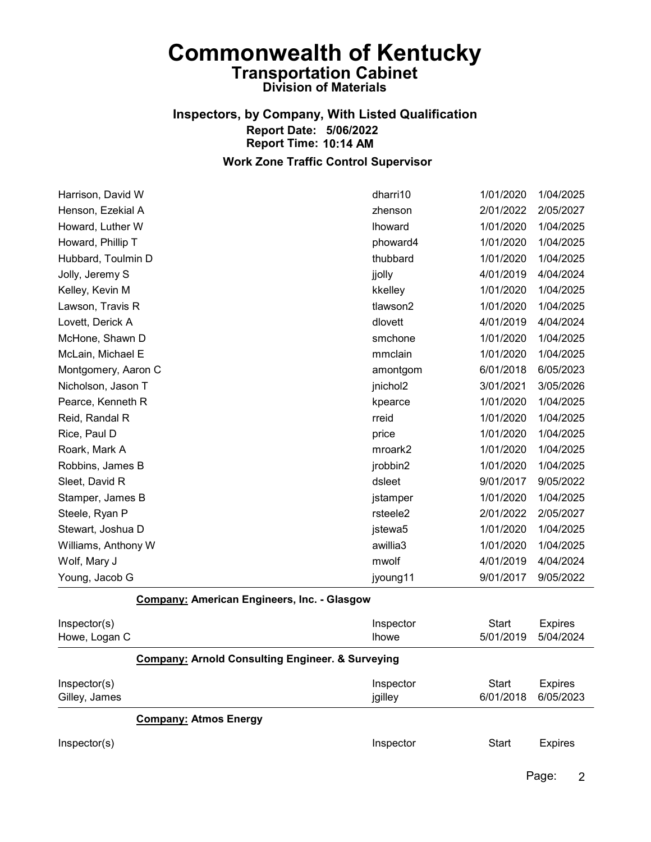#### Inspectors, by Company, With Listed Qualification Report Date: 5/06/2022 Report Time: 10:14 AM Work Zone Traffic Control Supervisor

Harrison, David W dharri10 1/01/2020 1/04/2025 Henson, Ezekial A zhenson 2/01/2022 2/05/2027 Howard, Luther W lhoward 1/01/2020 1/04/2025 Howard, Phillip T phoward4 1/01/2020 1/04/2025 Hubbard, Toulmin D thubbard 1/01/2020 1/04/2025 Jolly, Jeremy S jjolly 4/01/2019 4/04/2024 Kelley, Kevin M kkelley 1/01/2020 1/04/2025 Lawson, Travis R tlawson2 1/01/2020 1/04/2025 Lovett, Derick A dlovett 4/01/2019 4/04/2024 McHone, Shawn D smchone 1/01/2020 1/04/2025 McLain, Michael E mmclain 1/01/2020 1/04/2025 Montgomery, Aaron C amontgom amontgom 6/01/2018 6/05/2023 Nicholson, Jason T jnichol2 3/01/2021 3/05/2026 Pearce, Kenneth R kpearce 2010 1/01/2020 1/04/2025 Reid, Randal R rreid 1/01/2020 1/04/2025 Rice, Paul D price 1/01/2020 1/04/2025 Roark, Mark A mroark2 1/01/2020 1/04/2025 Robbins, James B jrobbin2 1/01/2020 1/04/2025 Sleet, David R<br>
and R dsleet 
9/01/2017 9/05/2022 Stamper, James B jstamper 1/01/2020 1/04/2025 Steele, Ryan P rsteele2 2/01/2022 2/05/2027 Stewart, Joshua D jstewa5 1/01/2020 1/04/2025 Williams, Anthony W awillia3 1/01/2020 1/04/2025 Wolf, Mary J mwolf 4/01/2019 4/04/2024 Young, Jacob G jyoung11 9/01/2017 9/05/2022

#### Company: American Engineers, Inc. - Glasgow

| Inspector(s)<br>Howe, Logan C |                                                             | Inspector<br><b>Ihowe</b> | Start<br>5/01/2019 | <b>Expires</b><br>5/04/2024 |
|-------------------------------|-------------------------------------------------------------|---------------------------|--------------------|-----------------------------|
|                               | <b>Company: Arnold Consulting Engineer. &amp; Surveying</b> |                           |                    |                             |
| Inspector(s)<br>Gilley, James |                                                             | Inspector<br>jgilley      | Start<br>6/01/2018 | <b>Expires</b><br>6/05/2023 |
|                               | <b>Company: Atmos Energy</b>                                |                           |                    |                             |
| Inspector(s)                  |                                                             | Inspector                 | Start              | <b>Expires</b>              |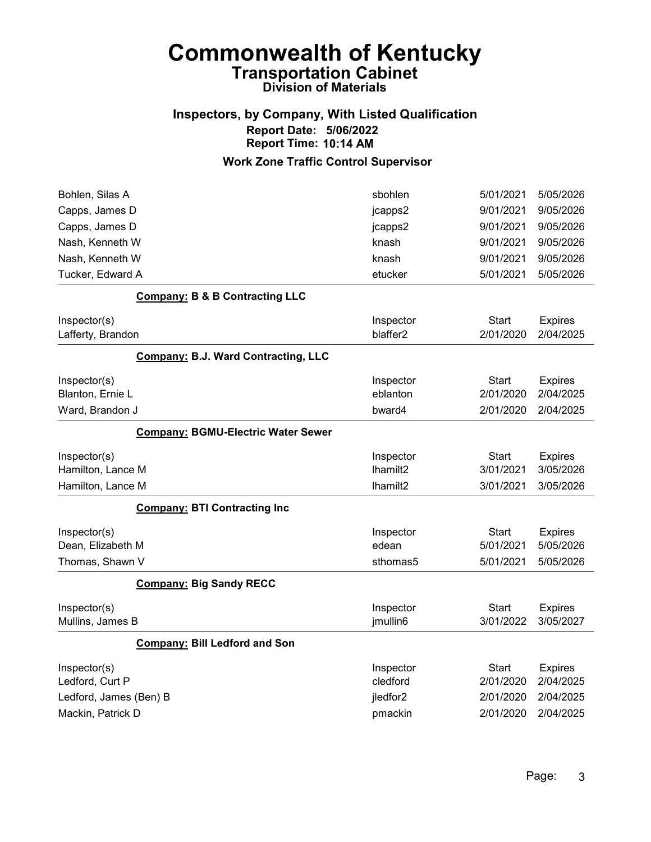#### Inspectors, by Company, With Listed Qualification Report Date: 5/06/2022 Report Time: 10:14 AM

| Bohlen, Silas A                   |                                            | sbohlen               | 5/01/2021                 | 5/05/2026                   |
|-----------------------------------|--------------------------------------------|-----------------------|---------------------------|-----------------------------|
| Capps, James D                    |                                            | jcapps2               | 9/01/2021                 | 9/05/2026                   |
| Capps, James D                    |                                            | jcapps2               | 9/01/2021                 | 9/05/2026                   |
| Nash, Kenneth W                   |                                            | knash                 | 9/01/2021                 | 9/05/2026                   |
| Nash, Kenneth W                   |                                            | knash                 | 9/01/2021                 | 9/05/2026                   |
| Tucker, Edward A                  |                                            | etucker               | 5/01/2021                 | 5/05/2026                   |
|                                   | <b>Company: B &amp; B Contracting LLC</b>  |                       |                           |                             |
| Inspector(s)<br>Lafferty, Brandon |                                            | Inspector<br>blaffer2 | <b>Start</b><br>2/01/2020 | <b>Expires</b><br>2/04/2025 |
|                                   | <b>Company: B.J. Ward Contracting, LLC</b> |                       |                           |                             |
| Inspector(s)<br>Blanton, Ernie L  |                                            | Inspector<br>eblanton | <b>Start</b><br>2/01/2020 | <b>Expires</b><br>2/04/2025 |
| Ward, Brandon J                   |                                            | bward4                | 2/01/2020                 | 2/04/2025                   |
|                                   |                                            |                       |                           |                             |
|                                   | <b>Company: BGMU-Electric Water Sewer</b>  |                       |                           |                             |
| Inspector(s)                      |                                            | Inspector             | <b>Start</b>              | <b>Expires</b>              |
| Hamilton, Lance M                 |                                            | Ihamilt <sub>2</sub>  | 3/01/2021                 | 3/05/2026                   |
| Hamilton, Lance M                 |                                            | Ihamilt2              | 3/01/2021                 | 3/05/2026                   |
|                                   | <b>Company: BTI Contracting Inc</b>        |                       |                           |                             |
| Inspector(s)                      |                                            | Inspector             | <b>Start</b>              | <b>Expires</b>              |
| Dean, Elizabeth M                 |                                            | edean                 | 5/01/2021                 | 5/05/2026                   |
| Thomas, Shawn V                   |                                            | sthomas5              | 5/01/2021                 | 5/05/2026                   |
|                                   | <b>Company: Big Sandy RECC</b>             |                       |                           |                             |
| Inspector(s)                      |                                            | Inspector             | <b>Start</b>              | <b>Expires</b>              |
| Mullins, James B                  |                                            | jmullin6              | 3/01/2022                 | 3/05/2027                   |
|                                   | <b>Company: Bill Ledford and Son</b>       |                       |                           |                             |
| Inspector(s)                      |                                            | Inspector             | <b>Start</b>              | <b>Expires</b>              |
| Ledford, Curt P                   |                                            | cledford              | 2/01/2020                 | 2/04/2025                   |
| Ledford, James (Ben) B            |                                            | jledfor2              | 2/01/2020                 | 2/04/2025                   |
| Mackin, Patrick D                 |                                            | pmackin               | 2/01/2020                 | 2/04/2025                   |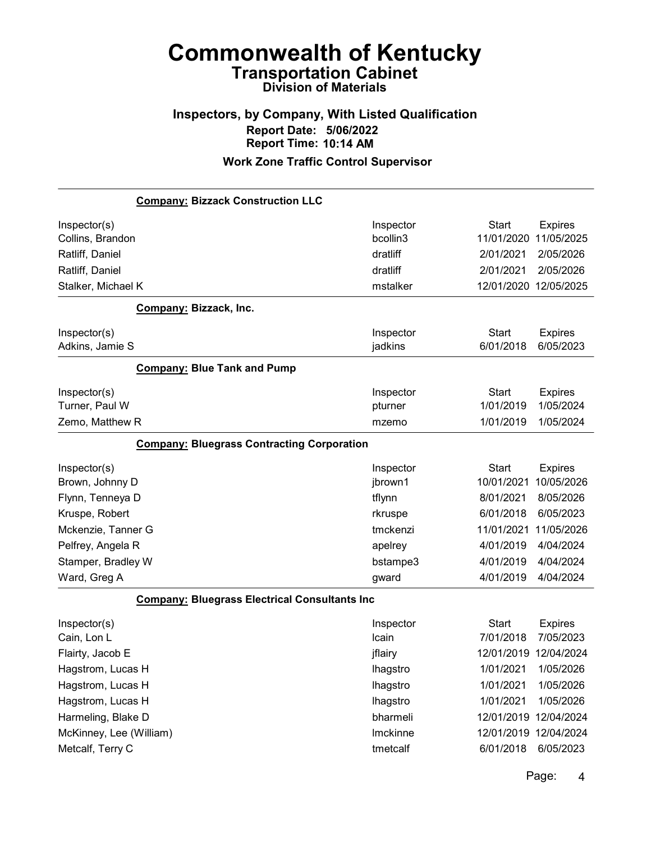### Inspectors, by Company, With Listed Qualification Report Date: 5/06/2022 Report Time: 10:14 AM

|                         | <b>Company: Bizzack Construction LLC</b>             |           |                       |                |
|-------------------------|------------------------------------------------------|-----------|-----------------------|----------------|
| Inspector(s)            |                                                      | Inspector | <b>Start</b>          | <b>Expires</b> |
| Collins, Brandon        |                                                      | bcollin3  | 11/01/2020            | 11/05/2025     |
| Ratliff, Daniel         |                                                      | dratliff  | 2/01/2021             | 2/05/2026      |
| Ratliff, Daniel         |                                                      | dratliff  | 2/01/2021             | 2/05/2026      |
| Stalker, Michael K      |                                                      | mstalker  | 12/01/2020 12/05/2025 |                |
|                         | Company: Bizzack, Inc.                               |           |                       |                |
| Inspector(s)            |                                                      | Inspector | <b>Start</b>          | <b>Expires</b> |
| Adkins, Jamie S         |                                                      | jadkins   | 6/01/2018             | 6/05/2023      |
|                         | <b>Company: Blue Tank and Pump</b>                   |           |                       |                |
| Inspector(s)            |                                                      | Inspector | Start                 | <b>Expires</b> |
| Turner, Paul W          |                                                      | pturner   | 1/01/2019             | 1/05/2024      |
| Zemo, Matthew R         |                                                      | mzemo     | 1/01/2019             | 1/05/2024      |
|                         | <b>Company: Bluegrass Contracting Corporation</b>    |           |                       |                |
| Inspector(s)            |                                                      | Inspector | <b>Start</b>          | <b>Expires</b> |
| Brown, Johnny D         |                                                      | jbrown1   | 10/01/2021            | 10/05/2026     |
| Flynn, Tenneya D        |                                                      | tflynn    | 8/01/2021             | 8/05/2026      |
| Kruspe, Robert          |                                                      | rkruspe   | 6/01/2018             | 6/05/2023      |
| Mckenzie, Tanner G      |                                                      | tmckenzi  | 11/01/2021            | 11/05/2026     |
| Pelfrey, Angela R       |                                                      | apelrey   | 4/01/2019             | 4/04/2024      |
| Stamper, Bradley W      |                                                      | bstampe3  | 4/01/2019             | 4/04/2024      |
| Ward, Greg A            |                                                      | gward     | 4/01/2019             | 4/04/2024      |
|                         | <b>Company: Bluegrass Electrical Consultants Inc</b> |           |                       |                |
| Inspector(s)            |                                                      | Inspector | <b>Start</b>          | <b>Expires</b> |
| Cain, Lon L             |                                                      | Icain     | 7/01/2018             | 7/05/2023      |
| Flairty, Jacob E        |                                                      | jflairy   | 12/01/2019 12/04/2024 |                |
| Hagstrom, Lucas H       |                                                      | lhagstro  | 1/01/2021 1/05/2026   |                |
| Hagstrom, Lucas H       |                                                      | lhagstro  | 1/01/2021             | 1/05/2026      |
| Hagstrom, Lucas H       |                                                      | lhagstro  | 1/01/2021             | 1/05/2026      |
| Harmeling, Blake D      |                                                      | bharmeli  | 12/01/2019            | 12/04/2024     |
| McKinney, Lee (William) |                                                      | Imckinne  | 12/01/2019 12/04/2024 |                |
| Metcalf, Terry C        |                                                      | tmetcalf  | 6/01/2018             | 6/05/2023      |
|                         |                                                      |           |                       |                |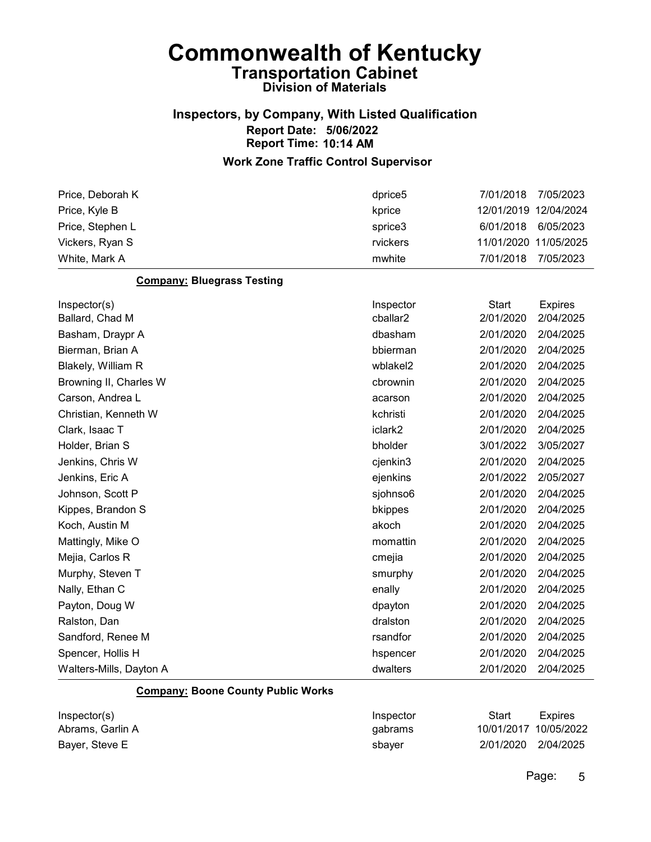#### Inspectors, by Company, With Listed Qualification Report Date: 5/06/2022 Report Time: 10:14 AM

#### Work Zone Traffic Control Supervisor

| White, Mark A    | mwhite              | 7/01/2018             | 7/05/2023 |
|------------------|---------------------|-----------------------|-----------|
| Vickers, Ryan S  | rvickers            | 11/01/2020 11/05/2025 |           |
| Price, Stephen L | sprice3             | 6/01/2018             | 6/05/2023 |
| Price, Kyle B    | kprice              | 12/01/2019 12/04/2024 |           |
| Price, Deborah K | dprice <sub>5</sub> | 7/01/2018             | 7/05/2023 |

#### Company: Bluegrass Testing

| Inspector(s)            | Inspector | Start     | <b>Expires</b> |
|-------------------------|-----------|-----------|----------------|
| Ballard, Chad M         | cballar2  | 2/01/2020 | 2/04/2025      |
| Basham, Draypr A        | dbasham   | 2/01/2020 | 2/04/2025      |
| Bierman, Brian A        | bbierman  | 2/01/2020 | 2/04/2025      |
| Blakely, William R      | wblakel2  | 2/01/2020 | 2/04/2025      |
| Browning II, Charles W  | cbrownin  | 2/01/2020 | 2/04/2025      |
| Carson, Andrea L        | acarson   | 2/01/2020 | 2/04/2025      |
| Christian, Kenneth W    | kchristi  | 2/01/2020 | 2/04/2025      |
| Clark, Isaac T          | iclark2   | 2/01/2020 | 2/04/2025      |
| Holder, Brian S         | bholder   | 3/01/2022 | 3/05/2027      |
| Jenkins, Chris W        | cjenkin3  | 2/01/2020 | 2/04/2025      |
| Jenkins, Eric A         | ejenkins  | 2/01/2022 | 2/05/2027      |
| Johnson, Scott P        | sjohnso6  | 2/01/2020 | 2/04/2025      |
| Kippes, Brandon S       | bkippes   | 2/01/2020 | 2/04/2025      |
| Koch, Austin M          | akoch     | 2/01/2020 | 2/04/2025      |
| Mattingly, Mike O       | momattin  | 2/01/2020 | 2/04/2025      |
| Mejia, Carlos R         | cmejia    | 2/01/2020 | 2/04/2025      |
| Murphy, Steven T        | smurphy   | 2/01/2020 | 2/04/2025      |
| Nally, Ethan C          | enally    | 2/01/2020 | 2/04/2025      |
| Payton, Doug W          | dpayton   | 2/01/2020 | 2/04/2025      |
| Ralston, Dan            | dralston  | 2/01/2020 | 2/04/2025      |
| Sandford, Renee M       | rsandfor  | 2/01/2020 | 2/04/2025      |
| Spencer, Hollis H       | hspencer  | 2/01/2020 | 2/04/2025      |
| Walters-Mills, Dayton A | dwalters  | 2/01/2020 | 2/04/2025      |

#### Company: Boone County Public Works

| Inspector(s)     | Inspector | Start                 | <b>Expires</b> |
|------------------|-----------|-----------------------|----------------|
| Abrams, Garlin A | qabrams   | 10/01/2017 10/05/2022 |                |
| Bayer, Steve E   | sbaver    | 2/01/2020 2/04/2025   |                |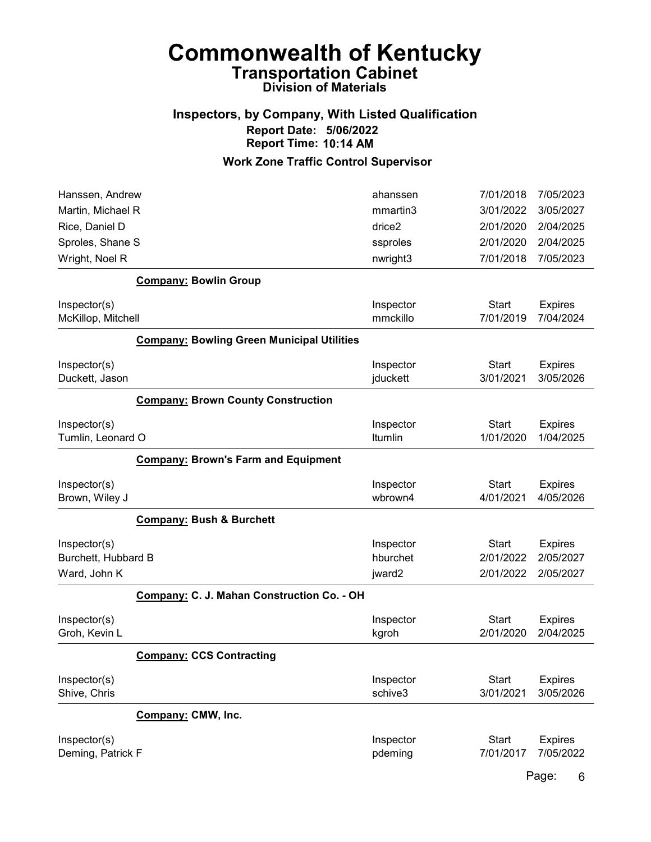#### Inspectors, by Company, With Listed Qualification Report Date: 5/06/2022 Report Time: 10:14 AM

#### Work Zone Traffic Control Supervisor

| Hanssen, Andrew     |                                                   | ahanssen  | 7/01/2018    | 7/05/2023      |
|---------------------|---------------------------------------------------|-----------|--------------|----------------|
| Martin, Michael R   |                                                   | mmartin3  | 3/01/2022    | 3/05/2027      |
| Rice, Daniel D      |                                                   | drice2    | 2/01/2020    | 2/04/2025      |
| Sproles, Shane S    |                                                   | ssproles  | 2/01/2020    | 2/04/2025      |
| Wright, Noel R      |                                                   | nwright3  | 7/01/2018    | 7/05/2023      |
|                     | <b>Company: Bowlin Group</b>                      |           |              |                |
| Inspector(s)        |                                                   | Inspector | <b>Start</b> | <b>Expires</b> |
| McKillop, Mitchell  |                                                   | mmckillo  | 7/01/2019    | 7/04/2024      |
|                     | <b>Company: Bowling Green Municipal Utilities</b> |           |              |                |
| Inspector(s)        |                                                   | Inspector | <b>Start</b> | <b>Expires</b> |
| Duckett, Jason      |                                                   | jduckett  | 3/01/2021    | 3/05/2026      |
|                     | <b>Company: Brown County Construction</b>         |           |              |                |
| Inspector(s)        |                                                   | Inspector | <b>Start</b> | <b>Expires</b> |
| Tumlin, Leonard O   |                                                   | Itumlin   | 1/01/2020    | 1/04/2025      |
|                     | <b>Company: Brown's Farm and Equipment</b>        |           |              |                |
| Inspector(s)        |                                                   | Inspector | <b>Start</b> | <b>Expires</b> |
| Brown, Wiley J      |                                                   | wbrown4   | 4/01/2021    | 4/05/2026      |
|                     | <b>Company: Bush &amp; Burchett</b>               |           |              |                |
| Inspector(s)        |                                                   | Inspector | <b>Start</b> | <b>Expires</b> |
| Burchett, Hubbard B |                                                   | hburchet  | 2/01/2022    | 2/05/2027      |
| Ward, John K        |                                                   | jward2    | 2/01/2022    | 2/05/2027      |
|                     | Company: C. J. Mahan Construction Co. - OH        |           |              |                |
| Inspector(s)        |                                                   | Inspector | <b>Start</b> | <b>Expires</b> |
| Groh, Kevin L       |                                                   | kgroh     | 2/01/2020    | 2/04/2025      |
|                     | <b>Company: CCS Contracting</b>                   |           |              |                |
| Inspector(s)        |                                                   | Inspector | <b>Start</b> | <b>Expires</b> |
| Shive, Chris        |                                                   | schive3   | 3/01/2021    | 3/05/2026      |
|                     | Company: CMW, Inc.                                |           |              |                |
| Inspector(s)        |                                                   | Inspector | <b>Start</b> | <b>Expires</b> |
| Deming, Patrick F   |                                                   | pdeming   | 7/01/2017    | 7/05/2022      |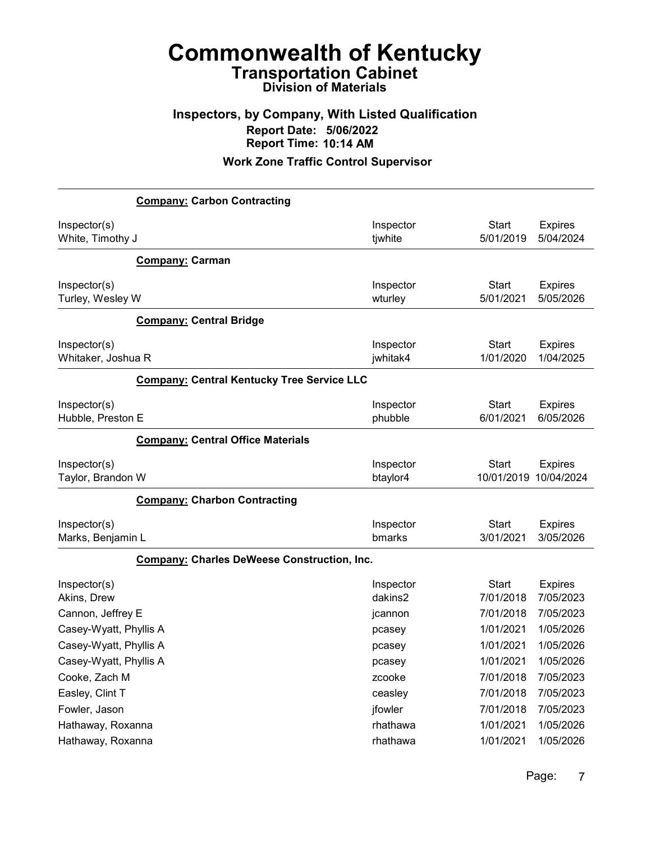#### Inspectors, by Company, With Listed Qualification Report Date: 5/06/2022 Report Time: 10:14 AM

|                                    | <b>Company: Carbon Contracting</b>                 |                       |                            |                              |
|------------------------------------|----------------------------------------------------|-----------------------|----------------------------|------------------------------|
| Inspector(s)<br>White, Timothy J   |                                                    | Inspector<br>tjwhite  | <b>Start</b><br>5/01/2019  | <b>Expires</b><br>5/04/2024  |
|                                    | Company: Carman                                    |                       |                            |                              |
| Inspector(s)<br>Turley, Wesley W   |                                                    | Inspector<br>wturley  | <b>Start</b><br>5/01/2021  | <b>Expires</b><br>5/05/2026  |
|                                    | <b>Company: Central Bridge</b>                     |                       |                            |                              |
| Inspector(s)<br>Whitaker, Joshua R |                                                    | Inspector<br>jwhitak4 | <b>Start</b><br>1/01/2020  | <b>Expires</b><br>1/04/2025  |
|                                    | Company: Central Kentucky Tree Service LLC         |                       |                            |                              |
| Inspector(s)<br>Hubble, Preston E  |                                                    | Inspector<br>phubble  | <b>Start</b><br>6/01/2021  | <b>Expires</b><br>6/05/2026  |
|                                    | <b>Company: Central Office Materials</b>           |                       |                            |                              |
| Inspector(s)<br>Taylor, Brandon W  |                                                    | Inspector<br>btaylor4 | <b>Start</b><br>10/01/2019 | <b>Expires</b><br>10/04/2024 |
|                                    | <b>Company: Charbon Contracting</b>                |                       |                            |                              |
| Inspector(s)<br>Marks, Benjamin L  |                                                    | Inspector<br>bmarks   | Start<br>3/01/2021         | <b>Expires</b><br>3/05/2026  |
|                                    | <b>Company: Charles DeWeese Construction, Inc.</b> |                       |                            |                              |
| Inspector(s)<br>Akins, Drew        |                                                    | Inspector<br>dakins2  | <b>Start</b><br>7/01/2018  | <b>Expires</b><br>7/05/2023  |
| Cannon, Jeffrey E                  |                                                    | jcannon               | 7/01/2018                  | 7/05/2023                    |
| Casey-Wyatt, Phyllis A             |                                                    | pcasey                | 1/01/2021                  | 1/05/2026                    |
| Casey-Wyatt, Phyllis A             |                                                    | pcasey                | 1/01/2021                  | 1/05/2026                    |
| Casey-Wyatt, Phyllis A             |                                                    | pcasey                | 1/01/2021                  | 1/05/2026                    |
| Cooke, Zach M<br>Easley, Clint T   |                                                    | zcooke                | 7/01/2018<br>7/01/2018     | 7/05/2023<br>7/05/2023       |
| Fowler, Jason                      |                                                    | ceasley               | 7/01/2018                  |                              |
| Hathaway, Roxanna                  |                                                    | jfowler<br>rhathawa   | 1/01/2021                  | 7/05/2023<br>1/05/2026       |
| Hathaway, Roxanna                  |                                                    | rhathawa              | 1/01/2021                  | 1/05/2026                    |
|                                    |                                                    |                       |                            |                              |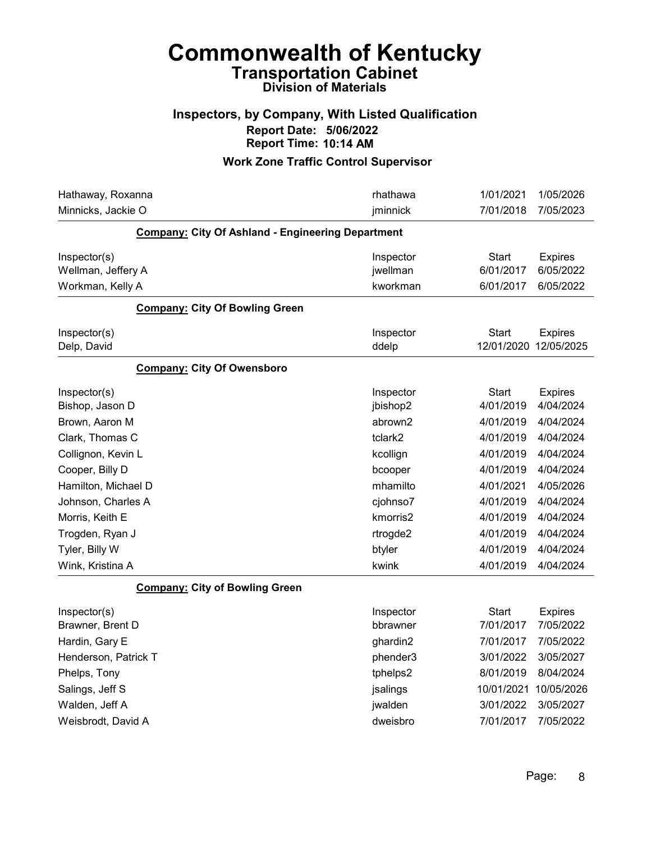#### Inspectors, by Company, With Listed Qualification Report Date: 5/06/2022 Report Time: 10:14 AM

| Hathaway, Roxanna                                        | rhathawa  | 1/01/2021  | 1/05/2026             |
|----------------------------------------------------------|-----------|------------|-----------------------|
| Minnicks, Jackie O                                       | jminnick  | 7/01/2018  | 7/05/2023             |
| <b>Company: City Of Ashland - Engineering Department</b> |           |            |                       |
| Inspector(s)                                             | Inspector | Start      | <b>Expires</b>        |
| Wellman, Jeffery A                                       | jwellman  | 6/01/2017  | 6/05/2022             |
| Workman, Kelly A                                         | kworkman  | 6/01/2017  | 6/05/2022             |
| <b>Company: City Of Bowling Green</b>                    |           |            |                       |
| Inspector(s)                                             | Inspector | Start      | <b>Expires</b>        |
| Delp, David                                              | ddelp     |            | 12/01/2020 12/05/2025 |
| <b>Company: City Of Owensboro</b>                        |           |            |                       |
| Inspector(s)                                             | Inspector | Start      | <b>Expires</b>        |
| Bishop, Jason D                                          | jbishop2  | 4/01/2019  | 4/04/2024             |
| Brown, Aaron M                                           | abrown2   | 4/01/2019  | 4/04/2024             |
| Clark, Thomas C                                          | tclark2   | 4/01/2019  | 4/04/2024             |
| Collignon, Kevin L                                       | kcollign  | 4/01/2019  | 4/04/2024             |
| Cooper, Billy D                                          | bcooper   | 4/01/2019  | 4/04/2024             |
| Hamilton, Michael D                                      | mhamilto  | 4/01/2021  | 4/05/2026             |
| Johnson, Charles A                                       | cjohnso7  | 4/01/2019  | 4/04/2024             |
| Morris, Keith E                                          | kmorris2  | 4/01/2019  | 4/04/2024             |
| Trogden, Ryan J                                          | rtrogde2  | 4/01/2019  | 4/04/2024             |
| Tyler, Billy W                                           | btyler    | 4/01/2019  | 4/04/2024             |
| Wink, Kristina A                                         | kwink     | 4/01/2019  | 4/04/2024             |
| <b>Company: City of Bowling Green</b>                    |           |            |                       |
| Inspector(s)                                             | Inspector | Start      | <b>Expires</b>        |
| Brawner, Brent D                                         | bbrawner  | 7/01/2017  | 7/05/2022             |
| Hardin, Gary E                                           | ghardin2  | 7/01/2017  | 7/05/2022             |
| Henderson, Patrick T                                     | phender3  | 3/01/2022  | 3/05/2027             |
| Phelps, Tony                                             | tphelps2  | 8/01/2019  | 8/04/2024             |
| Salings, Jeff S                                          | jsalings  | 10/01/2021 | 10/05/2026            |
| Walden, Jeff A                                           | jwalden   | 3/01/2022  | 3/05/2027             |
| Weisbrodt, David A                                       | dweisbro  | 7/01/2017  | 7/05/2022             |
|                                                          |           |            |                       |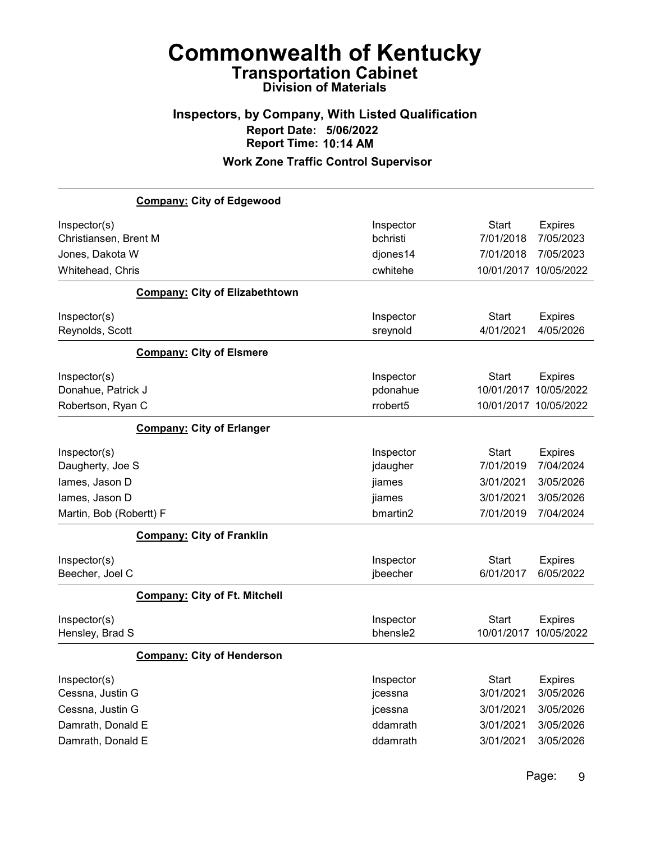### Inspectors, by Company, With Listed Qualification Report Date: 5/06/2022 Report Time: 10:14 AM

|                         | <b>Company: City of Edgewood</b>      |                      |              |                       |
|-------------------------|---------------------------------------|----------------------|--------------|-----------------------|
| Inspector(s)            |                                       | Inspector            | <b>Start</b> | <b>Expires</b>        |
| Christiansen, Brent M   |                                       | bchristi             | 7/01/2018    | 7/05/2023             |
| Jones, Dakota W         |                                       | djones14             | 7/01/2018    | 7/05/2023             |
| Whitehead, Chris        |                                       | cwhitehe             | 10/01/2017   | 10/05/2022            |
|                         | <b>Company: City of Elizabethtown</b> |                      |              |                       |
| Inspector(s)            |                                       | Inspector            | <b>Start</b> | <b>Expires</b>        |
| Reynolds, Scott         |                                       | sreynold             | 4/01/2021    | 4/05/2026             |
|                         | <b>Company: City of Elsmere</b>       |                      |              |                       |
| Inspector(s)            |                                       | Inspector            | <b>Start</b> | <b>Expires</b>        |
| Donahue, Patrick J      |                                       | pdonahue             | 10/01/2017   | 10/05/2022            |
| Robertson, Ryan C       |                                       | rrobert <sub>5</sub> |              | 10/01/2017 10/05/2022 |
|                         | <b>Company: City of Erlanger</b>      |                      |              |                       |
| Inspector(s)            |                                       | Inspector            | <b>Start</b> | <b>Expires</b>        |
| Daugherty, Joe S        |                                       | jdaugher             | 7/01/2019    | 7/04/2024             |
| lames, Jason D          |                                       | jiames               | 3/01/2021    | 3/05/2026             |
| lames, Jason D          |                                       | jiames               | 3/01/2021    | 3/05/2026             |
| Martin, Bob (Robertt) F |                                       | bmartin2             | 7/01/2019    | 7/04/2024             |
|                         | <b>Company: City of Franklin</b>      |                      |              |                       |
| Inspector(s)            |                                       | Inspector            | <b>Start</b> | <b>Expires</b>        |
| Beecher, Joel C         |                                       | jbeecher             | 6/01/2017    | 6/05/2022             |
|                         | <b>Company: City of Ft. Mitchell</b>  |                      |              |                       |
| Inspector(s)            |                                       | Inspector            | <b>Start</b> | <b>Expires</b>        |
| Hensley, Brad S         |                                       | bhensle2             | 10/01/2017   | 10/05/2022            |
|                         | <b>Company: City of Henderson</b>     |                      |              |                       |
| Inspector(s)            |                                       | Inspector            | <b>Start</b> | <b>Expires</b>        |
| Cessna, Justin G        |                                       | jcessna              | 3/01/2021    | 3/05/2026             |
| Cessna, Justin G        |                                       | jcessna              | 3/01/2021    | 3/05/2026             |
| Damrath, Donald E       |                                       | ddamrath             | 3/01/2021    | 3/05/2026             |
| Damrath, Donald E       |                                       | ddamrath             | 3/01/2021    | 3/05/2026             |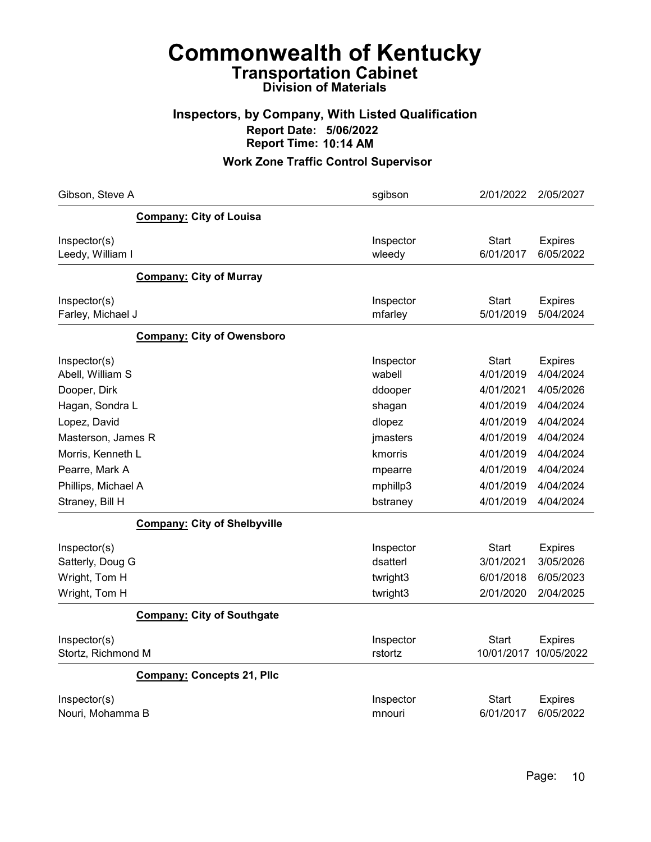#### Inspectors, by Company, With Listed Qualification Report Date: 5/06/2022 Report Time: 10:14 AM

| Gibson, Steve A                     | sgibson               | 2/01/2022                  | 2/05/2027                    |
|-------------------------------------|-----------------------|----------------------------|------------------------------|
| <b>Company: City of Louisa</b>      |                       |                            |                              |
| Inspector(s)<br>Leedy, William I    | Inspector<br>wleedy   | <b>Start</b><br>6/01/2017  | <b>Expires</b><br>6/05/2022  |
| <b>Company: City of Murray</b>      |                       |                            |                              |
| Inspector(s)<br>Farley, Michael J   | Inspector<br>mfarley  | <b>Start</b><br>5/01/2019  | <b>Expires</b><br>5/04/2024  |
| <b>Company: City of Owensboro</b>   |                       |                            |                              |
| Inspector(s)<br>Abell, William S    | Inspector<br>wabell   | <b>Start</b><br>4/01/2019  | <b>Expires</b><br>4/04/2024  |
| Dooper, Dirk                        | ddooper               | 4/01/2021                  | 4/05/2026                    |
| Hagan, Sondra L                     | shagan                | 4/01/2019                  | 4/04/2024                    |
| Lopez, David                        | dlopez                | 4/01/2019                  | 4/04/2024                    |
| Masterson, James R                  | jmasters              | 4/01/2019                  | 4/04/2024                    |
| Morris, Kenneth L                   | kmorris               | 4/01/2019                  | 4/04/2024                    |
| Pearre, Mark A                      | mpearre               | 4/01/2019                  | 4/04/2024                    |
| Phillips, Michael A                 | mphillp3              | 4/01/2019                  | 4/04/2024                    |
| Straney, Bill H                     | bstraney              | 4/01/2019                  | 4/04/2024                    |
| <b>Company: City of Shelbyville</b> |                       |                            |                              |
| Inspector(s)<br>Satterly, Doug G    | Inspector<br>dsatterl | Start<br>3/01/2021         | <b>Expires</b><br>3/05/2026  |
| Wright, Tom H                       | twright3              | 6/01/2018                  | 6/05/2023                    |
| Wright, Tom H                       | twright3              | 2/01/2020                  | 2/04/2025                    |
| <b>Company: City of Southgate</b>   |                       |                            |                              |
| Inspector(s)<br>Stortz, Richmond M  | Inspector<br>rstortz  | <b>Start</b><br>10/01/2017 | <b>Expires</b><br>10/05/2022 |
| <b>Company: Concepts 21, Plic</b>   |                       |                            |                              |
| Inspector(s)<br>Nouri, Mohamma B    | Inspector<br>mnouri   | Start<br>6/01/2017         | <b>Expires</b><br>6/05/2022  |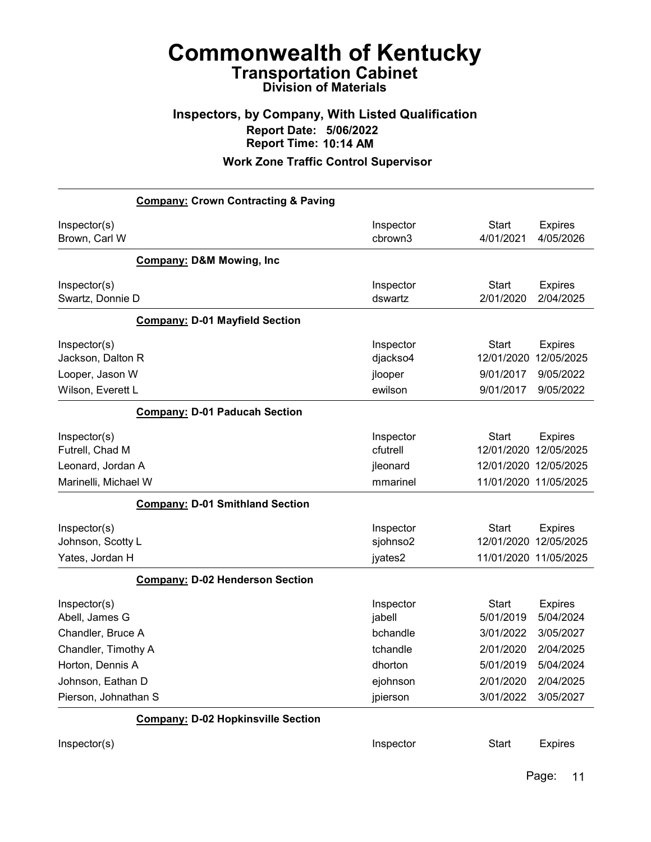#### Inspectors, by Company, With Listed Qualification Report Date: 5/06/2022 Report Time: 10:14 AM

|                                                                                                                     | <b>Company: Crown Contracting &amp; Paving</b> |                                                                    |                                                                        |                                                                                 |
|---------------------------------------------------------------------------------------------------------------------|------------------------------------------------|--------------------------------------------------------------------|------------------------------------------------------------------------|---------------------------------------------------------------------------------|
| Inspector(s)<br>Brown, Carl W                                                                                       |                                                | Inspector<br>cbrown3                                               | <b>Start</b><br>4/01/2021                                              | <b>Expires</b><br>4/05/2026                                                     |
|                                                                                                                     | <b>Company: D&amp;M Mowing, Inc.</b>           |                                                                    |                                                                        |                                                                                 |
| Inspector(s)<br>Swartz, Donnie D                                                                                    |                                                | Inspector<br>dswartz                                               | <b>Start</b><br>2/01/2020                                              | <b>Expires</b><br>2/04/2025                                                     |
|                                                                                                                     | <b>Company: D-01 Mayfield Section</b>          |                                                                    |                                                                        |                                                                                 |
| Inspector(s)<br>Jackson, Dalton R<br>Looper, Jason W                                                                |                                                | Inspector<br>djackso4<br>jlooper                                   | <b>Start</b><br>12/01/2020<br>9/01/2017                                | <b>Expires</b><br>12/05/2025<br>9/05/2022                                       |
| Wilson, Everett L                                                                                                   |                                                | ewilson                                                            | 9/01/2017                                                              | 9/05/2022                                                                       |
|                                                                                                                     | <b>Company: D-01 Paducah Section</b>           |                                                                    |                                                                        |                                                                                 |
| Inspector(s)<br>Futrell, Chad M<br>Leonard, Jordan A<br>Marinelli, Michael W                                        |                                                | Inspector<br>cfutrell<br>jleonard<br>mmarinel                      | <b>Start</b><br>12/01/2020                                             | <b>Expires</b><br>12/05/2025<br>12/01/2020 12/05/2025<br>11/01/2020 11/05/2025  |
|                                                                                                                     | <b>Company: D-01 Smithland Section</b>         |                                                                    |                                                                        |                                                                                 |
| Inspector(s)<br>Johnson, Scotty L<br>Yates, Jordan H                                                                |                                                | Inspector<br>sjohnso2<br>jyates2                                   | <b>Start</b><br>12/01/2020                                             | <b>Expires</b><br>12/05/2025<br>11/01/2020 11/05/2025                           |
|                                                                                                                     | <b>Company: D-02 Henderson Section</b>         |                                                                    |                                                                        |                                                                                 |
| Inspector(s)<br>Abell, James G<br>Chandler, Bruce A<br>Chandler, Timothy A<br>Horton, Dennis A<br>Johnson, Eathan D |                                                | Inspector<br>jabell<br>bchandle<br>tchandle<br>dhorton<br>ejohnson | Start<br>5/01/2019<br>3/01/2022<br>2/01/2020<br>5/01/2019<br>2/01/2020 | <b>Expires</b><br>5/04/2024<br>3/05/2027<br>2/04/2025<br>5/04/2024<br>2/04/2025 |
| Pierson, Johnathan S                                                                                                |                                                | jpierson                                                           | 3/01/2022                                                              | 3/05/2027                                                                       |
|                                                                                                                     | <b>Company: D-02 Hopkinsville Section</b>      |                                                                    |                                                                        |                                                                                 |
| Inspector(s)                                                                                                        |                                                | Inspector                                                          | Start                                                                  | <b>Expires</b>                                                                  |
|                                                                                                                     |                                                |                                                                    |                                                                        | Page:<br>11                                                                     |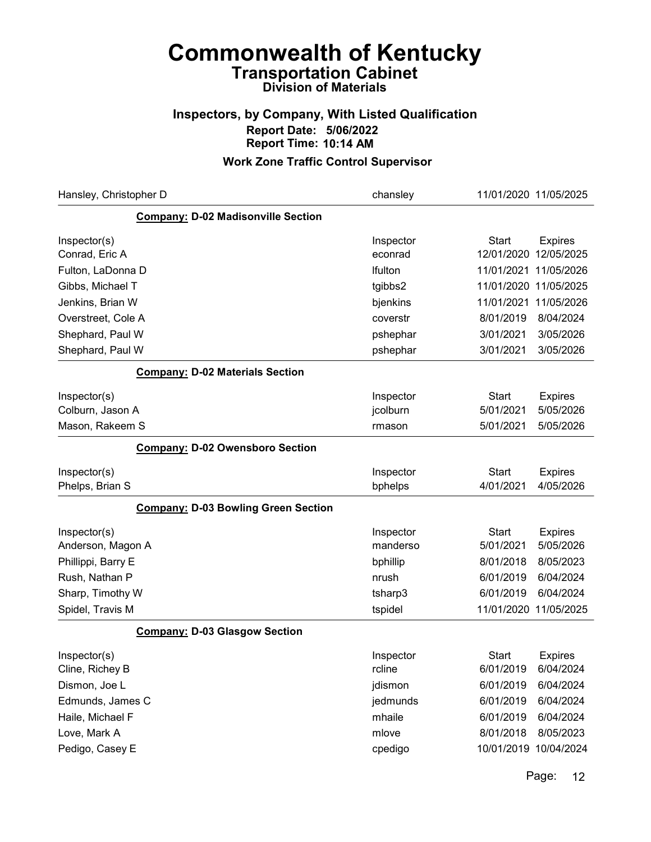#### Inspectors, by Company, With Listed Qualification Report Date: 5/06/2022 Report Time: 10:14 AM

| Hansley, Christopher D                                                                                                      | chansley                                                                 | 11/01/2020 11/05/2025                                                                                  |                                                                                 |
|-----------------------------------------------------------------------------------------------------------------------------|--------------------------------------------------------------------------|--------------------------------------------------------------------------------------------------------|---------------------------------------------------------------------------------|
| <b>Company: D-02 Madisonville Section</b>                                                                                   |                                                                          |                                                                                                        |                                                                                 |
| Inspector(s)<br>Conrad, Eric A                                                                                              | Inspector<br>econrad                                                     | <b>Start</b><br>12/01/2020                                                                             | <b>Expires</b><br>12/05/2025                                                    |
| Fulton, LaDonna D                                                                                                           | <b>Ifulton</b>                                                           | 11/01/2021 11/05/2026                                                                                  |                                                                                 |
| Gibbs, Michael T                                                                                                            | tgibbs2                                                                  | 11/01/2020 11/05/2025                                                                                  |                                                                                 |
| Jenkins, Brian W                                                                                                            | bjenkins                                                                 | 11/01/2021                                                                                             | 11/05/2026                                                                      |
| Overstreet, Cole A                                                                                                          | coverstr                                                                 | 8/01/2019                                                                                              | 8/04/2024                                                                       |
| Shephard, Paul W                                                                                                            | pshephar                                                                 | 3/01/2021                                                                                              | 3/05/2026                                                                       |
| Shephard, Paul W                                                                                                            | pshephar                                                                 | 3/01/2021                                                                                              | 3/05/2026                                                                       |
| <b>Company: D-02 Materials Section</b>                                                                                      |                                                                          |                                                                                                        |                                                                                 |
| Inspector(s)                                                                                                                | Inspector                                                                | <b>Start</b>                                                                                           | <b>Expires</b>                                                                  |
| Colburn, Jason A                                                                                                            | jcolburn                                                                 | 5/01/2021                                                                                              | 5/05/2026                                                                       |
| Mason, Rakeem S                                                                                                             | rmason                                                                   | 5/01/2021                                                                                              | 5/05/2026                                                                       |
| <b>Company: D-02 Owensboro Section</b>                                                                                      |                                                                          |                                                                                                        |                                                                                 |
| Inspector(s)<br>Phelps, Brian S                                                                                             | Inspector<br>bphelps                                                     | <b>Start</b><br>4/01/2021                                                                              | <b>Expires</b><br>4/05/2026                                                     |
| <b>Company: D-03 Bowling Green Section</b>                                                                                  |                                                                          |                                                                                                        |                                                                                 |
| Inspector(s)<br>Anderson, Magon A<br>Phillippi, Barry E                                                                     | Inspector<br>manderso<br>bphillip                                        | <b>Start</b><br>5/01/2021<br>8/01/2018                                                                 | <b>Expires</b><br>5/05/2026<br>8/05/2023                                        |
| Rush, Nathan P                                                                                                              | nrush                                                                    | 6/01/2019                                                                                              | 6/04/2024                                                                       |
| Sharp, Timothy W                                                                                                            | tsharp3                                                                  | 6/01/2019                                                                                              | 6/04/2024                                                                       |
| Spidel, Travis M                                                                                                            | tspidel                                                                  | 11/01/2020                                                                                             | 11/05/2025                                                                      |
| <b>Company: D-03 Glasgow Section</b>                                                                                        |                                                                          |                                                                                                        |                                                                                 |
| Inspector(s)<br>Cline, Richey B<br>Dismon, Joe L<br>Edmunds, James C<br>Haile, Michael F<br>Love, Mark A<br>Pedigo, Casey E | Inspector<br>rcline<br>jdismon<br>jedmunds<br>mhaile<br>mlove<br>cpedigo | <b>Start</b><br>6/01/2019<br>6/01/2019<br>6/01/2019<br>6/01/2019<br>8/01/2018<br>10/01/2019 10/04/2024 | <b>Expires</b><br>6/04/2024<br>6/04/2024<br>6/04/2024<br>6/04/2024<br>8/05/2023 |
|                                                                                                                             |                                                                          |                                                                                                        |                                                                                 |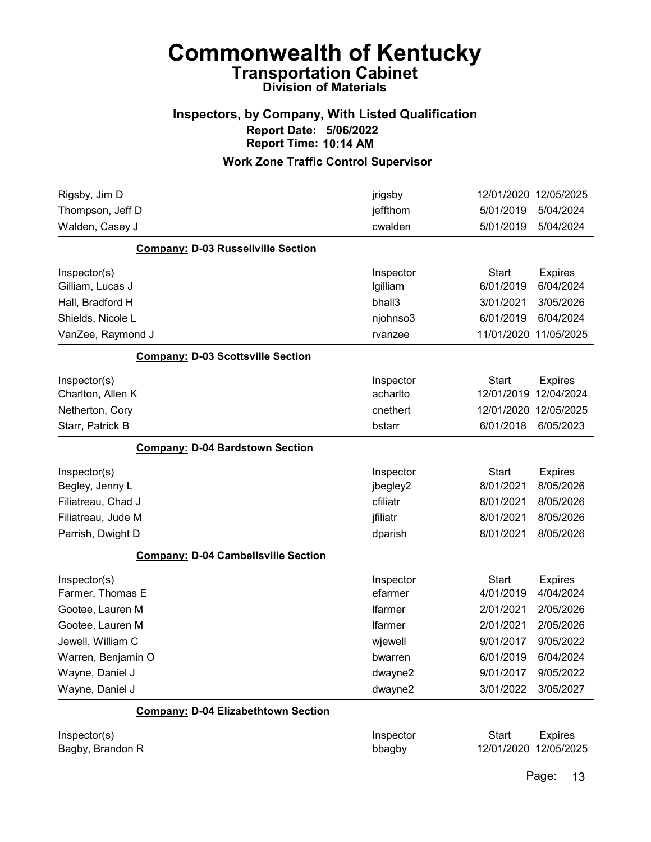#### Inspectors, by Company, With Listed Qualification Report Date: 5/06/2022 Report Time: 10:14 AM

| Rigsby, Jim D                              | jrigsby             | 12/01/2020 12/05/2025      |                              |
|--------------------------------------------|---------------------|----------------------------|------------------------------|
| Thompson, Jeff D                           | jeffthom            | 5/01/2019                  | 5/04/2024                    |
| Walden, Casey J                            | cwalden             | 5/01/2019                  | 5/04/2024                    |
| Company: D-03 Russellville Section         |                     |                            |                              |
| Inspector(s)                               | Inspector           | <b>Start</b>               | <b>Expires</b>               |
| Gilliam, Lucas J                           | Igilliam            | 6/01/2019                  | 6/04/2024                    |
| Hall, Bradford H                           | bhall3              | 3/01/2021                  | 3/05/2026                    |
| Shields, Nicole L                          | njohnso3            | 6/01/2019                  | 6/04/2024                    |
| VanZee, Raymond J                          | rvanzee             | 11/01/2020                 | 11/05/2025                   |
| <b>Company: D-03 Scottsville Section</b>   |                     |                            |                              |
| Inspector(s)                               | Inspector           | <b>Start</b>               | <b>Expires</b>               |
| Charlton, Allen K                          | acharlto            | 12/01/2019                 | 12/04/2024                   |
| Netherton, Cory                            | cnethert            | 12/01/2020 12/05/2025      |                              |
| Starr, Patrick B                           | bstarr              | 6/01/2018                  | 6/05/2023                    |
| <b>Company: D-04 Bardstown Section</b>     |                     |                            |                              |
| Inspector(s)                               | Inspector           | <b>Start</b>               | <b>Expires</b>               |
| Begley, Jenny L                            | jbegley2            | 8/01/2021                  | 8/05/2026                    |
| Filiatreau, Chad J                         | cfiliatr            | 8/01/2021                  | 8/05/2026                    |
| Filiatreau, Jude M                         | jfiliatr            | 8/01/2021                  | 8/05/2026                    |
| Parrish, Dwight D                          | dparish             | 8/01/2021                  | 8/05/2026                    |
| <b>Company: D-04 Cambellsville Section</b> |                     |                            |                              |
| Inspector(s)                               | Inspector           | <b>Start</b>               | <b>Expires</b>               |
| Farmer, Thomas E                           | efarmer             | 4/01/2019                  | 4/04/2024                    |
| Gootee, Lauren M                           | <b>Ifarmer</b>      | 2/01/2021                  | 2/05/2026                    |
| Gootee, Lauren M                           | <b>Ifarmer</b>      | 2/01/2021                  | 2/05/2026                    |
| Jewell, William C                          | wjewell             | 9/01/2017                  | 9/05/2022                    |
| Warren, Benjamin O                         | bwarren             | 6/01/2019                  | 6/04/2024                    |
| Wayne, Daniel J                            | dwayne2             | 9/01/2017                  | 9/05/2022                    |
| Wayne, Daniel J                            | dwayne2             | 3/01/2022                  | 3/05/2027                    |
| <b>Company: D-04 Elizabethtown Section</b> |                     |                            |                              |
| Inspector(s)<br>Bagby, Brandon R           | Inspector<br>bbagby | <b>Start</b><br>12/01/2020 | <b>Expires</b><br>12/05/2025 |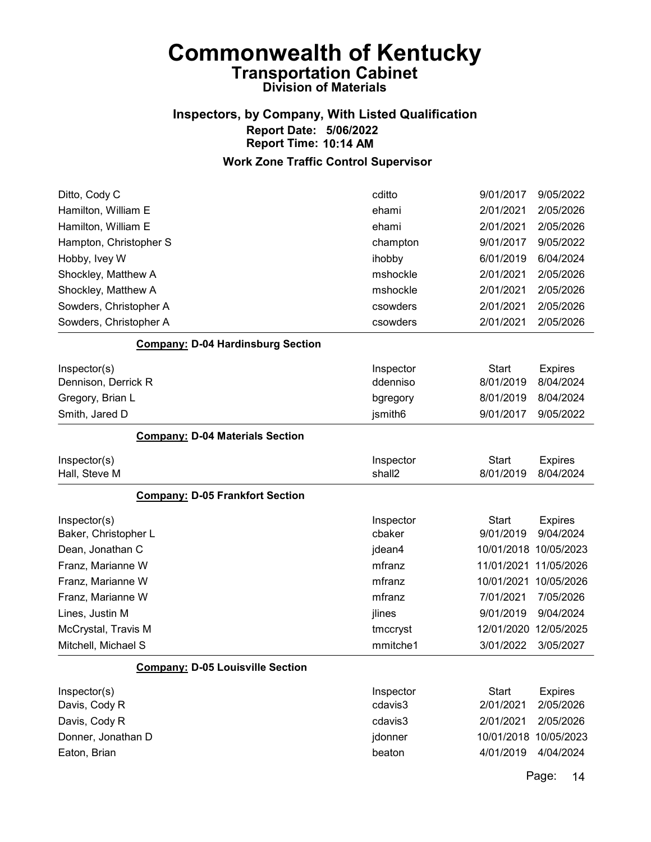#### Inspectors, by Company, With Listed Qualification Report Date: 5/06/2022 Report Time: 10:14 AM

#### Work Zone Traffic Control Supervisor

| Ditto, Cody C                            | cditto    | 9/01/2017    | 9/05/2022      |
|------------------------------------------|-----------|--------------|----------------|
| Hamilton, William E                      | ehami     | 2/01/2021    | 2/05/2026      |
| Hamilton, William E                      | ehami     | 2/01/2021    | 2/05/2026      |
| Hampton, Christopher S                   | champton  | 9/01/2017    | 9/05/2022      |
| Hobby, Ivey W                            | ihobby    | 6/01/2019    | 6/04/2024      |
| Shockley, Matthew A                      | mshockle  | 2/01/2021    | 2/05/2026      |
| Shockley, Matthew A                      | mshockle  | 2/01/2021    | 2/05/2026      |
| Sowders, Christopher A                   | csowders  | 2/01/2021    | 2/05/2026      |
| Sowders, Christopher A                   | csowders  | 2/01/2021    | 2/05/2026      |
| <b>Company: D-04 Hardinsburg Section</b> |           |              |                |
| Inspector(s)                             | Inspector | <b>Start</b> | <b>Expires</b> |
| Dennison, Derrick R                      | ddenniso  | 8/01/2019    | 8/04/2024      |
| Gregory, Brian L                         | bgregory  | 8/01/2019    | 8/04/2024      |
| Smith, Jared D                           | jsmith6   | 9/01/2017    | 9/05/2022      |
| <b>Company: D-04 Materials Section</b>   |           |              |                |
| Inspector(s)                             | Inspector | <b>Start</b> | <b>Expires</b> |
| Hall, Steve M                            | shall2    | 8/01/2019    | 8/04/2024      |
| <b>Company: D-05 Frankfort Section</b>   |           |              |                |
| Inspector(s)                             | Inspector | <b>Start</b> | <b>Expires</b> |
| Baker, Christopher L                     | cbaker    | 9/01/2019    | 9/04/2024      |
| Dean, Jonathan C                         | jdean4    | 10/01/2018   | 10/05/2023     |
| Franz, Marianne W                        | mfranz    | 11/01/2021   | 11/05/2026     |
| Franz, Marianne W                        | mfranz    | 10/01/2021   | 10/05/2026     |
| Franz, Marianne W                        | mfranz    | 7/01/2021    | 7/05/2026      |
| Lines, Justin M                          | jlines    | 9/01/2019    | 9/04/2024      |
| McCrystal, Travis M                      | tmccryst  | 12/01/2020   | 12/05/2025     |
| Mitchell, Michael S                      | mmitche1  | 3/01/2022    | 3/05/2027      |
| <b>Company: D-05 Louisville Section</b>  |           |              |                |
| Inspector(s)                             | Inspector | <b>Start</b> | <b>Expires</b> |
| Davis, Cody R                            | cdavis3   | 2/01/2021    | 2/05/2026      |
| Davis, Cody R                            | cdavis3   | 2/01/2021    | 2/05/2026      |
| Donner, Jonathan D                       | jdonner   | 10/01/2018   | 10/05/2023     |
| Eaton, Brian                             | beaton    | 4/01/2019    | 4/04/2024      |
|                                          |           |              |                |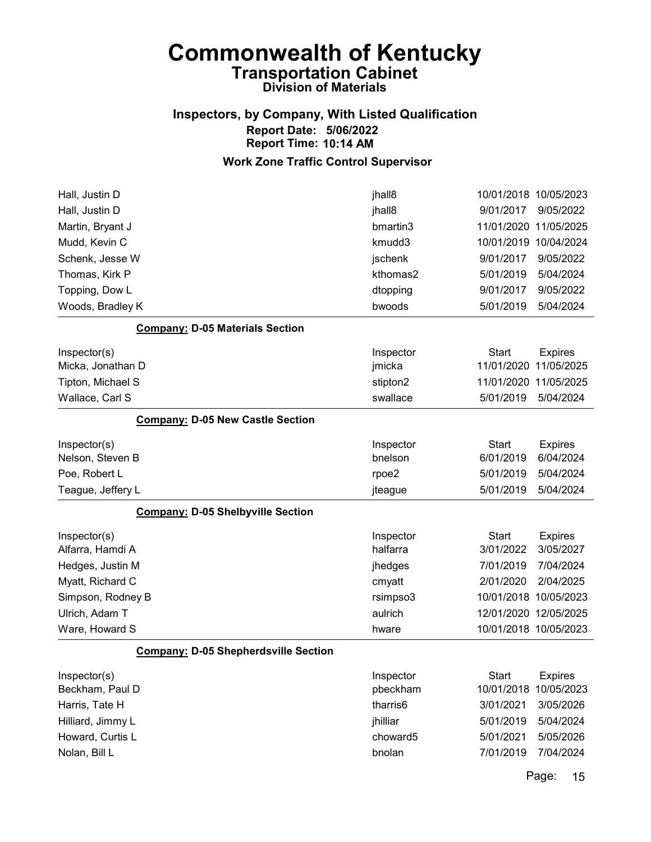#### Inspectors, by Company, With Listed Qualification Report Date: 5/06/2022 Report Time: 10:14 AM

#### Work Zone Traffic Control Supervisor

| Hall, Justin D                              | jhall8    |              | 10/01/2018 10/05/2023 |
|---------------------------------------------|-----------|--------------|-----------------------|
| Hall, Justin D                              | jhall8    | 9/01/2017    | 9/05/2022             |
| Martin, Bryant J                            | bmartin3  | 11/01/2020   | 11/05/2025            |
| Mudd, Kevin C                               | kmudd3    | 10/01/2019   | 10/04/2024            |
| Schenk, Jesse W                             | jschenk   | 9/01/2017    | 9/05/2022             |
| Thomas, Kirk P                              | kthomas2  | 5/01/2019    | 5/04/2024             |
| Topping, Dow L                              | dtopping  | 9/01/2017    | 9/05/2022             |
| Woods, Bradley K                            | bwoods    | 5/01/2019    | 5/04/2024             |
| <b>Company: D-05 Materials Section</b>      |           |              |                       |
| Inspector(s)                                | Inspector | <b>Start</b> | <b>Expires</b>        |
| Micka, Jonathan D                           | jmicka    | 11/01/2020   | 11/05/2025            |
| Tipton, Michael S                           | stipton2  | 11/01/2020   | 11/05/2025            |
| Wallace, Carl S                             | swallace  | 5/01/2019    | 5/04/2024             |
| <b>Company: D-05 New Castle Section</b>     |           |              |                       |
| Inspector(s)                                | Inspector | <b>Start</b> | <b>Expires</b>        |
| Nelson, Steven B                            | bnelson   | 6/01/2019    | 6/04/2024             |
| Poe, Robert L                               | rpoe2     | 5/01/2019    | 5/04/2024             |
| Teague, Jeffery L                           | jteague   | 5/01/2019    | 5/04/2024             |
| <b>Company: D-05 Shelbyville Section</b>    |           |              |                       |
| Inspector(s)                                | Inspector | <b>Start</b> | <b>Expires</b>        |
| Alfarra, Hamdi A                            | halfarra  | 3/01/2022    | 3/05/2027             |
| Hedges, Justin M                            | jhedges   | 7/01/2019    | 7/04/2024             |
| Myatt, Richard C                            | cmyatt    | 2/01/2020    | 2/04/2025             |
| Simpson, Rodney B                           | rsimpso3  | 10/01/2018   | 10/05/2023            |
| Ulrich, Adam T                              | aulrich   | 12/01/2020   | 12/05/2025            |
| Ware, Howard S                              | hware     |              | 10/01/2018 10/05/2023 |
| <b>Company: D-05 Shepherdsville Section</b> |           |              |                       |
| Inspector(s)                                | Inspector | <b>Start</b> | <b>Expires</b>        |
| Beckham, Paul D                             | pbeckham  | 10/01/2018   | 10/05/2023            |
| Harris, Tate H                              | tharris6  | 3/01/2021    | 3/05/2026             |
| Hilliard, Jimmy L                           | jhilliar  | 5/01/2019    | 5/04/2024             |
| Howard, Curtis L                            | choward5  | 5/01/2021    | 5/05/2026             |
| Nolan, Bill L                               | bnolan    | 7/01/2019    | 7/04/2024             |
|                                             |           |              |                       |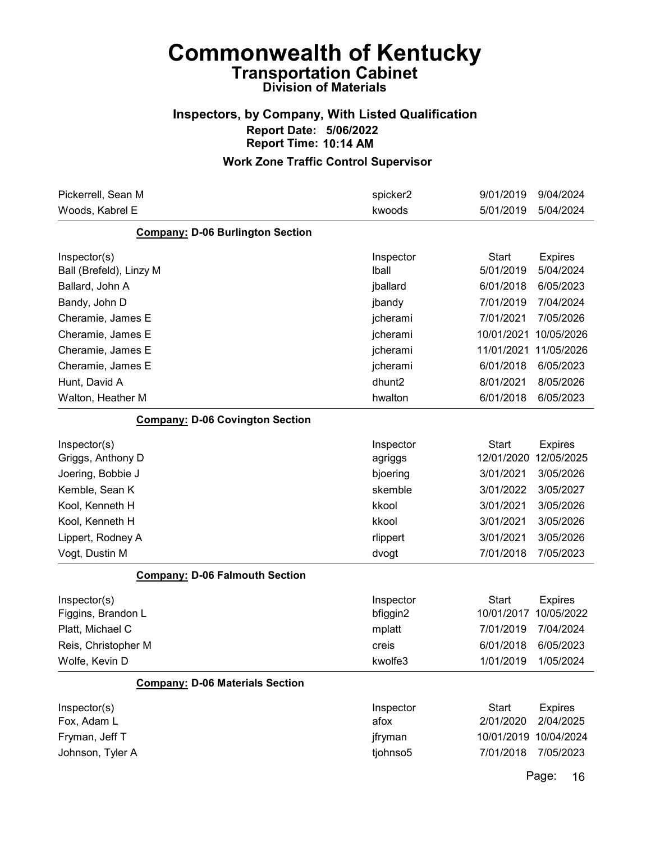#### Inspectors, by Company, With Listed Qualification Report Date: 5/06/2022 Report Time: 10:14 AM

#### Work Zone Traffic Control Supervisor

| Pickerrell, Sean M                      | spicker2              | 9/01/2019                  | 9/04/2024                    |
|-----------------------------------------|-----------------------|----------------------------|------------------------------|
| Woods, Kabrel E                         | kwoods                | 5/01/2019                  | 5/04/2024                    |
| <b>Company: D-06 Burlington Section</b> |                       |                            |                              |
| Inspector(s)<br>Ball (Brefeld), Linzy M | Inspector<br>Iball    | <b>Start</b><br>5/01/2019  | <b>Expires</b><br>5/04/2024  |
| Ballard, John A                         | jballard              | 6/01/2018                  | 6/05/2023                    |
| Bandy, John D                           | jbandy                | 7/01/2019                  | 7/04/2024                    |
| Cheramie, James E                       | jcherami              | 7/01/2021                  | 7/05/2026                    |
| Cheramie, James E                       | jcherami              | 10/01/2021                 | 10/05/2026                   |
| Cheramie, James E                       | jcherami              | 11/01/2021                 | 11/05/2026                   |
| Cheramie, James E                       | jcherami              | 6/01/2018                  | 6/05/2023                    |
| Hunt, David A                           | dhunt2                | 8/01/2021                  | 8/05/2026                    |
| Walton, Heather M                       | hwalton               | 6/01/2018                  | 6/05/2023                    |
| <b>Company: D-06 Covington Section</b>  |                       |                            |                              |
| Inspector(s)                            | Inspector             | <b>Start</b>               | <b>Expires</b>               |
| Griggs, Anthony D                       | agriggs               | 12/01/2020                 | 12/05/2025                   |
| Joering, Bobbie J                       | bjoering              | 3/01/2021                  | 3/05/2026                    |
| Kemble, Sean K                          | skemble               | 3/01/2022                  | 3/05/2027                    |
| Kool, Kenneth H                         | kkool                 | 3/01/2021                  | 3/05/2026                    |
| Kool, Kenneth H                         | kkool                 | 3/01/2021                  | 3/05/2026                    |
| Lippert, Rodney A                       | rlippert              | 3/01/2021                  | 3/05/2026                    |
| Vogt, Dustin M                          | dvogt                 | 7/01/2018                  | 7/05/2023                    |
| <b>Company: D-06 Falmouth Section</b>   |                       |                            |                              |
| Inspector(s)<br>Figgins, Brandon L      | Inspector<br>bfiggin2 | <b>Start</b><br>10/01/2017 | <b>Expires</b><br>10/05/2022 |
| Platt, Michael C                        | mplatt                | 7/01/2019                  | 7/04/2024                    |
| Reis, Christopher M                     | creis                 | 6/01/2018                  | 6/05/2023                    |
| Wolfe, Kevin D                          | kwolfe3               | 1/01/2019                  | 1/05/2024                    |
| <b>Company: D-06 Materials Section</b>  |                       |                            |                              |
| Inspector(s)                            | Inspector             | <b>Start</b>               | <b>Expires</b>               |
| Fox, Adam L                             | afox                  | 2/01/2020                  | 2/04/2025                    |
| Fryman, Jeff T                          | jfryman               | 10/01/2019                 | 10/04/2024                   |
| Johnson, Tyler A                        | tjohnso5              | 7/01/2018                  | 7/05/2023                    |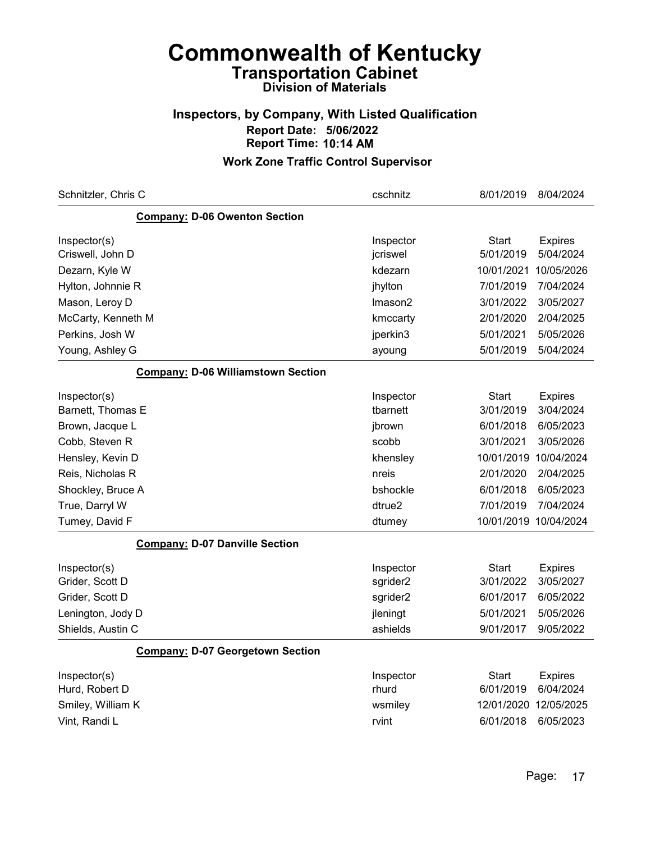### Inspectors, by Company, With Listed Qualification Report Date: 5/06/2022 Report Time: 10:14 AM

| Schnitzler, Chris C                                                  | cschnitz                               | 8/01/2019                                     | 8/04/2024                                              |
|----------------------------------------------------------------------|----------------------------------------|-----------------------------------------------|--------------------------------------------------------|
| <b>Company: D-06 Owenton Section</b>                                 |                                        |                                               |                                                        |
| Inspector(s)<br>Criswell, John D                                     | Inspector<br>jcriswel                  | Start<br>5/01/2019                            | <b>Expires</b><br>5/04/2024                            |
| Dezarn, Kyle W                                                       | kdezarn                                | 10/01/2021                                    | 10/05/2026                                             |
| Hylton, Johnnie R                                                    | jhylton                                | 7/01/2019                                     | 7/04/2024                                              |
| Mason, Leroy D                                                       | Imason2                                | 3/01/2022                                     | 3/05/2027                                              |
| McCarty, Kenneth M                                                   | kmccarty                               | 2/01/2020                                     | 2/04/2025                                              |
| Perkins, Josh W                                                      | jperkin3                               | 5/01/2021                                     | 5/05/2026                                              |
| Young, Ashley G                                                      | ayoung                                 | 5/01/2019                                     | 5/04/2024                                              |
| <b>Company: D-06 Williamstown Section</b>                            |                                        |                                               |                                                        |
| Inspector(s)<br>Barnett, Thomas E                                    | Inspector<br>tbarnett                  | <b>Start</b><br>3/01/2019                     | <b>Expires</b><br>3/04/2024                            |
| Brown, Jacque L                                                      | jbrown                                 | 6/01/2018                                     | 6/05/2023                                              |
| Cobb, Steven R                                                       | scobb                                  | 3/01/2021                                     | 3/05/2026                                              |
| Hensley, Kevin D                                                     | khensley                               | 10/01/2019 10/04/2024                         |                                                        |
| Reis, Nicholas R                                                     | nreis                                  | 2/01/2020                                     | 2/04/2025                                              |
| Shockley, Bruce A                                                    | bshockle                               | 6/01/2018                                     | 6/05/2023                                              |
| True, Darryl W                                                       | dtrue2                                 | 7/01/2019                                     | 7/04/2024                                              |
| Tumey, David F                                                       | dtumey                                 | 10/01/2019 10/04/2024                         |                                                        |
| <b>Company: D-07 Danville Section</b>                                |                                        |                                               |                                                        |
| Inspector(s)<br>Grider, Scott D                                      | Inspector<br>sgrider2                  | <b>Start</b><br>3/01/2022                     | <b>Expires</b><br>3/05/2027                            |
| Grider, Scott D                                                      | sgrider2                               | 6/01/2017                                     | 6/05/2022                                              |
| Lenington, Jody D                                                    | jleningt                               | 5/01/2021                                     | 5/05/2026                                              |
| Shields, Austin C                                                    | ashields                               | 9/01/2017                                     | 9/05/2022                                              |
| <b>Company: D-07 Georgetown Section</b>                              |                                        |                                               |                                                        |
| Inspector(s)<br>Hurd, Robert D<br>Smiley, William K<br>Vint, Randi L | Inspector<br>rhurd<br>wsmiley<br>rvint | Start<br>6/01/2019<br>12/01/2020<br>6/01/2018 | <b>Expires</b><br>6/04/2024<br>12/05/2025<br>6/05/2023 |
|                                                                      |                                        |                                               |                                                        |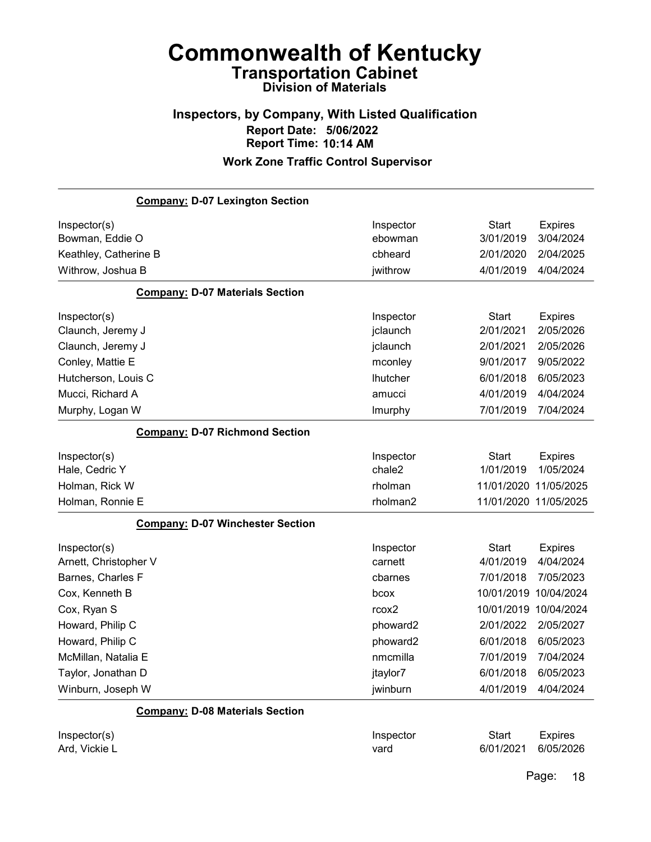### Inspectors, by Company, With Listed Qualification Report Date: 5/06/2022 Report Time: 10:14 AM

#### Work Zone Traffic Control Supervisor

| Inspector(s)<br>Bowman, Eddie O         | Inspector<br>ebowman<br>cbheard<br>jwithrow | <b>Start</b><br>3/01/2019 | <b>Expires</b><br>3/04/2024 |
|-----------------------------------------|---------------------------------------------|---------------------------|-----------------------------|
|                                         |                                             |                           |                             |
|                                         |                                             |                           |                             |
| Keathley, Catherine B                   |                                             | 2/01/2020                 | 2/04/2025                   |
| Withrow, Joshua B                       |                                             | 4/01/2019                 | 4/04/2024                   |
| <b>Company: D-07 Materials Section</b>  |                                             |                           |                             |
| Inspector(s)                            | Inspector                                   | <b>Start</b>              | <b>Expires</b>              |
| Claunch, Jeremy J                       | jclaunch                                    | 2/01/2021                 | 2/05/2026                   |
| Claunch, Jeremy J                       | jclaunch                                    | 2/01/2021                 | 2/05/2026                   |
| Conley, Mattie E                        | mconley                                     | 9/01/2017                 | 9/05/2022                   |
| Hutcherson, Louis C                     | <b>Ihutcher</b>                             | 6/01/2018                 | 6/05/2023                   |
| Mucci, Richard A                        | amucci                                      | 4/01/2019                 | 4/04/2024                   |
| Murphy, Logan W                         | Imurphy                                     | 7/01/2019                 | 7/04/2024                   |
| <b>Company: D-07 Richmond Section</b>   |                                             |                           |                             |
| Inspector(s)                            | Inspector                                   | <b>Start</b>              | <b>Expires</b>              |
| Hale, Cedric Y                          | chale2                                      | 1/01/2019                 | 1/05/2024                   |
| Holman, Rick W                          | rholman                                     | 11/01/2020                | 11/05/2025                  |
| Holman, Ronnie E                        | rholman2                                    | 11/01/2020 11/05/2025     |                             |
| <b>Company: D-07 Winchester Section</b> |                                             |                           |                             |
| Inspector(s)                            | Inspector                                   | <b>Start</b>              | <b>Expires</b>              |
| Arnett, Christopher V                   | carnett                                     | 4/01/2019                 | 4/04/2024                   |
| Barnes, Charles F                       | cbarnes                                     | 7/01/2018                 | 7/05/2023                   |
| Cox, Kenneth B                          | bcox                                        | 10/01/2019                | 10/04/2024                  |
| Cox, Ryan S                             | rcox <sub>2</sub>                           | 10/01/2019                | 10/04/2024                  |
| Howard, Philip C                        | phoward2                                    | 2/01/2022                 | 2/05/2027                   |
| Howard, Philip C                        | phoward2                                    | 6/01/2018                 | 6/05/2023                   |
| McMillan, Natalia E                     | nmcmilla                                    | 7/01/2019                 | 7/04/2024                   |
| Taylor, Jonathan D                      | jtaylor7                                    | 6/01/2018                 | 6/05/2023                   |
| Winburn, Joseph W                       | jwinburn                                    | 4/01/2019                 | 4/04/2024                   |
| <b>Company: D-08 Materials Section</b>  |                                             |                           |                             |
| Inspector(s)<br>Ard, Vickie L           | Inspector<br>vard                           | <b>Start</b><br>6/01/2021 | <b>Expires</b><br>6/05/2026 |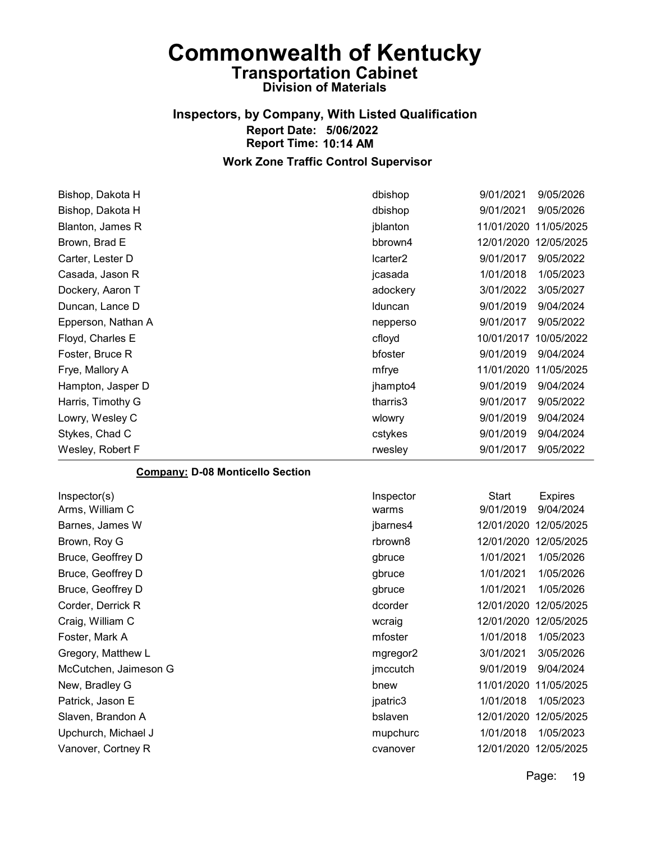#### Inspectors, by Company, With Listed Qualification Report Date: 5/06/2022 Report Time: 10:14 AM Work Zone Traffic Control Supervisor

Bishop, Dakota H dbishop 9/01/2021 9/05/2026 Bishop, Dakota H dbishop 9/01/2021 9/05/2026 Blanton, James R jblanton 11/01/2020 11/05/2025 Brown, Brad E bbrown4 12/01/2020 12/05/2025 Carter, Lester D lcarter2 9/01/2017 9/05/2022 Casada, Jason R jcasada 1/01/2018 1/05/2023 Dockery, Aaron T adockery 3/01/2022 3/05/2027 Duncan, Lance D **Duncan** 9/01/2019 9/04/2024 Epperson, Nathan A nepperso 9/01/2017 9/05/2022 Floyd, Charles E cfloyd 10/01/2017 10/05/2022 Foster, Bruce R bfoster 9/01/2019 9/04/2024 Frye, Mallory A mfrye 11/01/2020 11/05/2025 Hampton, Jasper D jhampto4 9/01/2019 9/04/2024 Harris, Timothy G tharris3 9/01/2017 9/05/2022 Lowry, Wesley C wlowry 9/01/2019 9/04/2024 Stykes, Chad C cstykes 9/01/2019 9/04/2024 Wesley, Robert F rwesley 9/01/2017 9/05/2022

#### Company: D-08 Monticello Section

| Inspector(s)          | Inspector | Start                 | <b>Expires</b> |
|-----------------------|-----------|-----------------------|----------------|
| Arms, William C       | warms     | 9/01/2019             | 9/04/2024      |
| Barnes, James W       | jbarnes4  | 12/01/2020            | 12/05/2025     |
| Brown, Roy G          | rbrown8   | 12/01/2020            | 12/05/2025     |
| Bruce, Geoffrey D     | gbruce    | 1/01/2021             | 1/05/2026      |
| Bruce, Geoffrey D     | gbruce    | 1/01/2021             | 1/05/2026      |
| Bruce, Geoffrey D     | gbruce    | 1/01/2021             | 1/05/2026      |
| Corder, Derrick R     | dcorder   | 12/01/2020            | 12/05/2025     |
| Craig, William C      | wcraig    | 12/01/2020 12/05/2025 |                |
| Foster, Mark A        | mfoster   | 1/01/2018             | 1/05/2023      |
| Gregory, Matthew L    | mgregor2  | 3/01/2021             | 3/05/2026      |
| McCutchen, Jaimeson G | jmccutch  | 9/01/2019             | 9/04/2024      |
| New, Bradley G        | bnew      | 11/01/2020 11/05/2025 |                |
| Patrick, Jason E      | jpatric3  | 1/01/2018             | 1/05/2023      |
| Slaven, Brandon A     | bslaven   | 12/01/2020            | 12/05/2025     |
| Upchurch, Michael J   | mupchurc  | 1/01/2018             | 1/05/2023      |
| Vanover, Cortney R    | cvanover  | 12/01/2020 12/05/2025 |                |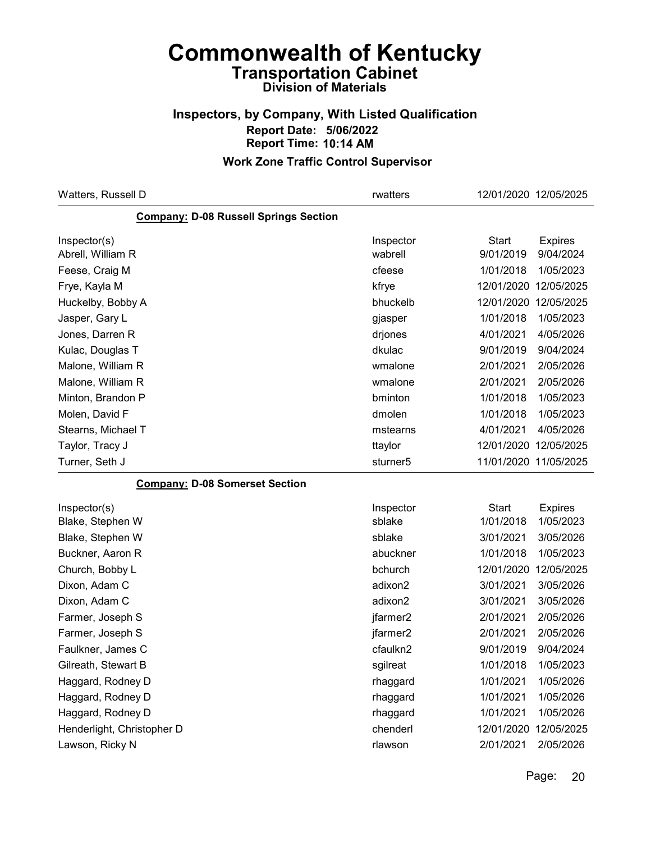#### Inspectors, by Company, With Listed Qualification Report Date: 5/06/2022 Report Time: 10:14 AM

| Watters, Russell D                           | rwatters             |                           | 12/01/2020 12/05/2025       |
|----------------------------------------------|----------------------|---------------------------|-----------------------------|
| <b>Company: D-08 Russell Springs Section</b> |                      |                           |                             |
| Inspector(s)<br>Abrell, William R            | Inspector<br>wabrell | <b>Start</b><br>9/01/2019 | <b>Expires</b><br>9/04/2024 |
| Feese, Craig M                               | cfeese               | 1/01/2018                 | 1/05/2023                   |
| Frye, Kayla M                                | kfrye                | 12/01/2020                | 12/05/2025                  |
| Huckelby, Bobby A                            | bhuckelb             | 12/01/2020 12/05/2025     |                             |
| Jasper, Gary L                               | gjasper              | 1/01/2018                 | 1/05/2023                   |
| Jones, Darren R                              | drjones              | 4/01/2021                 | 4/05/2026                   |
| Kulac, Douglas T                             | dkulac               | 9/01/2019                 | 9/04/2024                   |
| Malone, William R                            | wmalone              | 2/01/2021                 | 2/05/2026                   |
| Malone, William R                            | wmalone              | 2/01/2021                 | 2/05/2026                   |
| Minton, Brandon P                            | bminton              | 1/01/2018                 | 1/05/2023                   |
| Molen, David F                               | dmolen               | 1/01/2018                 | 1/05/2023                   |
| Stearns, Michael T                           | mstearns             | 4/01/2021                 | 4/05/2026                   |
| Taylor, Tracy J                              | ttaylor              |                           | 12/01/2020 12/05/2025       |
| Turner, Seth J                               | sturner <sub>5</sub> |                           | 11/01/2020 11/05/2025       |
| <b>Company: D-08 Somerset Section</b>        |                      |                           |                             |
| Inspector(s)                                 | Inspector            | <b>Start</b>              | <b>Expires</b>              |
| Blake, Stephen W                             | sblake               | 1/01/2018                 | 1/05/2023                   |
| Blake, Stephen W                             | sblake               | 3/01/2021                 | 3/05/2026                   |
| Buckner, Aaron R                             | abuckner             | 1/01/2018                 | 1/05/2023                   |
| Church, Bobby L                              | bchurch              | 12/01/2020                | 12/05/2025                  |
| Dixon, Adam C                                | adixon2              | 3/01/2021                 | 3/05/2026                   |
| Dixon, Adam C                                | adixon2              | 3/01/2021                 | 3/05/2026                   |
| Farmer, Joseph S                             | jfarmer2             | 2/01/2021                 | 2/05/2026                   |
| Farmer, Joseph S                             | jfarmer2             | 2/01/2021                 | 2/05/2026                   |
| Faulkner, James C                            | cfaulkn2             | 9/01/2019                 | 9/04/2024                   |
| Gilreath, Stewart B                          | sgilreat             | 1/01/2018                 | 1/05/2023                   |
| Haggard, Rodney D                            | rhaggard             | 1/01/2021                 | 1/05/2026                   |
| Haggard, Rodney D                            | rhaggard             | 1/01/2021                 | 1/05/2026                   |
| Haggard, Rodney D                            | rhaggard             | 1/01/2021                 | 1/05/2026                   |
| Henderlight, Christopher D                   | chenderl             | 12/01/2020                | 12/05/2025                  |
| Lawson, Ricky N                              |                      |                           |                             |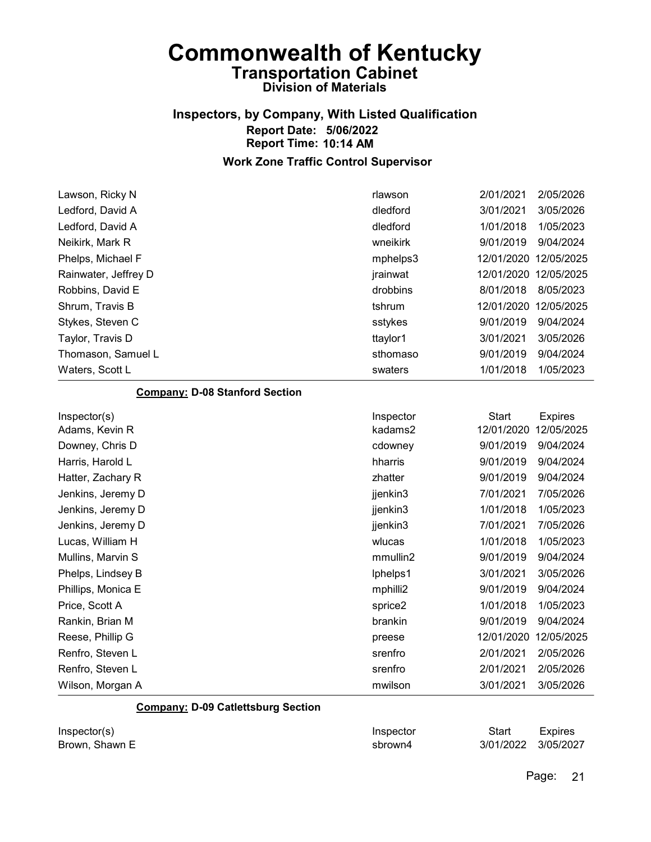### Inspectors, by Company, With Listed Qualification Report Date: 5/06/2022 Report Time: 10:14 AM

#### Work Zone Traffic Control Supervisor

| - -- - -             |          |           |                       |
|----------------------|----------|-----------|-----------------------|
| Waters, Scott L      | swaters  | 1/01/2018 | 1/05/2023             |
| Thomason, Samuel L   | sthomaso | 9/01/2019 | 9/04/2024             |
| Taylor, Travis D     | ttaylor1 | 3/01/2021 | 3/05/2026             |
| Stykes, Steven C     | sstykes  | 9/01/2019 | 9/04/2024             |
| Shrum, Travis B      | tshrum   |           | 12/01/2020 12/05/2025 |
| Robbins, David E     | drobbins | 8/01/2018 | 8/05/2023             |
| Rainwater, Jeffrey D | jrainwat |           | 12/01/2020 12/05/2025 |
| Phelps, Michael F    | mphelps3 |           | 12/01/2020 12/05/2025 |
| Neikirk, Mark R      | wneikirk | 9/01/2019 | 9/04/2024             |
| Ledford, David A     | dledford | 1/01/2018 | 1/05/2023             |
| Ledford, David A     | dledford | 3/01/2021 | 3/05/2026             |
| Lawson, Ricky N      | rlawson  | 2/01/2021 | 2/05/2026             |

#### Company: D-08 Stanford Section

| Inspector(s)       | Inspector | Start      | <b>Expires</b> |
|--------------------|-----------|------------|----------------|
| Adams, Kevin R     | kadams2   | 12/01/2020 | 12/05/2025     |
| Downey, Chris D    | cdowney   | 9/01/2019  | 9/04/2024      |
| Harris, Harold L   | hharris   | 9/01/2019  | 9/04/2024      |
| Hatter, Zachary R  | zhatter   | 9/01/2019  | 9/04/2024      |
| Jenkins, Jeremy D  | jjenkin3  | 7/01/2021  | 7/05/2026      |
| Jenkins, Jeremy D  | jjenkin3  | 1/01/2018  | 1/05/2023      |
| Jenkins, Jeremy D  | jjenkin3  | 7/01/2021  | 7/05/2026      |
| Lucas, William H   | wlucas    | 1/01/2018  | 1/05/2023      |
| Mullins, Marvin S  | mmullin2  | 9/01/2019  | 9/04/2024      |
| Phelps, Lindsey B  | lphelps1  | 3/01/2021  | 3/05/2026      |
| Phillips, Monica E | mphilli2  | 9/01/2019  | 9/04/2024      |
| Price, Scott A     | sprice2   | 1/01/2018  | 1/05/2023      |
| Rankin, Brian M    | brankin   | 9/01/2019  | 9/04/2024      |
| Reese, Phillip G   | preese    | 12/01/2020 | 12/05/2025     |
| Renfro, Steven L   | srenfro   | 2/01/2021  | 2/05/2026      |
| Renfro, Steven L   | srenfro   | 2/01/2021  | 2/05/2026      |
| Wilson, Morgan A   | mwilson   | 3/01/2021  | 3/05/2026      |

#### Company: D-09 Catlettsburg Section

| Inspector(s)   | Inspector | Start               | <b>Expires</b> |
|----------------|-----------|---------------------|----------------|
| Brown, Shawn E | sbrown4   | 3/01/2022 3/05/2027 |                |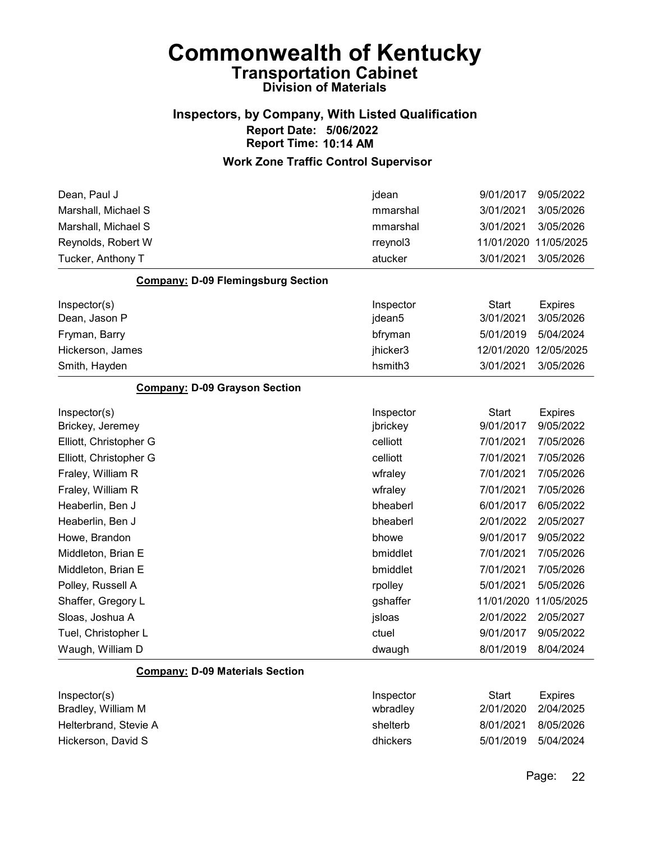#### Inspectors, by Company, With Listed Qualification Report Date: 5/06/2022 Report Time: 10:14 AM

| Dean, Paul J                              | jdean     | 9/01/2017    | 9/05/2022      |
|-------------------------------------------|-----------|--------------|----------------|
| Marshall, Michael S                       | mmarshal  | 3/01/2021    | 3/05/2026      |
| Marshall, Michael S                       | mmarshal  | 3/01/2021    | 3/05/2026      |
| Reynolds, Robert W                        | rreynol3  | 11/01/2020   | 11/05/2025     |
| Tucker, Anthony T                         | atucker   | 3/01/2021    | 3/05/2026      |
| <b>Company: D-09 Flemingsburg Section</b> |           |              |                |
| Inspector(s)                              | Inspector | <b>Start</b> | <b>Expires</b> |
| Dean, Jason P                             | jdean5    | 3/01/2021    | 3/05/2026      |
| Fryman, Barry                             | bfryman   | 5/01/2019    | 5/04/2024      |
| Hickerson, James                          | jhicker3  | 12/01/2020   | 12/05/2025     |
| Smith, Hayden                             | hsmith3   | 3/01/2021    | 3/05/2026      |
| <b>Company: D-09 Grayson Section</b>      |           |              |                |
| Inspector(s)                              | Inspector | <b>Start</b> | <b>Expires</b> |
| Brickey, Jeremey                          | jbrickey  | 9/01/2017    | 9/05/2022      |
| Elliott, Christopher G                    | celliott  | 7/01/2021    | 7/05/2026      |
| Elliott, Christopher G                    | celliott  | 7/01/2021    | 7/05/2026      |
| Fraley, William R                         | wfraley   | 7/01/2021    | 7/05/2026      |
| Fraley, William R                         | wfraley   | 7/01/2021    | 7/05/2026      |
| Heaberlin, Ben J                          | bheaberl  | 6/01/2017    | 6/05/2022      |
| Heaberlin, Ben J                          | bheaberl  | 2/01/2022    | 2/05/2027      |
| Howe, Brandon                             | bhowe     | 9/01/2017    | 9/05/2022      |
| Middleton, Brian E                        | bmiddlet  | 7/01/2021    | 7/05/2026      |
| Middleton, Brian E                        | bmiddlet  | 7/01/2021    | 7/05/2026      |
| Polley, Russell A                         | rpolley   | 5/01/2021    | 5/05/2026      |
| Shaffer, Gregory L                        | gshaffer  | 11/01/2020   | 11/05/2025     |
| Sloas, Joshua A                           | jsloas    | 2/01/2022    | 2/05/2027      |
| Tuel, Christopher L                       | ctuel     | 9/01/2017    | 9/05/2022      |
| Waugh, William D                          | dwaugh    | 8/01/2019    | 8/04/2024      |
| <b>Company: D-09 Materials Section</b>    |           |              |                |
| Inspector(s)                              | Inspector | <b>Start</b> | <b>Expires</b> |
| Bradley, William M                        | wbradley  | 2/01/2020    | 2/04/2025      |
| Helterbrand, Stevie A                     | shelterb  | 8/01/2021    | 8/05/2026      |
| Hickerson, David S                        | dhickers  | 5/01/2019    | 5/04/2024      |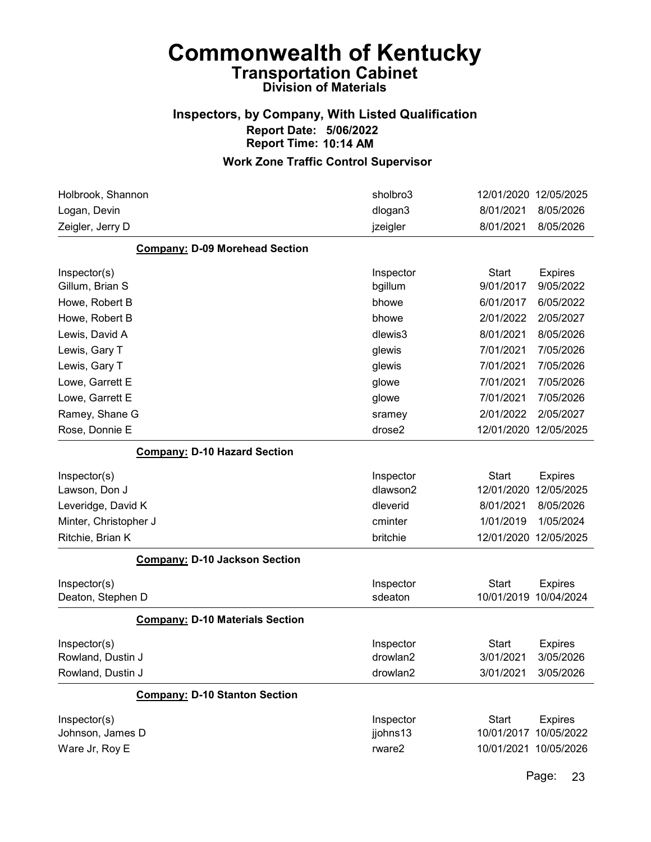#### Inspectors, by Company, With Listed Qualification Report Date: 5/06/2022 Report Time: 10:14 AM

#### Work Zone Traffic Control Supervisor

| Holbrook, Shannon                      | sholbro3  | 12/01/2020 12/05/2025 |                |
|----------------------------------------|-----------|-----------------------|----------------|
| Logan, Devin                           | dlogan3   | 8/01/2021             | 8/05/2026      |
| Zeigler, Jerry D                       | jzeigler  | 8/01/2021             | 8/05/2026      |
| <b>Company: D-09 Morehead Section</b>  |           |                       |                |
| Inspector(s)                           | Inspector | <b>Start</b>          | <b>Expires</b> |
| Gillum, Brian S                        | bgillum   | 9/01/2017             | 9/05/2022      |
| Howe, Robert B                         | bhowe     | 6/01/2017             | 6/05/2022      |
| Howe, Robert B                         | bhowe     | 2/01/2022             | 2/05/2027      |
| Lewis, David A                         | dlewis3   | 8/01/2021             | 8/05/2026      |
| Lewis, Gary T                          | glewis    | 7/01/2021             | 7/05/2026      |
| Lewis, Gary T                          | glewis    | 7/01/2021             | 7/05/2026      |
| Lowe, Garrett E                        | glowe     | 7/01/2021             | 7/05/2026      |
| Lowe, Garrett E                        | glowe     | 7/01/2021             | 7/05/2026      |
| Ramey, Shane G                         | sramey    | 2/01/2022             | 2/05/2027      |
| Rose, Donnie E                         | drose2    | 12/01/2020            | 12/05/2025     |
| <b>Company: D-10 Hazard Section</b>    |           |                       |                |
| Inspector(s)                           | Inspector | <b>Start</b>          | <b>Expires</b> |
| Lawson, Don J                          | dlawson2  | 12/01/2020            | 12/05/2025     |
| Leveridge, David K                     | dleverid  | 8/01/2021             | 8/05/2026      |
| Minter, Christopher J                  | cminter   | 1/01/2019             | 1/05/2024      |
| Ritchie, Brian K                       | britchie  | 12/01/2020            | 12/05/2025     |
| <b>Company: D-10 Jackson Section</b>   |           |                       |                |
| Inspector(s)                           | Inspector | <b>Start</b>          | <b>Expires</b> |
| Deaton, Stephen D                      | sdeaton   | 10/01/2019            | 10/04/2024     |
| <b>Company: D-10 Materials Section</b> |           |                       |                |
| Inspector(s)                           | Inspector | <b>Start</b>          | <b>Expires</b> |
| Rowland, Dustin J                      | drowlan2  | 3/01/2021             | 3/05/2026      |
| Rowland, Dustin J                      | drowlan2  | 3/01/2021             | 3/05/2026      |
| <b>Company: D-10 Stanton Section</b>   |           |                       |                |
| Inspector(s)                           | Inspector | <b>Start</b>          | <b>Expires</b> |
| Johnson, James D                       | jjohns13  | 10/01/2017            | 10/05/2022     |
| Ware Jr, Roy E                         | rware2    | 10/01/2021 10/05/2026 |                |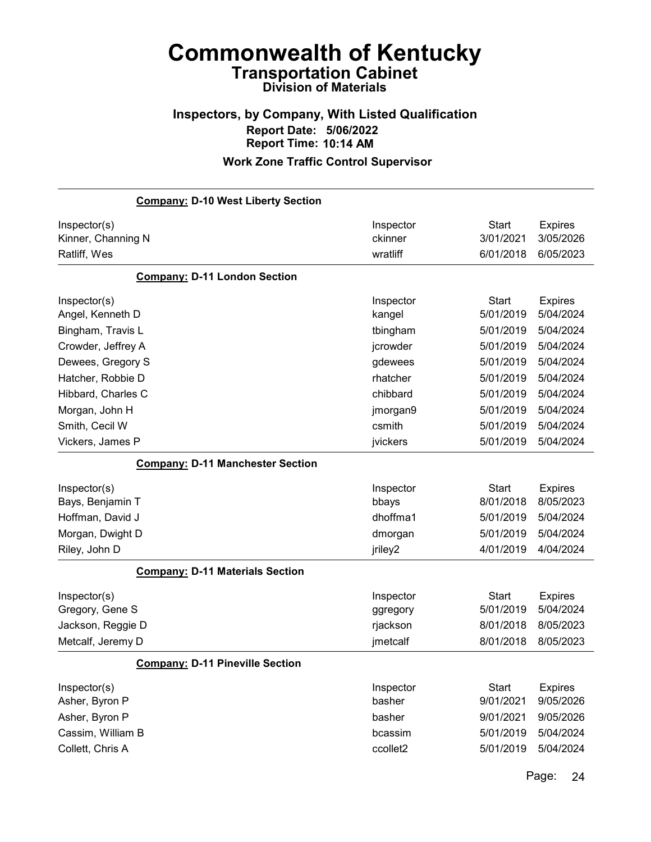### Inspectors, by Company, With Listed Qualification Report Date: 5/06/2022 Report Time: 10:14 AM

#### Work Zone Traffic Control Supervisor

| <b>Company: D-10 West Liberty Section</b> |           |              |                |
|-------------------------------------------|-----------|--------------|----------------|
| Inspector(s)                              | Inspector | <b>Start</b> | <b>Expires</b> |
| Kinner, Channing N                        | ckinner   | 3/01/2021    | 3/05/2026      |
| Ratliff, Wes                              | wratliff  | 6/01/2018    | 6/05/2023      |
| <b>Company: D-11 London Section</b>       |           |              |                |
| Inspector(s)                              | Inspector | <b>Start</b> | <b>Expires</b> |
| Angel, Kenneth D                          | kangel    | 5/01/2019    | 5/04/2024      |
| Bingham, Travis L                         | tbingham  | 5/01/2019    | 5/04/2024      |
| Crowder, Jeffrey A                        | jcrowder  | 5/01/2019    | 5/04/2024      |
| Dewees, Gregory S                         | gdewees   | 5/01/2019    | 5/04/2024      |
| Hatcher, Robbie D                         | rhatcher  | 5/01/2019    | 5/04/2024      |
| Hibbard, Charles C                        | chibbard  | 5/01/2019    | 5/04/2024      |
| Morgan, John H                            | jmorgan9  | 5/01/2019    | 5/04/2024      |
| Smith, Cecil W                            | csmith    | 5/01/2019    | 5/04/2024      |
| Vickers, James P                          | jvickers  | 5/01/2019    | 5/04/2024      |
| <b>Company: D-11 Manchester Section</b>   |           |              |                |
| Inspector(s)                              | Inspector | <b>Start</b> | <b>Expires</b> |
| Bays, Benjamin T                          | bbays     | 8/01/2018    | 8/05/2023      |
| Hoffman, David J                          | dhoffma1  | 5/01/2019    | 5/04/2024      |
| Morgan, Dwight D                          | dmorgan   | 5/01/2019    | 5/04/2024      |
| Riley, John D                             | jriley2   | 4/01/2019    | 4/04/2024      |
| <b>Company: D-11 Materials Section</b>    |           |              |                |
| Inspector(s)                              | Inspector | <b>Start</b> | <b>Expires</b> |
| Gregory, Gene S                           |           |              |                |
|                                           | ggregory  | 5/01/2019    | 5/04/2024      |
| Jackson, Reggie D                         | rjackson  | 8/01/2018    | 8/05/2023      |
| Metcalf, Jeremy D                         | jmetcalf  | 8/01/2018    | 8/05/2023      |
| <b>Company: D-11 Pineville Section</b>    |           |              |                |
| Inspector(s)                              | Inspector | <b>Start</b> | <b>Expires</b> |
| Asher, Byron P                            | basher    | 9/01/2021    | 9/05/2026      |
| Asher, Byron P                            | basher    | 9/01/2021    | 9/05/2026      |
| Cassim, William B                         | bcassim   | 5/01/2019    | 5/04/2024      |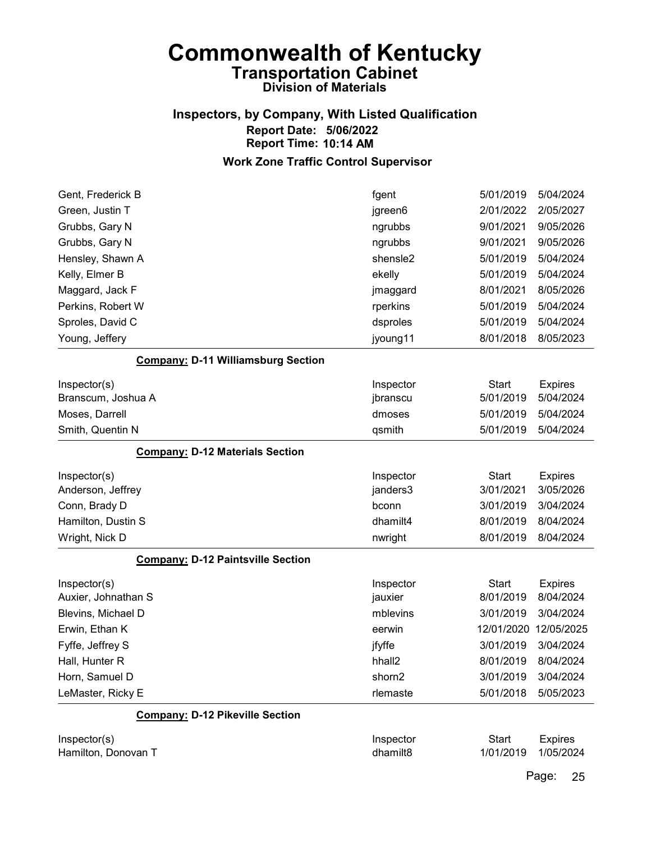### Inspectors, by Company, With Listed Qualification Report Date: 5/06/2022 Report Time: 10:14 AM

#### Work Zone Traffic Control Supervisor

| Gent, Frederick B                         | fgent              | 5/01/2019    | 5/04/2024      |
|-------------------------------------------|--------------------|--------------|----------------|
| Green, Justin T                           | jgreen6            | 2/01/2022    | 2/05/2027      |
| Grubbs, Gary N                            | ngrubbs            | 9/01/2021    | 9/05/2026      |
| Grubbs, Gary N                            | ngrubbs            | 9/01/2021    | 9/05/2026      |
| Hensley, Shawn A                          | shensle2           | 5/01/2019    | 5/04/2024      |
| Kelly, Elmer B                            | ekelly             | 5/01/2019    | 5/04/2024      |
| Maggard, Jack F                           | jmaggard           | 8/01/2021    | 8/05/2026      |
| Perkins, Robert W                         | rperkins           | 5/01/2019    | 5/04/2024      |
| Sproles, David C                          | dsproles           | 5/01/2019    | 5/04/2024      |
| Young, Jeffery                            | jyoung11           | 8/01/2018    | 8/05/2023      |
| <b>Company: D-11 Williamsburg Section</b> |                    |              |                |
| Inspector(s)                              | Inspector          | <b>Start</b> | <b>Expires</b> |
| Branscum, Joshua A                        | jbranscu           | 5/01/2019    | 5/04/2024      |
| Moses, Darrell                            | dmoses             | 5/01/2019    | 5/04/2024      |
| Smith, Quentin N                          | qsmith             | 5/01/2019    | 5/04/2024      |
| <b>Company: D-12 Materials Section</b>    |                    |              |                |
| Inspector(s)                              | Inspector          | <b>Start</b> | <b>Expires</b> |
| Anderson, Jeffrey                         | janders3           | 3/01/2021    | 3/05/2026      |
| Conn, Brady D                             | bconn              | 3/01/2019    | 3/04/2024      |
| Hamilton, Dustin S                        | dhamilt4           | 8/01/2019    | 8/04/2024      |
| Wright, Nick D                            | nwright            | 8/01/2019    | 8/04/2024      |
| <b>Company: D-12 Paintsville Section</b>  |                    |              |                |
| Inspector(s)                              | Inspector          | <b>Start</b> | <b>Expires</b> |
| Auxier, Johnathan S                       | jauxier            | 8/01/2019    | 8/04/2024      |
| Blevins, Michael D                        | mblevins           | 3/01/2019    | 3/04/2024      |
| Erwin, Ethan K                            | eerwin             | 12/01/2020   | 12/05/2025     |
| Fyffe, Jeffrey S                          | jfyffe             | 3/01/2019    | 3/04/2024      |
| Hall, Hunter R                            | hhall <sub>2</sub> | 8/01/2019    | 8/04/2024      |
| Horn, Samuel D                            | shorn2             | 3/01/2019    | 3/04/2024      |
| LeMaster, Ricky E                         | rlemaste           | 5/01/2018    | 5/05/2023      |
| <b>Company: D-12 Pikeville Section</b>    |                    |              |                |
| Inspector(s)                              | Inspector          | <b>Start</b> | <b>Expires</b> |
| Hamilton, Donovan T                       | dhamilt8           | 1/01/2019    | 1/05/2024      |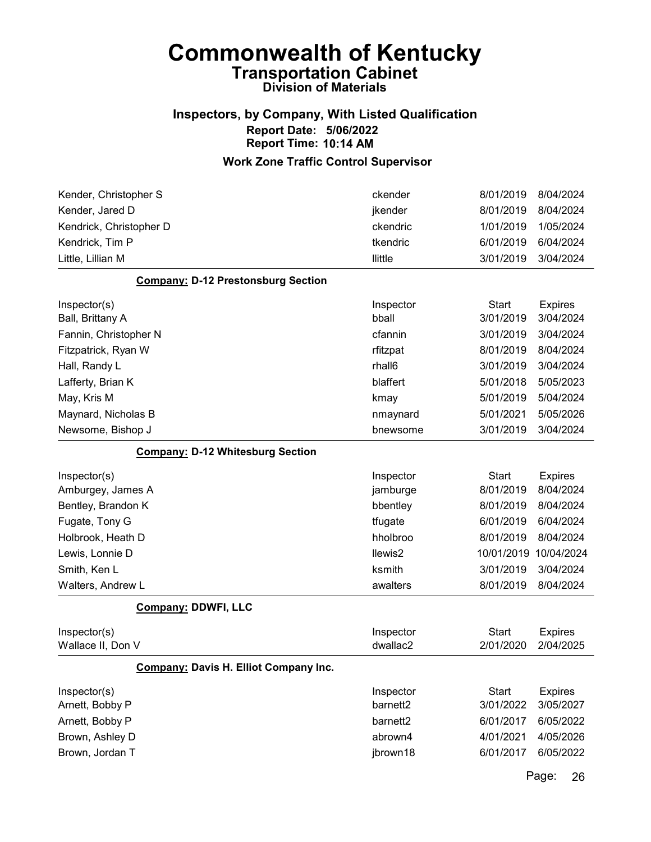#### Inspectors, by Company, With Listed Qualification Report Date: 5/06/2022 Report Time: 10:14 AM

#### Work Zone Traffic Control Supervisor

| Kender, Christopher S                        | ckender              | 8/01/2019    | 8/04/2024      |
|----------------------------------------------|----------------------|--------------|----------------|
| Kender, Jared D                              | jkender              | 8/01/2019    | 8/04/2024      |
| Kendrick, Christopher D                      | ckendric             | 1/01/2019    | 1/05/2024      |
| Kendrick, Tim P                              | tkendric             | 6/01/2019    | 6/04/2024      |
| Little, Lillian M                            | llittle              | 3/01/2019    | 3/04/2024      |
| <b>Company: D-12 Prestonsburg Section</b>    |                      |              |                |
| Inspector(s)                                 | Inspector            | <b>Start</b> | <b>Expires</b> |
| Ball, Brittany A                             | bball                | 3/01/2019    | 3/04/2024      |
| Fannin, Christopher N                        | cfannin              | 3/01/2019    | 3/04/2024      |
| Fitzpatrick, Ryan W                          | rfitzpat             | 8/01/2019    | 8/04/2024      |
| Hall, Randy L                                | rhall6               | 3/01/2019    | 3/04/2024      |
| Lafferty, Brian K                            | blaffert             | 5/01/2018    | 5/05/2023      |
| May, Kris M                                  | kmay                 | 5/01/2019    | 5/04/2024      |
| Maynard, Nicholas B                          | nmaynard             | 5/01/2021    | 5/05/2026      |
| Newsome, Bishop J                            | bnewsome             | 3/01/2019    | 3/04/2024      |
| <b>Company: D-12 Whitesburg Section</b>      |                      |              |                |
| Inspector(s)                                 | Inspector            | <b>Start</b> | <b>Expires</b> |
| Amburgey, James A                            | jamburge             | 8/01/2019    | 8/04/2024      |
| Bentley, Brandon K                           | bbentley             | 8/01/2019    | 8/04/2024      |
| Fugate, Tony G                               | tfugate              | 6/01/2019    | 6/04/2024      |
| Holbrook, Heath D                            | hholbroo             | 8/01/2019    | 8/04/2024      |
| Lewis, Lonnie D                              | llewis2              | 10/01/2019   | 10/04/2024     |
| Smith, Ken L                                 | ksmith               | 3/01/2019    | 3/04/2024      |
| Walters, Andrew L                            | awalters             | 8/01/2019    | 8/04/2024      |
| <b>Company: DDWFI, LLC</b>                   |                      |              |                |
| Inspector(s)                                 | Inspector            | Start        | <b>Expires</b> |
| Wallace II, Don V                            | dwallac2             | 2/01/2020    | 2/04/2025      |
| <b>Company: Davis H. Elliot Company Inc.</b> |                      |              |                |
| Inspector(s)                                 | Inspector            | <b>Start</b> | <b>Expires</b> |
| Arnett, Bobby P                              | barnett <sub>2</sub> | 3/01/2022    | 3/05/2027      |
| Arnett, Bobby P                              | barnett <sub>2</sub> | 6/01/2017    | 6/05/2022      |
| Brown, Ashley D                              | abrown4              | 4/01/2021    | 4/05/2026      |
| Brown, Jordan T                              | jbrown18             | 6/01/2017    | 6/05/2022      |
|                                              |                      |              |                |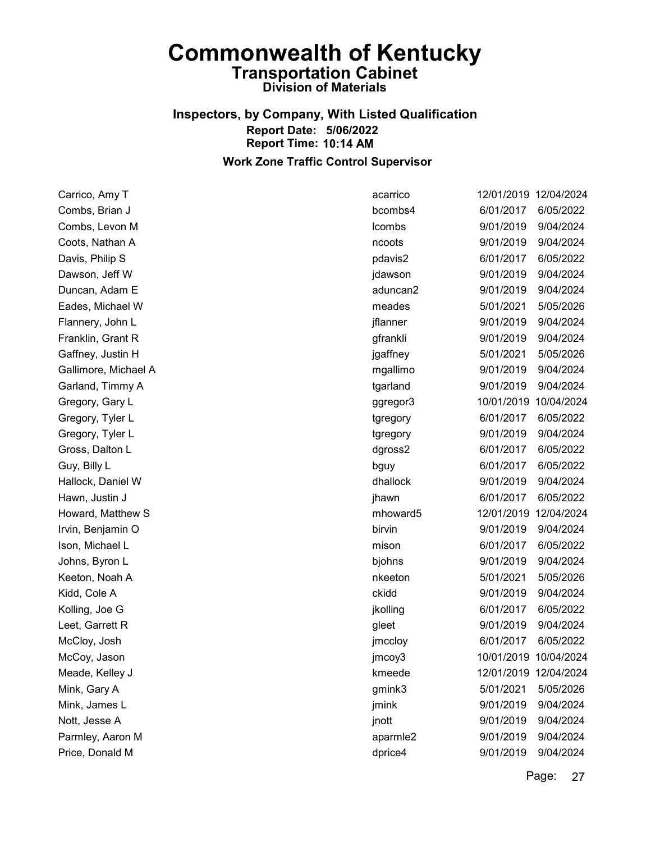#### Inspectors, by Company, With Listed Qualification Report Date: 5/06/2022 Report Time: 10:14 AM Work Zone Traffic Control Supervisor

Carrico, Amy T acarrico 12/01/2019 12/04/2024 Combs, Brian J bcombs4 6/01/2017 6/05/2022 Combs, Levon M lcombs 9/01/2019 9/04/2024 Coots, Nathan A ncoots 9/01/2019 9/04/2024 Davis, Philip S pdavis2 6/01/2017 6/05/2022 Dawson, Jeff W jdawson 9/01/2019 9/04/2024 Duncan, Adam E aduncan2 9/01/2019 9/04/2024 Eades, Michael W meades 5/01/2021 5/05/2026 Flannery, John L jflanner 9/01/2019 9/04/2024 Franklin, Grant R gfrankli 9/01/2019 9/04/2024 Gaffney, Justin H **in the state of the state of the state of the state of the state of the state of the state of the state of the state of the state of the state of the state of the state of the state of the state of the s** Gallimore, Michael A material and the material material material material material material material material m Garland, Timmy A tgarland 9/01/2019 9/04/2024 Gregory, Gary L ggregor3 10/01/2019 10/04/2024 Gregory, Tyler L tgregory tgregory 6/01/2017 6/05/2022 Gregory, Tyler L transformation of the type of the type of type of type of type  $\frac{1}{2}$  type  $\frac{9}{01/2019}$  9/01/2019 9/04/2024 Gross, Dalton L<br>
Gross, Dalton L Guy, Billy L bguy 6/01/2017 6/05/2022 Hallock, Daniel W dhallock 9/01/2019 9/04/2024 Hawn, Justin J jhawn 6/01/2017 6/05/2022 Howard, Matthew S mhoward5 12/01/2019 12/04/2024 Irvin, Benjamin O birvin 9/01/2019 9/04/2024 Ison, Michael L mison 6/01/2017 6/05/2022 Johns, Byron L bjohns 9/01/2019 9/04/2024 Keeton, Noah A nkeeton 5/01/2021 5/05/2026 Kidd, Cole A ckidd 9/01/2019 9/04/2024 Kolling, Joe G is a control of the control of the set of the set of the intervals of the intervals of the interval of the intervals of the intervals of the intervals of the intervals of the intervals of the intervals of th Leet, Garrett R gleet 9/01/2019 9/04/2024 McCloy, Josh jmccloy 6/01/2017 6/05/2022 McCoy, Jason jmcoy3 10/01/2019 10/04/2024 Meade, Kelley J kmeede 12/01/2019 12/04/2024 Mink, Gary A gmink3 5/01/2021 5/05/2026 Mink, James L jmink 9/01/2019 9/04/2024 Nott, Jesse A jnott 9/01/2019 9/04/2024 Parmley, Aaron M aparmle2 9/01/2019 9/04/2024 Price, Donald M dprice4 9/01/2019 9/04/2024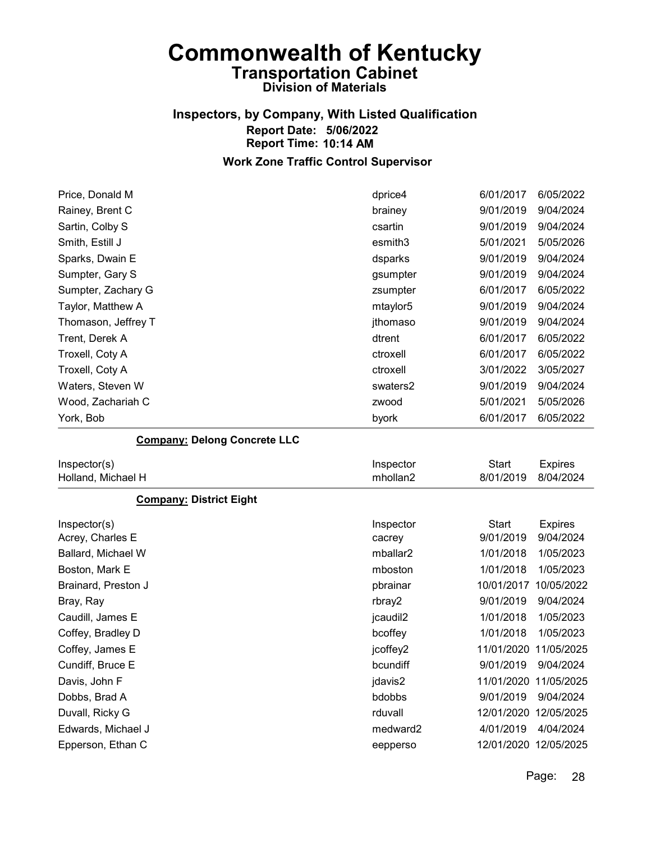### Inspectors, by Company, With Listed Qualification Report Date: 5/06/2022 Report Time: 10:14 AM

#### Work Zone Traffic Control Supervisor

| Price, Donald M                     | dprice4   | 6/01/2017    | 6/05/2022      |
|-------------------------------------|-----------|--------------|----------------|
| Rainey, Brent C                     | brainey   | 9/01/2019    | 9/04/2024      |
| Sartin, Colby S                     | csartin   | 9/01/2019    | 9/04/2024      |
| Smith, Estill J                     | esmith3   | 5/01/2021    | 5/05/2026      |
| Sparks, Dwain E                     | dsparks   | 9/01/2019    | 9/04/2024      |
| Sumpter, Gary S                     | gsumpter  | 9/01/2019    | 9/04/2024      |
| Sumpter, Zachary G                  | zsumpter  | 6/01/2017    | 6/05/2022      |
| Taylor, Matthew A                   | mtaylor5  | 9/01/2019    | 9/04/2024      |
| Thomason, Jeffrey T                 | jthomaso  | 9/01/2019    | 9/04/2024      |
| Trent, Derek A                      | dtrent    | 6/01/2017    | 6/05/2022      |
| Troxell, Coty A                     | ctroxell  | 6/01/2017    | 6/05/2022      |
| Troxell, Coty A                     | ctroxell  | 3/01/2022    | 3/05/2027      |
| Waters, Steven W                    | swaters2  | 9/01/2019    | 9/04/2024      |
| Wood, Zachariah C                   | zwood     | 5/01/2021    | 5/05/2026      |
| York, Bob                           | byork     | 6/01/2017    | 6/05/2022      |
| <b>Company: Delong Concrete LLC</b> |           |              |                |
| Inspector(s)                        | Inspector | <b>Start</b> | <b>Expires</b> |
| Holland, Michael H                  | mhollan2  | 8/01/2019    | 8/04/2024      |

#### Company: District Eight

| Inspector(s)        | Inspector | Start      | <b>Expires</b>        |
|---------------------|-----------|------------|-----------------------|
| Acrey, Charles E    | cacrey    | 9/01/2019  | 9/04/2024             |
| Ballard, Michael W  | mballar2  | 1/01/2018  | 1/05/2023             |
| Boston, Mark E      | mboston   | 1/01/2018  | 1/05/2023             |
| Brainard, Preston J | pbrainar  | 10/01/2017 | 10/05/2022            |
| Bray, Ray           | rbray2    | 9/01/2019  | 9/04/2024             |
| Caudill, James E    | jcaudil2  | 1/01/2018  | 1/05/2023             |
| Coffey, Bradley D   | bcoffey   | 1/01/2018  | 1/05/2023             |
| Coffey, James E     | jcoffey2  | 11/01/2020 | 11/05/2025            |
| Cundiff, Bruce E    | bcundiff  | 9/01/2019  | 9/04/2024             |
| Davis, John F       | jdavis2   |            | 11/01/2020 11/05/2025 |
| Dobbs, Brad A       | bdobbs    | 9/01/2019  | 9/04/2024             |
| Duvall, Ricky G     | rduvall   |            | 12/01/2020 12/05/2025 |
| Edwards, Michael J  | medward2  | 4/01/2019  | 4/04/2024             |
| Epperson, Ethan C   | eepperso  |            | 12/01/2020 12/05/2025 |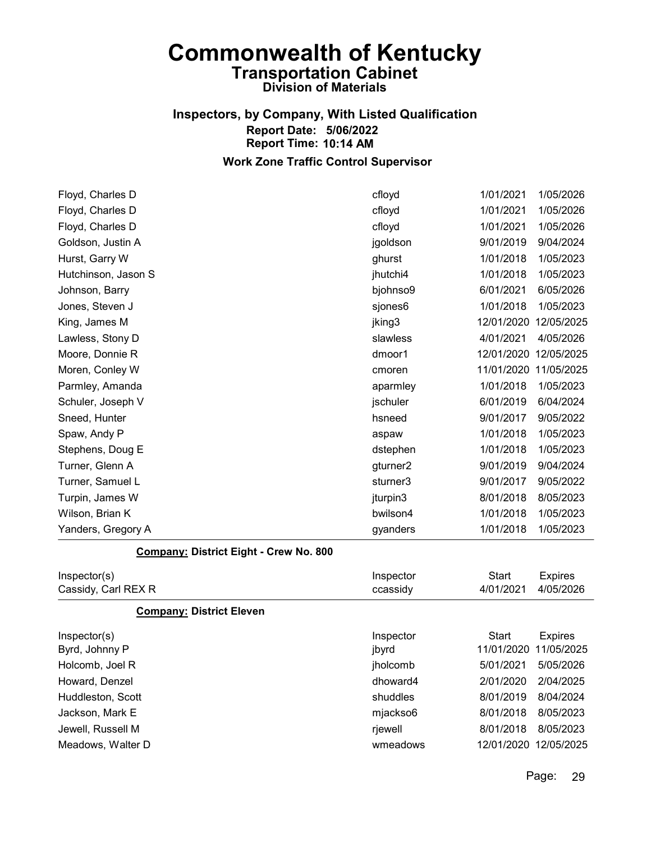#### Inspectors, by Company, With Listed Qualification Report Date: 5/06/2022 Report Time: 10:14 AM Work Zone Traffic Control Supervisor

#### Floyd, Charles D cfloyd 1/01/2021 1/05/2026 Floyd, Charles D cfloyd 1/01/2021 1/05/2026 Floyd, Charles D cfloyd 1/01/2021 1/05/2026 Goldson, Justin A jgoldson 9/01/2019 9/04/2024 Hurst, Garry W ghurst 1/01/2018 1/05/2023 Hutchinson, Jason S jhutchi4 1/01/2018 1/05/2023 Johnson, Barry bjohnso9 6/01/2021 6/05/2026 Jones, Steven J sjones6 1/01/2018 1/05/2023 King, James M **in the state of the state of the state of the state of the state of the state of the state of the state of the state of the state of the state of the state of the state of the state of the state of the state** Lawless, Stony D slawless 4/01/2021 4/05/2026 Moore, Donnie R dmoor1 12/01/2020 12/05/2025 Moren, Conley W cmoren 11/01/2020 11/05/2025 Parmley, Amanda aparmley 1/01/2018 1/05/2023 Schuler, Joseph V jschuler 6/01/2019 6/04/2024 Sneed, Hunter hsneed 9/01/2017 9/05/2022 Spaw, Andy P aspaw 1/01/2018 1/05/2023 Stephens, Doug E dstephen 1/01/2018 1/05/2023 Turner, Glenn A gturner2 9/01/2019 9/04/2024 Turner, Samuel L sturner3 9/01/2017 9/05/2022 Turpin, James W jturpin3 8/01/2018 8/05/2023 Wilson, Brian K bwilson4 1/01/2018 1/05/2023 Yanders, Gregory A gyanders 1/01/2018 1/05/2023

#### Company: District Eight - Crew No. 800

| Inspector(s)                    | Inspector | Start                 | <b>Expires</b> |
|---------------------------------|-----------|-----------------------|----------------|
| Cassidy, Carl REX R             | ccassidy  | 4/01/2021             | 4/05/2026      |
| <b>Company: District Eleven</b> |           |                       |                |
| Inspector(s)                    | Inspector | Start                 | <b>Expires</b> |
| Byrd, Johnny P                  | jbyrd     | 11/01/2020 11/05/2025 |                |
| Holcomb, Joel R                 | jholcomb  | 5/01/2021             | 5/05/2026      |
| Howard, Denzel                  | dhoward4  | 2/01/2020             | 2/04/2025      |
| Huddleston, Scott               | shuddles  | 8/01/2019             | 8/04/2024      |
| Jackson, Mark E                 | mjackso6  | 8/01/2018             | 8/05/2023      |
| Jewell, Russell M               | rjewell   | 8/01/2018             | 8/05/2023      |
| Meadows, Walter D               | wmeadows  | 12/01/2020 12/05/2025 |                |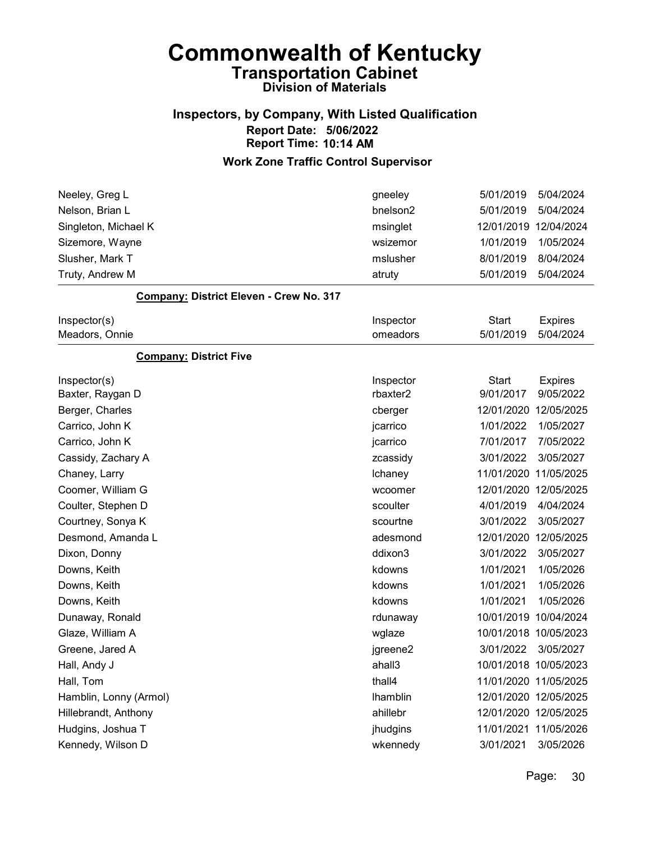#### Inspectors, by Company, With Listed Qualification Report Date: 5/06/2022 Report Time: 10:14 AM

| Neeley, Greg L                          | gneeley         | 5/01/2019             | 5/04/2024      |
|-----------------------------------------|-----------------|-----------------------|----------------|
| Nelson, Brian L                         | bnelson2        | 5/01/2019             | 5/04/2024      |
| Singleton, Michael K                    | msinglet        | 12/01/2019            | 12/04/2024     |
| Sizemore, Wayne                         | wsizemor        | 1/01/2019             | 1/05/2024      |
| Slusher, Mark T                         | mslusher        | 8/01/2019             | 8/04/2024      |
| Truty, Andrew M                         | atruty          | 5/01/2019             | 5/04/2024      |
| Company: District Eleven - Crew No. 317 |                 |                       |                |
| Inspector(s)                            | Inspector       | <b>Start</b>          | <b>Expires</b> |
| Meadors, Onnie                          | omeadors        | 5/01/2019             | 5/04/2024      |
| <b>Company: District Five</b>           |                 |                       |                |
| Inspector(s)                            | Inspector       | <b>Start</b>          | <b>Expires</b> |
| Baxter, Raygan D                        | rbaxter2        | 9/01/2017             | 9/05/2022      |
| Berger, Charles                         | cberger         | 12/01/2020 12/05/2025 |                |
| Carrico, John K                         | jcarrico        | 1/01/2022             | 1/05/2027      |
| Carrico, John K                         | jcarrico        | 7/01/2017             | 7/05/2022      |
| Cassidy, Zachary A                      | zcassidy        | 3/01/2022             | 3/05/2027      |
| Chaney, Larry                           | Ichaney         | 11/01/2020 11/05/2025 |                |
| Coomer, William G                       | wcoomer         | 12/01/2020 12/05/2025 |                |
| Coulter, Stephen D                      | scoulter        | 4/01/2019             | 4/04/2024      |
| Courtney, Sonya K                       | scourtne        | 3/01/2022             | 3/05/2027      |
| Desmond, Amanda L                       | adesmond        | 12/01/2020            | 12/05/2025     |
| Dixon, Donny                            | ddixon3         | 3/01/2022             | 3/05/2027      |
| Downs, Keith                            | kdowns          | 1/01/2021             | 1/05/2026      |
| Downs, Keith                            | kdowns          | 1/01/2021             | 1/05/2026      |
| Downs, Keith                            | kdowns          | 1/01/2021             | 1/05/2026      |
| Dunaway, Ronald                         | rdunaway        | 10/01/2019 10/04/2024 |                |
| Glaze, William A                        | wglaze          | 10/01/2018 10/05/2023 |                |
| Greene, Jared A                         | jgreene2        | 3/01/2022             | 3/05/2027      |
| Hall, Andy J                            | ahall3          | 10/01/2018 10/05/2023 |                |
| Hall, Tom                               | thall4          | 11/01/2020 11/05/2025 |                |
| Hamblin, Lonny (Armol)                  | <b>Ihamblin</b> | 12/01/2020 12/05/2025 |                |
| Hillebrandt, Anthony                    | ahillebr        | 12/01/2020 12/05/2025 |                |
| Hudgins, Joshua T                       | jhudgins        | 11/01/2021 11/05/2026 |                |
| Kennedy, Wilson D                       | wkennedy        | 3/01/2021             | 3/05/2026      |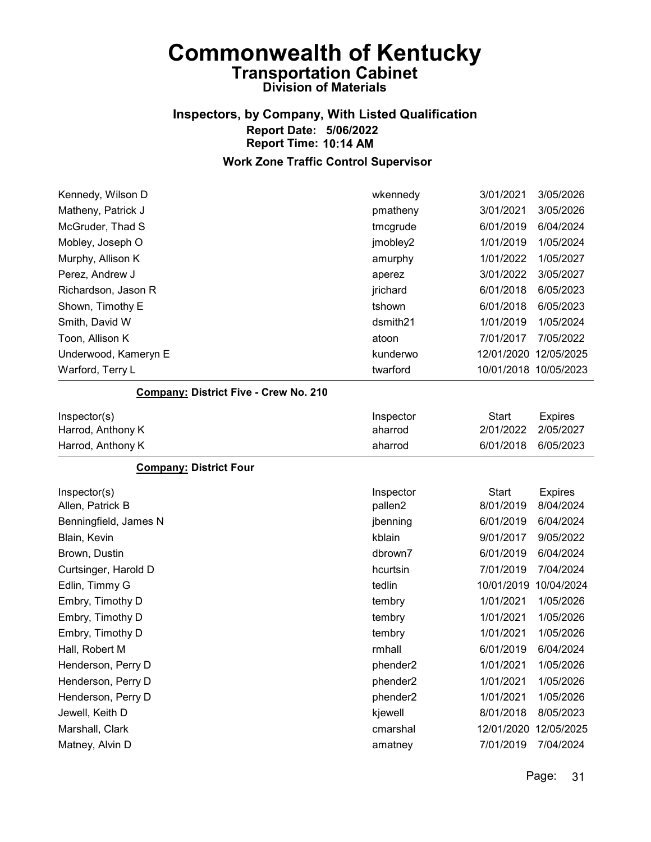### Inspectors, by Company, With Listed Qualification Report Date: 5/06/2022 Report Time: 10:14 AM

| Kennedy, Wilson D                            | wkennedy             | 3/01/2021             | 3/05/2026      |
|----------------------------------------------|----------------------|-----------------------|----------------|
| Matheny, Patrick J                           | pmatheny             | 3/01/2021             | 3/05/2026      |
| McGruder, Thad S                             | tmcgrude             | 6/01/2019             | 6/04/2024      |
| Mobley, Joseph O                             | jmobley2             | 1/01/2019             | 1/05/2024      |
| Murphy, Allison K                            | amurphy              | 1/01/2022             | 1/05/2027      |
| Perez, Andrew J                              | aperez               | 3/01/2022             | 3/05/2027      |
| Richardson, Jason R                          | jrichard             | 6/01/2018             | 6/05/2023      |
| Shown, Timothy E                             | tshown               | 6/01/2018             | 6/05/2023      |
| Smith, David W                               | dsmith21             | 1/01/2019             | 1/05/2024      |
| Toon, Allison K                              | atoon                | 7/01/2017             | 7/05/2022      |
| Underwood, Kameryn E                         | kunderwo             | 12/01/2020 12/05/2025 |                |
| Warford, Terry L                             | twarford             | 10/01/2018 10/05/2023 |                |
| <b>Company: District Five - Crew No. 210</b> |                      |                       |                |
| Inspector(s)                                 | Inspector            | <b>Start</b>          | <b>Expires</b> |
| Harrod, Anthony K                            | aharrod              | 2/01/2022             | 2/05/2027      |
| Harrod, Anthony K                            | aharrod              | 6/01/2018             | 6/05/2023      |
| <b>Company: District Four</b>                |                      |                       |                |
| Inspector(s)                                 | Inspector            | <b>Start</b>          | <b>Expires</b> |
| Allen, Patrick B                             | pallen2              | 8/01/2019             | 8/04/2024      |
| Benningfield, James N                        | jbenning             | 6/01/2019             | 6/04/2024      |
| Blain, Kevin                                 | kblain               | 9/01/2017             | 9/05/2022      |
| Brown, Dustin                                | dbrown7              | 6/01/2019             | 6/04/2024      |
| Curtsinger, Harold D                         | hcurtsin             | 7/01/2019             | 7/04/2024      |
| Edlin, Timmy G                               | tedlin               | 10/01/2019            | 10/04/2024     |
| Embry, Timothy D                             | tembry               | 1/01/2021             | 1/05/2026      |
| Embry, Timothy D                             | tembry               | 1/01/2021             | 1/05/2026      |
| Embry, Timothy D                             | tembry               | 1/01/2021             | 1/05/2026      |
| Hall, Robert M                               | rmhall               | 6/01/2019             | 6/04/2024      |
| Henderson, Perry D                           | phender <sub>2</sub> | 1/01/2021             | 1/05/2026      |
| Henderson, Perry D                           | phender <sub>2</sub> | 1/01/2021             | 1/05/2026      |
| Henderson, Perry D                           | phender2             | 1/01/2021             | 1/05/2026      |
| Jewell, Keith D                              | kjewell              | 8/01/2018             | 8/05/2023      |
| Marshall, Clark                              | cmarshal             | 12/01/2020            | 12/05/2025     |
| Matney, Alvin D                              | amatney              | 7/01/2019             | 7/04/2024      |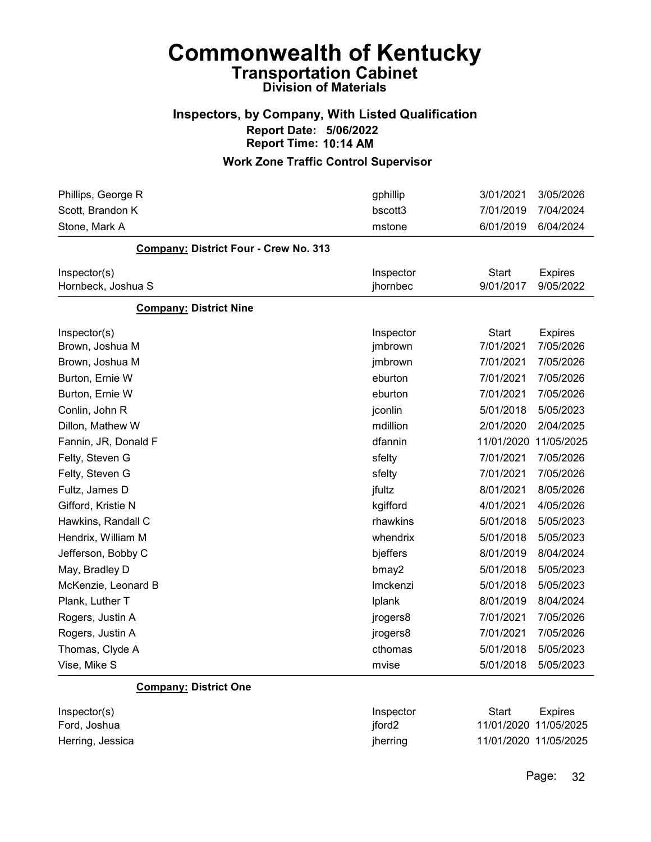#### Inspectors, by Company, With Listed Qualification Report Date: 5/06/2022 Report Time: 10:14 AM

#### Work Zone Traffic Control Supervisor

| Phillips, George R                           | gphillip            | 3/01/2021    | 3/05/2026             |
|----------------------------------------------|---------------------|--------------|-----------------------|
| Scott, Brandon K                             | bscott <sub>3</sub> | 7/01/2019    | 7/04/2024             |
| Stone, Mark A                                | mstone              | 6/01/2019    | 6/04/2024             |
| Company: District Four - Crew No. 313        |                     |              |                       |
| Inspector(s)                                 | Inspector           | <b>Start</b> | <b>Expires</b>        |
| Hornbeck, Joshua S                           | jhornbec            | 9/01/2017    | 9/05/2022             |
| <b>Company: District Nine</b>                |                     |              |                       |
| Inspector(s)                                 | Inspector           | <b>Start</b> | <b>Expires</b>        |
| Brown, Joshua M                              | jmbrown             | 7/01/2021    | 7/05/2026             |
| Brown, Joshua M                              | jmbrown             | 7/01/2021    | 7/05/2026             |
| Burton, Ernie W                              | eburton             | 7/01/2021    | 7/05/2026             |
| Burton, Ernie W                              | eburton             | 7/01/2021    | 7/05/2026             |
| Conlin, John R                               | jconlin             | 5/01/2018    | 5/05/2023             |
| Dillon, Mathew W                             | mdillion            | 2/01/2020    | 2/04/2025             |
| Fannin, JR, Donald F                         | dfannin             | 11/01/2020   | 11/05/2025            |
| Felty, Steven G                              | sfelty              | 7/01/2021    | 7/05/2026             |
| Felty, Steven G                              | sfelty              | 7/01/2021    | 7/05/2026             |
| Fultz, James D                               | jfultz              | 8/01/2021    | 8/05/2026             |
| Gifford, Kristie N                           | kgifford            | 4/01/2021    | 4/05/2026             |
| Hawkins, Randall C                           | rhawkins            | 5/01/2018    | 5/05/2023             |
| Hendrix, William M                           | whendrix            | 5/01/2018    | 5/05/2023             |
| Jefferson, Bobby C                           | bjeffers            | 8/01/2019    | 8/04/2024             |
| May, Bradley D                               | bmay2               | 5/01/2018    | 5/05/2023             |
| McKenzie, Leonard B                          | Imckenzi            | 5/01/2018    | 5/05/2023             |
| Plank, Luther T                              | Iplank              | 8/01/2019    | 8/04/2024             |
| Rogers, Justin A                             | jrogers8            | 7/01/2021    | 7/05/2026             |
| Rogers, Justin A                             | jrogers8            | 7/01/2021    | 7/05/2026             |
| Thomas, Clyde A                              | cthomas             | 5/01/2018    | 5/05/2023             |
| Vise, Mike S<br><b>Company: District One</b> | mvise               | 5/01/2018    | 5/05/2023             |
| Inspector(s)                                 | Inspector           | <b>Start</b> | <b>Expires</b>        |
| Ford, Joshua                                 | jford2              |              | 11/01/2020 11/05/2025 |

Herring, Jessica **intervalse and the intervalse of the intervalse intervalse intervalse intervalse in the intervalse of the intervalse intervalse intervalse intervalse intervalse intervalse intervalse intervalse intervalse**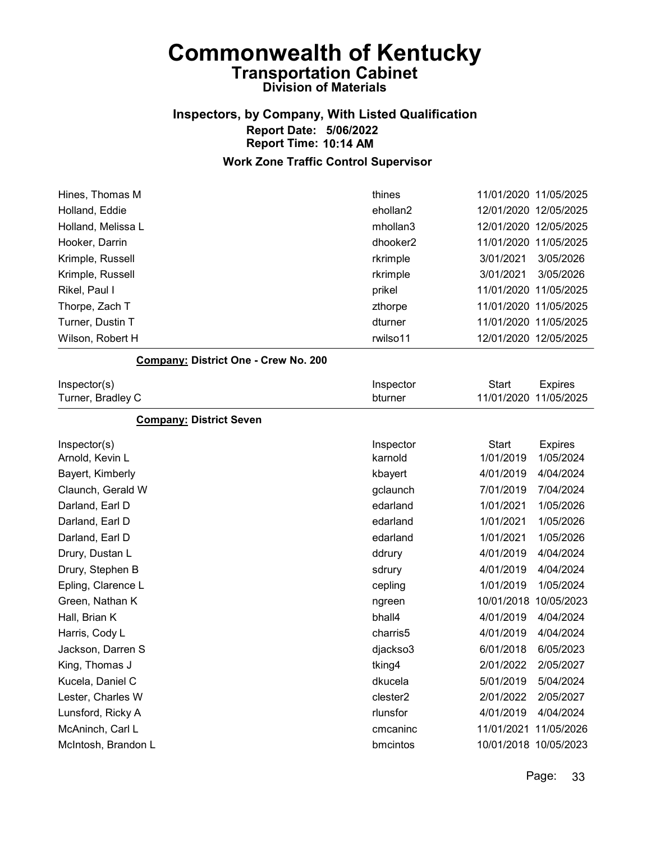### Inspectors, by Company, With Listed Qualification Report Date: 5/06/2022 Report Time: 10:14 AM

| Hines, Thomas M                      | thines    |              | 11/01/2020 11/05/2025 |
|--------------------------------------|-----------|--------------|-----------------------|
| Holland, Eddie                       | ehollan2  |              | 12/01/2020 12/05/2025 |
| Holland, Melissa L                   | mhollan3  |              | 12/01/2020 12/05/2025 |
| Hooker, Darrin                       | dhooker2  |              | 11/01/2020 11/05/2025 |
| Krimple, Russell                     | rkrimple  | 3/01/2021    | 3/05/2026             |
| Krimple, Russell                     | rkrimple  | 3/01/2021    | 3/05/2026             |
| Rikel, Paul I                        | prikel    |              | 11/01/2020 11/05/2025 |
| Thorpe, Zach T                       | zthorpe   |              | 11/01/2020 11/05/2025 |
| Turner, Dustin T                     | dturner   |              | 11/01/2020 11/05/2025 |
| Wilson, Robert H                     | rwilso11  |              | 12/01/2020 12/05/2025 |
| Company: District One - Crew No. 200 |           |              |                       |
| Inspector(s)                         | Inspector | <b>Start</b> | <b>Expires</b>        |
| Turner, Bradley C                    | bturner   | 11/01/2020   | 11/05/2025            |
| <b>Company: District Seven</b>       |           |              |                       |
| Inspector(s)                         | Inspector | <b>Start</b> | <b>Expires</b>        |
| Arnold, Kevin L                      | karnold   | 1/01/2019    | 1/05/2024             |
| Bayert, Kimberly                     | kbayert   | 4/01/2019    | 4/04/2024             |
| Claunch, Gerald W                    | gclaunch  | 7/01/2019    | 7/04/2024             |
| Darland, Earl D                      | edarland  | 1/01/2021    | 1/05/2026             |
| Darland, Earl D                      | edarland  | 1/01/2021    | 1/05/2026             |
| Darland, Earl D                      | edarland  | 1/01/2021    | 1/05/2026             |
| Drury, Dustan L                      | ddrury    | 4/01/2019    | 4/04/2024             |
| Drury, Stephen B                     | sdrury    | 4/01/2019    | 4/04/2024             |
| Epling, Clarence L                   | cepling   | 1/01/2019    | 1/05/2024             |
| Green, Nathan K                      | ngreen    | 10/01/2018   | 10/05/2023            |
| Hall, Brian K                        | bhall4    | 4/01/2019    | 4/04/2024             |
| Harris, Cody L                       | charris5  | 4/01/2019    | 4/04/2024             |
| Jackson, Darren S                    | djackso3  | 6/01/2018    | 6/05/2023             |
| King, Thomas J                       | tking4    | 2/01/2022    | 2/05/2027             |
| Kucela, Daniel C                     | dkucela   | 5/01/2019    | 5/04/2024             |
| Lester, Charles W                    | clester2  | 2/01/2022    | 2/05/2027             |
| Lunsford, Ricky A                    | rlunsfor  | 4/01/2019    | 4/04/2024             |
| McAninch, Carl L                     | cmcaninc  |              | 11/01/2021 11/05/2026 |
| McIntosh, Brandon L                  | bmcintos  |              | 10/01/2018 10/05/2023 |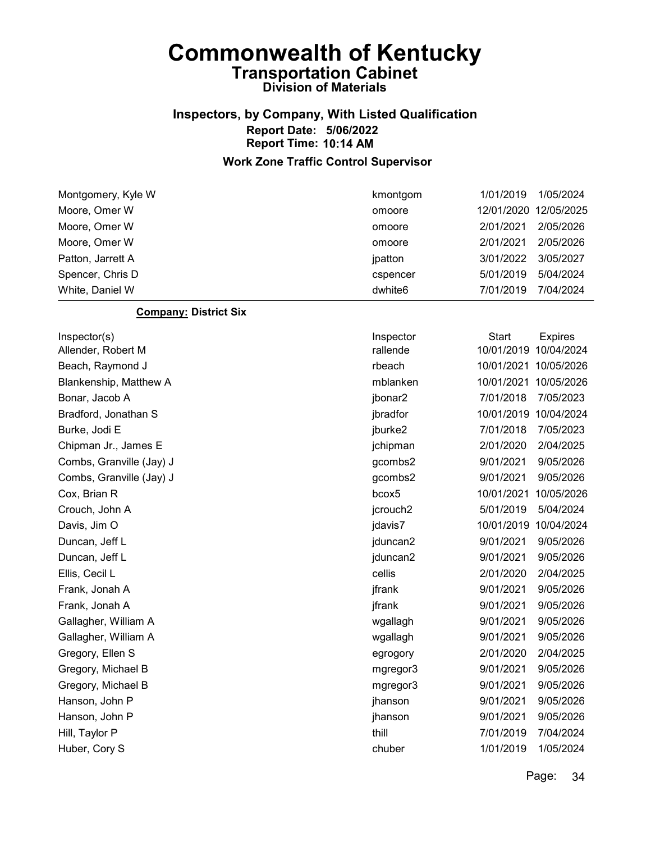### Inspectors, by Company, With Listed Qualification Report Date: 5/06/2022 Report Time: 10:14 AM

#### Work Zone Traffic Control Supervisor

| White, Daniel W    | dwhite <sub>6</sub> | 7/01/2019  | 7/04/2024  |
|--------------------|---------------------|------------|------------|
| Spencer, Chris D   | cspencer            | 5/01/2019  | 5/04/2024  |
| Patton, Jarrett A  | jpatton             | 3/01/2022  | 3/05/2027  |
| Moore, Omer W      | omoore              | 2/01/2021  | 2/05/2026  |
| Moore, Omer W      | omoore              | 2/01/2021  | 2/05/2026  |
| Moore, Omer W      | omoore              | 12/01/2020 | 12/05/2025 |
| Montgomery, Kyle W | kmontgom            | 1/01/2019  | 1/05/2024  |

#### Company: District Six

| Inspector(s)             | Inspector            | <b>Start</b> | <b>Expires</b> |
|--------------------------|----------------------|--------------|----------------|
| Allender, Robert M       | rallende             | 10/01/2019   | 10/04/2024     |
| Beach, Raymond J         | rbeach               | 10/01/2021   | 10/05/2026     |
| Blankenship, Matthew A   | mblanken             | 10/01/2021   | 10/05/2026     |
| Bonar, Jacob A           | jbonar2              | 7/01/2018    | 7/05/2023      |
| Bradford, Jonathan S     | jbradfor             | 10/01/2019   | 10/04/2024     |
| Burke, Jodi E            | jburke2              | 7/01/2018    | 7/05/2023      |
| Chipman Jr., James E     | jchipman             | 2/01/2020    | 2/04/2025      |
| Combs, Granville (Jay) J | gcombs2              | 9/01/2021    | 9/05/2026      |
| Combs, Granville (Jay) J | gcombs2              | 9/01/2021    | 9/05/2026      |
| Cox, Brian R             | bcox <sub>5</sub>    | 10/01/2021   | 10/05/2026     |
| Crouch, John A           | jcrouch <sub>2</sub> | 5/01/2019    | 5/04/2024      |
| Davis, Jim O             | jdavis7              | 10/01/2019   | 10/04/2024     |
| Duncan, Jeff L           | jduncan2             | 9/01/2021    | 9/05/2026      |
| Duncan, Jeff L           | jduncan2             | 9/01/2021    | 9/05/2026      |
| Ellis, Cecil L           | cellis               | 2/01/2020    | 2/04/2025      |
| Frank, Jonah A           | jfrank               | 9/01/2021    | 9/05/2026      |
| Frank, Jonah A           | jfrank               | 9/01/2021    | 9/05/2026      |
| Gallagher, William A     | wgallagh             | 9/01/2021    | 9/05/2026      |
| Gallagher, William A     | wgallagh             | 9/01/2021    | 9/05/2026      |
| Gregory, Ellen S         | egrogory             | 2/01/2020    | 2/04/2025      |
| Gregory, Michael B       | mgregor3             | 9/01/2021    | 9/05/2026      |
| Gregory, Michael B       | mgregor3             | 9/01/2021    | 9/05/2026      |
| Hanson, John P           | jhanson              | 9/01/2021    | 9/05/2026      |
| Hanson, John P           | jhanson              | 9/01/2021    | 9/05/2026      |
| Hill, Taylor P           | thill                | 7/01/2019    | 7/04/2024      |
| Huber, Cory S            | chuber               | 1/01/2019    | 1/05/2024      |
|                          |                      |              |                |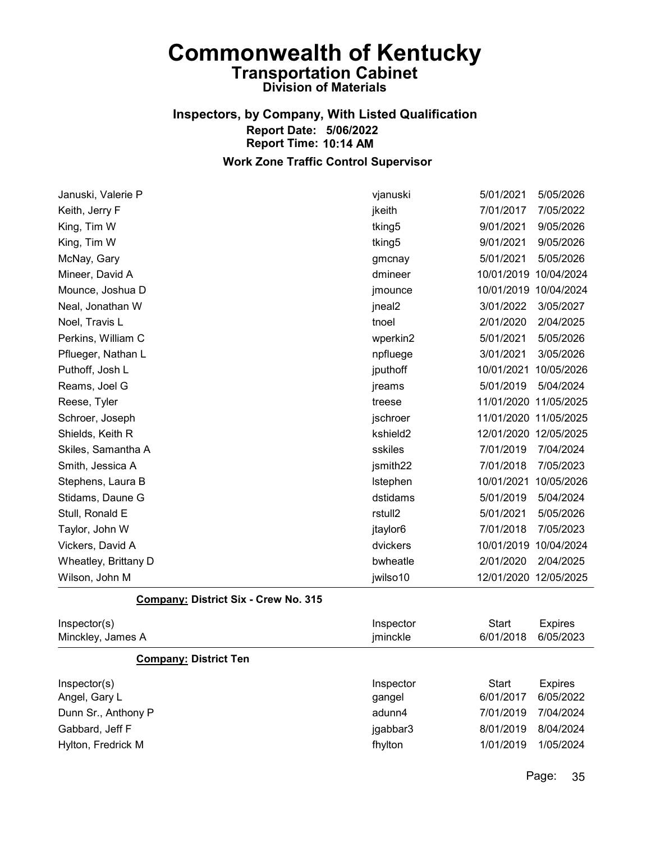#### Inspectors, by Company, With Listed Qualification Report Date: 5/06/2022 Report Time: 10:14 AM Work Zone Traffic Control Supervisor

Januski, Valerie P vjanuski 5/01/2021 5/05/2026 Keith, Jerry F **in the contract of the contract of the contract of the contract of the contract of the contract of the contract of the contract of the contract of the contract of the contract of the contract of the contrac** King, Tim W tking5 9/01/2021 9/05/2026 King, Tim W tking5 9/01/2021 9/05/2026 McNay, Gary gmcnay 5/01/2021 5/05/2026 Mineer, David A dmineer 10/01/2019 10/04/2024 Mounce, Joshua D jmounce 10/01/2019 10/04/2024 Neal, Jonathan W jneal2 3/01/2022 3/05/2027 Noel, Travis L tnoel 2/01/2020 2/04/2025 Perkins, William C **No. 2018 C** wperkin2 5/01/2021 5/05/2026 Pflueger, Nathan L npfluege 3/01/2021 3/05/2026 Puthoff, Josh L jputhoff 10/01/2021 10/05/2026 Reams, Joel G in the state of the state of the state of the state of the state of the state of the state of the state of the state of the state of the state of the state of the state of the state of the state of the state Reese, Tyler treese 11/01/2020 11/05/2025 Schroer, Joseph jschroer 11/01/2020 11/05/2025 Shields, Keith R kshield2 12/01/2020 12/05/2025 Skiles, Samantha A sskiles 7/01/2019 7/04/2024 Smith, Jessica A jsmith22 7/01/2018 7/05/2023 Stephens, Laura B lstephen 10/01/2021 10/05/2026 Stidams, Daune G dstidams 5/01/2019 5/04/2024 Stull, Ronald E rstull2 5/01/2021 5/05/2026 Taylor, John W jtaylor6 7/01/2018 7/05/2023 Vickers, David A dvickers 10/01/2019 10/04/2024 Wheatley, Brittany D **bwheatle 2/01/2020** 2/04/2025 Wilson, John M jwilso10 12/01/2020 12/05/2025

#### Company: District Six - Crew No. 315

| Inspector(s)<br>Minckley, James A | Inspector<br>jminckle | Start<br>6/01/2018 | <b>Expires</b><br>6/05/2023 |
|-----------------------------------|-----------------------|--------------------|-----------------------------|
| <b>Company: District Ten</b>      |                       |                    |                             |
| Inspector(s)<br>Angel, Gary L     | Inspector<br>gangel   | Start<br>6/01/2017 | <b>Expires</b><br>6/05/2022 |
| Dunn Sr., Anthony P               | adunn4                | 7/01/2019          | 7/04/2024                   |
| Gabbard, Jeff F                   | jgabbar3              | 8/01/2019          | 8/04/2024                   |
| Hylton, Fredrick M                | fhylton               | 1/01/2019          | 1/05/2024                   |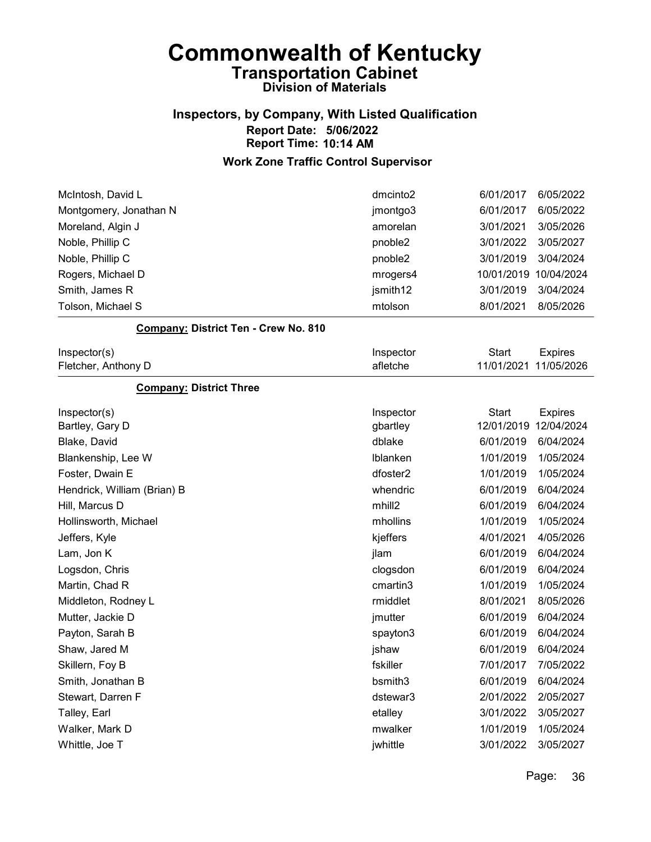### Inspectors, by Company, With Listed Qualification Report Date: 5/06/2022 Report Time: 10:14 AM

#### Work Zone Traffic Control Supervisor

| McIntosh, David L      | dmcinto <sub>2</sub> | 6/01/2017             | 6/05/2022 |
|------------------------|----------------------|-----------------------|-----------|
| Montgomery, Jonathan N | jmontgo3             | 6/01/2017             | 6/05/2022 |
| Moreland, Algin J      | amorelan             | 3/01/2021             | 3/05/2026 |
| Noble, Phillip C       | pnoble2              | 3/01/2022             | 3/05/2027 |
| Noble, Phillip C       | pnoble2              | 3/01/2019             | 3/04/2024 |
| Rogers, Michael D      | mrogers4             | 10/01/2019 10/04/2024 |           |
| Smith, James R         | jsmith12             | 3/01/2019             | 3/04/2024 |
| Tolson, Michael S      | mtolson              | 8/01/2021             | 8/05/2026 |
|                        |                      |                       |           |

#### Company: District Ten - Crew No. 810

| Inspector(s)<br>Fletcher, Anthony D | Inspector<br>afletche | <b>Start</b><br>11/01/2021 | <b>Expires</b><br>11/05/2026 |
|-------------------------------------|-----------------------|----------------------------|------------------------------|
| <b>Company: District Three</b>      |                       |                            |                              |
| Inspector(s)<br>Bartley, Gary D     | Inspector<br>gbartley | <b>Start</b><br>12/01/2019 | <b>Expires</b><br>12/04/2024 |
| Blake, David                        | dblake                | 6/01/2019                  | 6/04/2024                    |
| Blankenship, Lee W                  | Iblanken              | 1/01/2019                  | 1/05/2024                    |
| Foster, Dwain E                     | dfoster2              | 1/01/2019                  | 1/05/2024                    |
| Hendrick, William (Brian) B         | whendric              | 6/01/2019                  | 6/04/2024                    |
| Hill, Marcus D                      | mhill2                | 6/01/2019                  | 6/04/2024                    |
| Hollinsworth, Michael               | mhollins              | 1/01/2019                  | 1/05/2024                    |
| Jeffers, Kyle                       | kjeffers              | 4/01/2021                  | 4/05/2026                    |
| Lam, Jon K                          | jlam                  | 6/01/2019                  | 6/04/2024                    |
| Logsdon, Chris                      | clogsdon              | 6/01/2019                  | 6/04/2024                    |
| Martin, Chad R                      | cmartin3              | 1/01/2019                  | 1/05/2024                    |
| Middleton, Rodney L                 | rmiddlet              | 8/01/2021                  | 8/05/2026                    |
| Mutter, Jackie D                    | jmutter               | 6/01/2019                  | 6/04/2024                    |
| Payton, Sarah B                     | spayton3              | 6/01/2019                  | 6/04/2024                    |
| Shaw, Jared M                       | jshaw                 | 6/01/2019                  | 6/04/2024                    |
| Skillern, Foy B                     | fskiller              | 7/01/2017                  | 7/05/2022                    |
| Smith, Jonathan B                   | bsmith3               | 6/01/2019                  | 6/04/2024                    |
| Stewart, Darren F                   | dstewar3              | 2/01/2022                  | 2/05/2027                    |
| Talley, Earl                        | etalley               | 3/01/2022                  | 3/05/2027                    |
| Walker, Mark D                      | mwalker               | 1/01/2019                  | 1/05/2024                    |
| Whittle, Joe T                      | jwhittle              | 3/01/2022                  | 3/05/2027                    |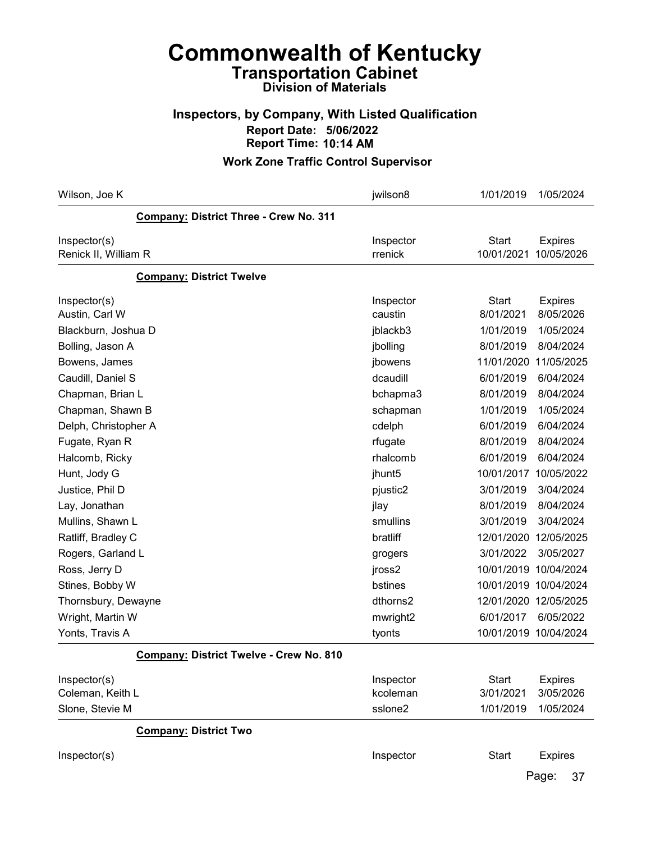#### Inspectors, by Company, With Listed Qualification Report Date: 5/06/2022 Report Time: 10:14 AM

#### Work Zone Traffic Control Supervisor

| Wilson, Joe K                           | jwilson8              | 1/01/2019                  | 1/05/2024                    |
|-----------------------------------------|-----------------------|----------------------------|------------------------------|
| Company: District Three - Crew No. 311  |                       |                            |                              |
| Inspector(s)<br>Renick II, William R    | Inspector<br>rrenick  | <b>Start</b><br>10/01/2021 | <b>Expires</b><br>10/05/2026 |
| <b>Company: District Twelve</b>         |                       |                            |                              |
| Inspector(s)<br>Austin, Carl W          | Inspector<br>caustin  | <b>Start</b><br>8/01/2021  | <b>Expires</b><br>8/05/2026  |
| Blackburn, Joshua D                     | jblackb3              | 1/01/2019                  | 1/05/2024                    |
| Bolling, Jason A                        | jbolling              | 8/01/2019                  | 8/04/2024                    |
| Bowens, James                           | jbowens               | 11/01/2020                 | 11/05/2025                   |
| Caudill, Daniel S                       | dcaudill              | 6/01/2019                  | 6/04/2024                    |
| Chapman, Brian L                        | bchapma3              | 8/01/2019                  | 8/04/2024                    |
| Chapman, Shawn B                        | schapman              | 1/01/2019                  | 1/05/2024                    |
| Delph, Christopher A                    | cdelph                | 6/01/2019                  | 6/04/2024                    |
| Fugate, Ryan R                          | rfugate               | 8/01/2019                  | 8/04/2024                    |
| Halcomb, Ricky                          | rhalcomb              | 6/01/2019                  | 6/04/2024                    |
| Hunt, Jody G                            | jhunt <sub>5</sub>    | 10/01/2017                 | 10/05/2022                   |
| Justice, Phil D                         | pjustic2              | 3/01/2019                  | 3/04/2024                    |
| Lay, Jonathan                           | jlay                  | 8/01/2019                  | 8/04/2024                    |
| Mullins, Shawn L                        | smullins              | 3/01/2019                  | 3/04/2024                    |
| Ratliff, Bradley C                      | bratliff              | 12/01/2020                 | 12/05/2025                   |
| Rogers, Garland L                       | grogers               | 3/01/2022                  | 3/05/2027                    |
| Ross, Jerry D                           | jross2                | 10/01/2019                 | 10/04/2024                   |
| Stines, Bobby W                         | bstines               |                            | 10/01/2019 10/04/2024        |
| Thornsbury, Dewayne                     | dthorns2              |                            | 12/01/2020 12/05/2025        |
| Wright, Martin W                        | mwright2              | 6/01/2017                  | 6/05/2022                    |
| Yonts, Travis A                         | tyonts                |                            | 10/01/2019 10/04/2024        |
| Company: District Twelve - Crew No. 810 |                       |                            |                              |
| Inspector(s)<br>Coleman, Keith L        | Inspector<br>kcoleman | <b>Start</b><br>3/01/2021  | <b>Expires</b><br>3/05/2026  |
| Slone, Stevie M                         | sslone2               | 1/01/2019                  | 1/05/2024                    |
| <b>Company: District Two</b>            |                       |                            |                              |
| Inspector(s)                            | Inspector             | <b>Start</b>               | <b>Expires</b>               |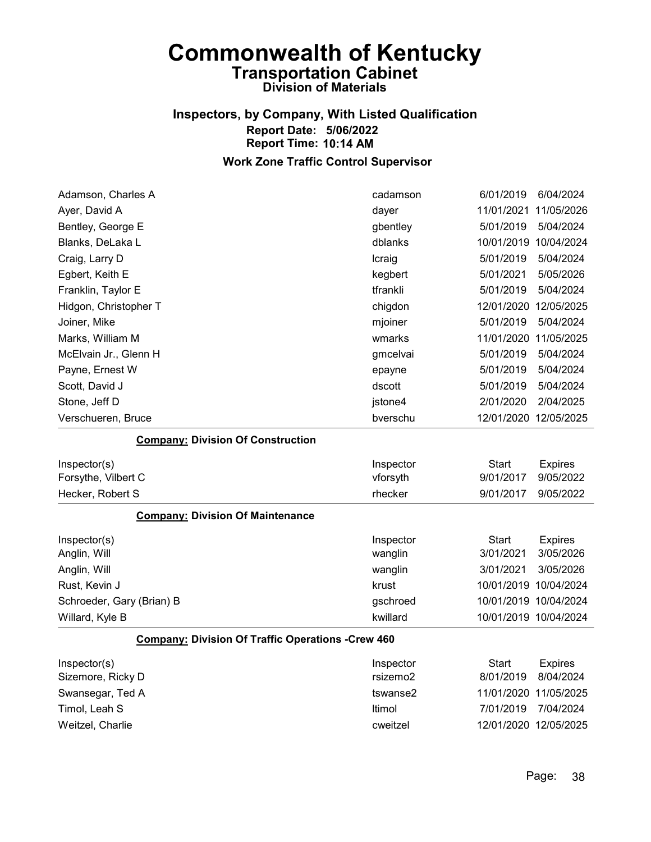### Inspectors, by Company, With Listed Qualification Report Date: 5/06/2022 Report Time: 10:14 AM

| Adamson, Charles A                                       | cadamson  | 6/01/2019    | 6/04/2024             |
|----------------------------------------------------------|-----------|--------------|-----------------------|
| Ayer, David A                                            | dayer     | 11/01/2021   | 11/05/2026            |
| Bentley, George E                                        | gbentley  | 5/01/2019    | 5/04/2024             |
| Blanks, DeLaka L                                         | dblanks   |              | 10/01/2019 10/04/2024 |
| Craig, Larry D                                           | Icraig    | 5/01/2019    | 5/04/2024             |
| Egbert, Keith E                                          | kegbert   | 5/01/2021    | 5/05/2026             |
| Franklin, Taylor E                                       | tfrankli  | 5/01/2019    | 5/04/2024             |
| Hidgon, Christopher T                                    | chigdon   | 12/01/2020   | 12/05/2025            |
| Joiner, Mike                                             | mjoiner   | 5/01/2019    | 5/04/2024             |
| Marks, William M                                         | wmarks    |              | 11/01/2020 11/05/2025 |
| McElvain Jr., Glenn H                                    | gmcelvai  | 5/01/2019    | 5/04/2024             |
| Payne, Ernest W                                          | epayne    | 5/01/2019    | 5/04/2024             |
| Scott, David J                                           | dscott    | 5/01/2019    | 5/04/2024             |
| Stone, Jeff D                                            | jstone4   | 2/01/2020    | 2/04/2025             |
| Verschueren, Bruce                                       | bverschu  |              | 12/01/2020 12/05/2025 |
| <b>Company: Division Of Construction</b>                 |           |              |                       |
| Inspector(s)                                             | Inspector | Start        | <b>Expires</b>        |
| Forsythe, Vilbert C                                      | vforsyth  | 9/01/2017    | 9/05/2022             |
| Hecker, Robert S                                         | rhecker   | 9/01/2017    | 9/05/2022             |
| <b>Company: Division Of Maintenance</b>                  |           |              |                       |
| Inspector(s)                                             | Inspector | <b>Start</b> | <b>Expires</b>        |
| Anglin, Will                                             | wanglin   | 3/01/2021    | 3/05/2026             |
| Anglin, Will                                             | wanglin   | 3/01/2021    | 3/05/2026             |
| Rust, Kevin J                                            | krust     |              | 10/01/2019 10/04/2024 |
| Schroeder, Gary (Brian) B                                | gschroed  |              | 10/01/2019 10/04/2024 |
| Willard, Kyle B                                          | kwillard  |              | 10/01/2019 10/04/2024 |
| <b>Company: Division Of Traffic Operations -Crew 460</b> |           |              |                       |
| Inspector(s)                                             | Inspector | <b>Start</b> | <b>Expires</b>        |
| Sizemore, Ricky D                                        | rsizemo2  | 8/01/2019    | 8/04/2024             |
| Swansegar, Ted A                                         | tswanse2  |              | 11/01/2020 11/05/2025 |
| Timol, Leah S                                            | Itimol    | 7/01/2019    | 7/04/2024             |
|                                                          |           |              |                       |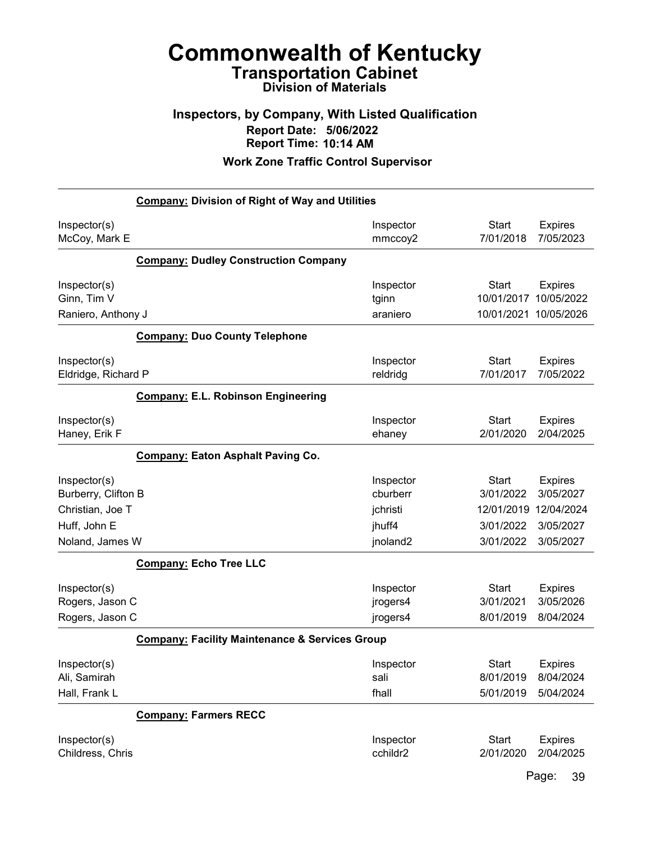#### Inspectors, by Company, With Listed Qualification Report Date: 5/06/2022 Report Time: 10:14 AM

#### Work Zone Traffic Control Supervisor

|                                                    | <b>Company: Division of Right of Way and Utilities</b>    |                                   |                                        |                                                       |
|----------------------------------------------------|-----------------------------------------------------------|-----------------------------------|----------------------------------------|-------------------------------------------------------|
| Inspector(s)<br>McCoy, Mark E                      |                                                           | Inspector<br>mmccoy2              | <b>Start</b><br>7/01/2018              | <b>Expires</b><br>7/05/2023                           |
|                                                    | <b>Company: Dudley Construction Company</b>               |                                   |                                        |                                                       |
| Inspector(s)<br>Ginn, Tim V<br>Raniero, Anthony J  |                                                           | Inspector<br>tginn<br>araniero    | <b>Start</b><br>10/01/2017             | <b>Expires</b><br>10/05/2022<br>10/01/2021 10/05/2026 |
|                                                    | <b>Company: Duo County Telephone</b>                      |                                   |                                        |                                                       |
| Inspector(s)<br>Eldridge, Richard P                |                                                           | Inspector<br>reldridg             | <b>Start</b><br>7/01/2017              | <b>Expires</b><br>7/05/2022                           |
|                                                    | <b>Company: E.L. Robinson Engineering</b>                 |                                   |                                        |                                                       |
| Inspector(s)<br>Haney, Erik F                      |                                                           | Inspector<br>ehaney               | <b>Start</b><br>2/01/2020              | <b>Expires</b><br>2/04/2025                           |
|                                                    | Company: Eaton Asphalt Paving Co.                         |                                   |                                        |                                                       |
| Inspector(s)<br>Burberry, Clifton B                |                                                           | Inspector<br>cburberr             | <b>Start</b><br>3/01/2022              | <b>Expires</b><br>3/05/2027                           |
| Christian, Joe T                                   |                                                           | jchristi                          | 12/01/2019                             | 12/04/2024                                            |
| Huff, John E<br>Noland, James W                    |                                                           | jhuff4<br>jnoland2                | 3/01/2022<br>3/01/2022                 | 3/05/2027<br>3/05/2027                                |
|                                                    | <b>Company: Echo Tree LLC</b>                             |                                   |                                        |                                                       |
| Inspector(s)<br>Rogers, Jason C<br>Rogers, Jason C |                                                           | Inspector<br>jrogers4<br>jrogers4 | <b>Start</b><br>3/01/2021<br>8/01/2019 | <b>Expires</b><br>3/05/2026<br>8/04/2024              |
|                                                    | <b>Company: Facility Maintenance &amp; Services Group</b> |                                   |                                        |                                                       |
| Inspector(s)<br>Ali, Samirah<br>Hall, Frank L      |                                                           | Inspector<br>sali<br>fhall        | Start<br>8/01/2019<br>5/01/2019        | <b>Expires</b><br>8/04/2024<br>5/04/2024              |
|                                                    | <b>Company: Farmers RECC</b>                              |                                   |                                        |                                                       |
| Inspector(s)<br>Childress, Chris                   |                                                           | Inspector<br>cchildr2             | <b>Start</b><br>2/01/2020              | <b>Expires</b><br>2/04/2025                           |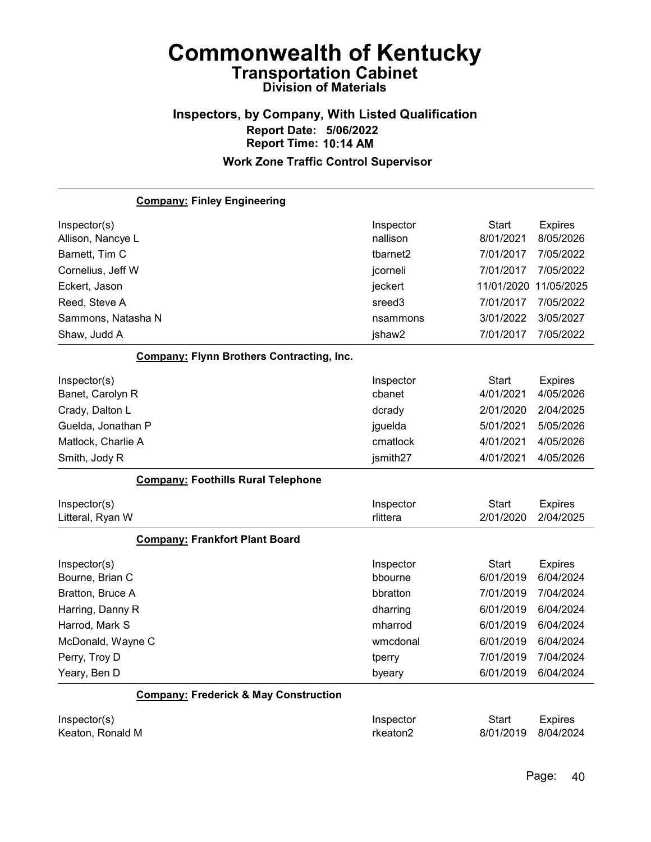#### Inspectors, by Company, With Listed Qualification Report Date: 5/06/2022 Report Time: 10:14 AM Work Zone Traffic Control Supervisor

### Company: Finley Engineering Inspector(s) **Inspector** Start Expires Allison, Nancye L nallison 8/01/2021 8/05/2026 Barnett, Tim C tbarnet2 1/01/2017 7/05/2022 Cornelius, Jeff W jcorneli 7/01/2017 7/05/2022 Eckert, Jason jeckert 11/01/2020 11/05/2025 Reed, Steve A sreed3 7/01/2017 7/05/2022 Sammons, Natasha N nsammons 3/01/2022 3/05/2027 Shaw, Judd A jshaw2 7/01/2017 7/05/2022 Company: Flynn Brothers Contracting, Inc. Inspector(s) **Inspector** Start Expires Banet, Carolyn R cbanet 4/01/2021 4/05/2026 Crady, Dalton L dcrady 2/01/2020 2/04/2025 Guelda, Jonathan P jguelda 5/01/2021 5/05/2026 Matlock, Charlie A cmatlock 4/01/2021 4/05/2026 Smith, Jody R jsmith27 4/01/2021 4/05/2026 Company: Foothills Rural Telephone Inspector(s) **Inspector** Start Expires Litteral, Ryan W rlittera 2/01/2020 2/04/2025 Company: Frankfort Plant Board Inspector(s) **Inspector** Start Expires Bourne, Brian C bbourne 6/01/2019 6/04/2024 Bratton, Bruce A bbratton 7/01/2019 7/04/2024 Harring, Danny R dharring 6/01/2019 6/04/2024 Harrod, Mark S mharrod 6/01/2019 6/04/2024 McDonald, Wayne C wmcdonal 6/01/2019 6/04/2024 Perry, Troy D **the Example 2018** the two theory that the three types of the type that the type three types of the types of the type types of the types of the types of the types of types of types of types of types of types Yeary, Ben D byeary 6/01/2019 6/04/2024 Company: Frederick & May Construction Inspector(s) **Inspector** Start Expires Keaton, Ronald M rkeaton2 8/01/2019 8/04/2024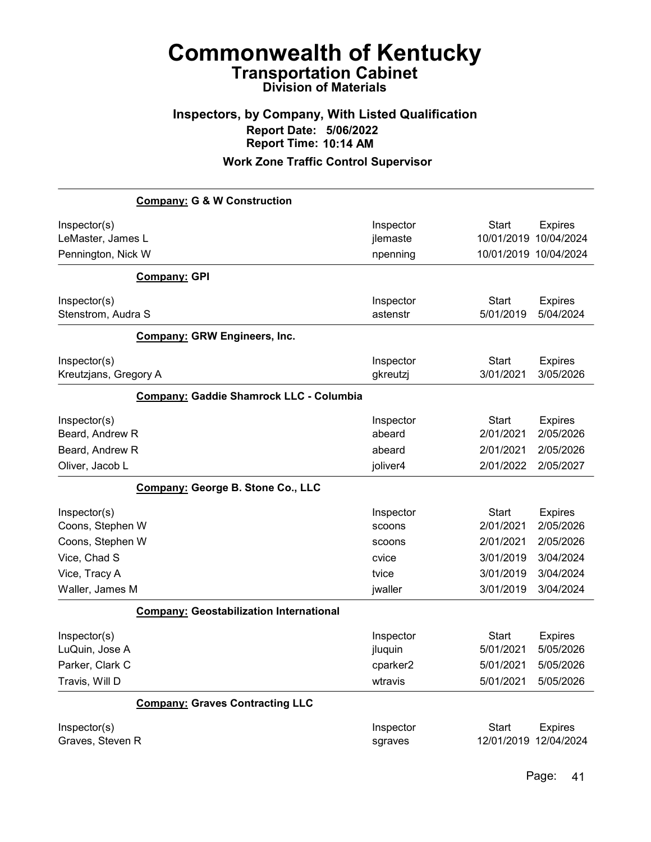### Inspectors, by Company, With Listed Qualification Report Date: 5/06/2022 Report Time: 10:14 AM

|                       | <b>Company: G &amp; W Construction</b>         |           |              |                       |
|-----------------------|------------------------------------------------|-----------|--------------|-----------------------|
| Inspector(s)          |                                                | Inspector | Start        | <b>Expires</b>        |
| LeMaster, James L     |                                                | jlemaste  | 10/01/2019   | 10/04/2024            |
| Pennington, Nick W    |                                                | npenning  |              | 10/01/2019 10/04/2024 |
| <b>Company: GPI</b>   |                                                |           |              |                       |
| Inspector(s)          |                                                | Inspector | <b>Start</b> | <b>Expires</b>        |
| Stenstrom, Audra S    |                                                | astenstr  | 5/01/2019    | 5/04/2024             |
|                       | <b>Company: GRW Engineers, Inc.</b>            |           |              |                       |
| Inspector(s)          |                                                | Inspector | <b>Start</b> | <b>Expires</b>        |
| Kreutzjans, Gregory A |                                                | gkreutzj  | 3/01/2021    | 3/05/2026             |
|                       | Company: Gaddie Shamrock LLC - Columbia        |           |              |                       |
| Inspector(s)          |                                                | Inspector | <b>Start</b> | <b>Expires</b>        |
| Beard, Andrew R       |                                                | abeard    | 2/01/2021    | 2/05/2026             |
| Beard, Andrew R       |                                                | abeard    | 2/01/2021    | 2/05/2026             |
| Oliver, Jacob L       |                                                | joliver4  | 2/01/2022    | 2/05/2027             |
|                       | Company: George B. Stone Co., LLC              |           |              |                       |
| Inspector(s)          |                                                | Inspector | <b>Start</b> | <b>Expires</b>        |
| Coons, Stephen W      |                                                | scoons    | 2/01/2021    | 2/05/2026             |
| Coons, Stephen W      |                                                | scoons    | 2/01/2021    | 2/05/2026             |
| Vice, Chad S          |                                                | cvice     | 3/01/2019    | 3/04/2024             |
| Vice, Tracy A         |                                                | tvice     | 3/01/2019    | 3/04/2024             |
| Waller, James M       |                                                | jwaller   | 3/01/2019    | 3/04/2024             |
|                       | <b>Company: Geostabilization International</b> |           |              |                       |
| Inspector(s)          |                                                | Inspector | <b>Start</b> | <b>Expires</b>        |
| LuQuin, Jose A        |                                                | jluquin   | 5/01/2021    | 5/05/2026             |
| Parker, Clark C       |                                                | cparker2  | 5/01/2021    | 5/05/2026             |
| Travis, Will D        |                                                | wtravis   | 5/01/2021    | 5/05/2026             |
|                       | <b>Company: Graves Contracting LLC</b>         |           |              |                       |
| Inspector(s)          |                                                | Inspector | <b>Start</b> | <b>Expires</b>        |
| Graves, Steven R      |                                                | sgraves   |              | 12/01/2019 12/04/2024 |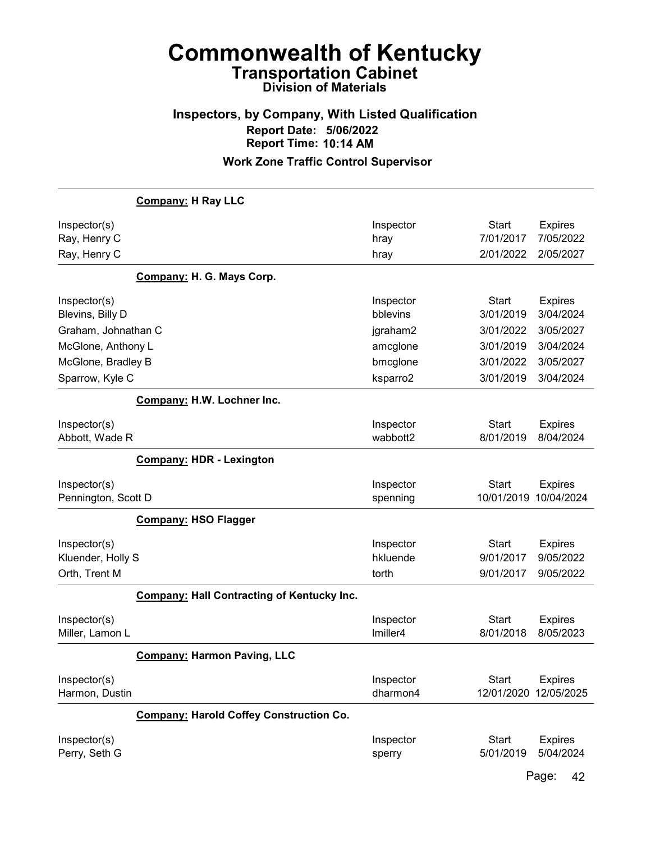### Inspectors, by Company, With Listed Qualification Report Date: 5/06/2022 Report Time: 10:14 AM

#### Work Zone Traffic Control Supervisor

|                                     | <b>Company: H Ray LLC</b>                         |                       |                            |                              |
|-------------------------------------|---------------------------------------------------|-----------------------|----------------------------|------------------------------|
| Inspector(s)                        |                                                   | Inspector             | <b>Start</b>               | <b>Expires</b>               |
| Ray, Henry C                        |                                                   | hray                  | 7/01/2017                  | 7/05/2022                    |
| Ray, Henry C                        |                                                   | hray                  | 2/01/2022                  | 2/05/2027                    |
|                                     | Company: H. G. Mays Corp.                         |                       |                            |                              |
| Inspector(s)                        |                                                   | Inspector             | <b>Start</b>               | <b>Expires</b>               |
| Blevins, Billy D                    |                                                   | bblevins              | 3/01/2019                  | 3/04/2024                    |
| Graham, Johnathan C                 |                                                   | jgraham2              | 3/01/2022                  | 3/05/2027                    |
| McGlone, Anthony L                  |                                                   | amcglone              | 3/01/2019                  | 3/04/2024                    |
| McGlone, Bradley B                  |                                                   | bmcglone              | 3/01/2022                  | 3/05/2027                    |
| Sparrow, Kyle C                     |                                                   | ksparro2              | 3/01/2019                  | 3/04/2024                    |
|                                     | Company: H.W. Lochner Inc.                        |                       |                            |                              |
| Inspector(s)                        |                                                   | Inspector             | <b>Start</b>               | <b>Expires</b>               |
| Abbott, Wade R                      |                                                   | wabbott2              | 8/01/2019                  | 8/04/2024                    |
|                                     | <b>Company: HDR - Lexington</b>                   |                       |                            |                              |
| Inspector(s)<br>Pennington, Scott D |                                                   | Inspector<br>spenning | <b>Start</b><br>10/01/2019 | <b>Expires</b><br>10/04/2024 |
|                                     | <b>Company: HSO Flagger</b>                       |                       |                            |                              |
| Inspector(s)                        |                                                   | Inspector             | <b>Start</b>               | <b>Expires</b>               |
| Kluender, Holly S                   |                                                   | hkluende              | 9/01/2017                  | 9/05/2022                    |
| Orth, Trent M                       |                                                   | torth                 | 9/01/2017                  | 9/05/2022                    |
|                                     | <b>Company: Hall Contracting of Kentucky Inc.</b> |                       |                            |                              |
| Inspector(s)<br>Miller, Lamon L     |                                                   | Inspector<br>Imiller4 | <b>Start</b><br>8/01/2018  | <b>Expires</b><br>8/05/2023  |
|                                     | <b>Company: Harmon Paving, LLC</b>                |                       |                            |                              |
| Inspector(s)<br>Harmon, Dustin      |                                                   | Inspector<br>dharmon4 | <b>Start</b><br>12/01/2020 | <b>Expires</b><br>12/05/2025 |
|                                     | <b>Company: Harold Coffey Construction Co.</b>    |                       |                            |                              |
| Inspector(s)<br>Perry, Seth G       |                                                   | Inspector<br>sperry   | <b>Start</b><br>5/01/2019  | <b>Expires</b><br>5/04/2024  |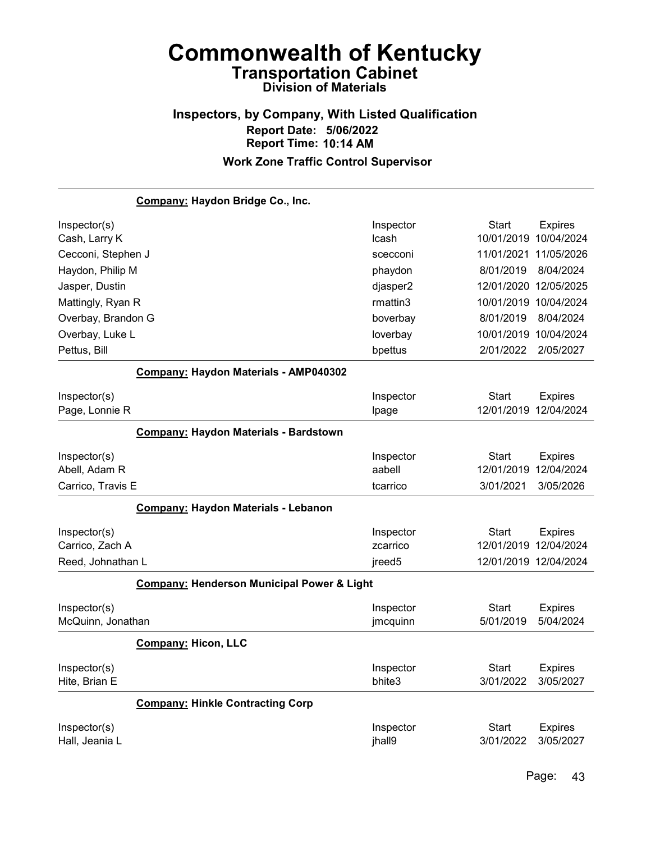#### Inspectors, by Company, With Listed Qualification Report Date: 5/06/2022 Report Time: 10:14 AM Work Zone Traffic Control Supervisor

|                    | Company: Haydon Bridge Co., Inc.           |                    |                       |                |
|--------------------|--------------------------------------------|--------------------|-----------------------|----------------|
| Inspector(s)       |                                            | Inspector          | <b>Start</b>          | <b>Expires</b> |
| Cash, Larry K      |                                            | Icash              | 10/01/2019            | 10/04/2024     |
| Cecconi, Stephen J |                                            | scecconi           | 11/01/2021            | 11/05/2026     |
| Haydon, Philip M   |                                            | phaydon            | 8/01/2019             | 8/04/2024      |
| Jasper, Dustin     |                                            | djasper2           | 12/01/2020            | 12/05/2025     |
| Mattingly, Ryan R  |                                            | rmattin3           | 10/01/2019            | 10/04/2024     |
| Overbay, Brandon G |                                            | boverbay           | 8/01/2019             | 8/04/2024      |
| Overbay, Luke L    |                                            | loverbay           | 10/01/2019            | 10/04/2024     |
| Pettus, Bill       |                                            | bpettus            | 2/01/2022             | 2/05/2027      |
|                    | Company: Haydon Materials - AMP040302      |                    |                       |                |
| Inspector(s)       |                                            | Inspector          | <b>Start</b>          | <b>Expires</b> |
| Page, Lonnie R     |                                            | Ipage              | 12/01/2019            | 12/04/2024     |
|                    | Company: Haydon Materials - Bardstown      |                    |                       |                |
| Inspector(s)       |                                            | Inspector          | <b>Start</b>          | <b>Expires</b> |
| Abell, Adam R      |                                            | aabell             | 12/01/2019            | 12/04/2024     |
| Carrico, Travis E  |                                            | tcarrico           | 3/01/2021             | 3/05/2026      |
|                    | Company: Haydon Materials - Lebanon        |                    |                       |                |
| Inspector(s)       |                                            | Inspector          | <b>Start</b>          | <b>Expires</b> |
| Carrico, Zach A    |                                            | zcarrico           | 12/01/2019            | 12/04/2024     |
| Reed, Johnathan L  |                                            | jreed <sub>5</sub> | 12/01/2019 12/04/2024 |                |
|                    | Company: Henderson Municipal Power & Light |                    |                       |                |
| Inspector(s)       |                                            | Inspector          | <b>Start</b>          | <b>Expires</b> |
| McQuinn, Jonathan  |                                            | jmcquinn           | 5/01/2019             | 5/04/2024      |
|                    | <b>Company: Hicon, LLC</b>                 |                    |                       |                |
| Inspector(s)       |                                            | Inspector          | <b>Start</b>          | <b>Expires</b> |
| Hite, Brian E      |                                            | bhite3             | 3/01/2022             | 3/05/2027      |
|                    | <b>Company: Hinkle Contracting Corp</b>    |                    |                       |                |
| Inspector(s)       |                                            | Inspector          | <b>Start</b>          | <b>Expires</b> |
| Hall, Jeania L     |                                            | jhall9             | 3/01/2022             | 3/05/2027      |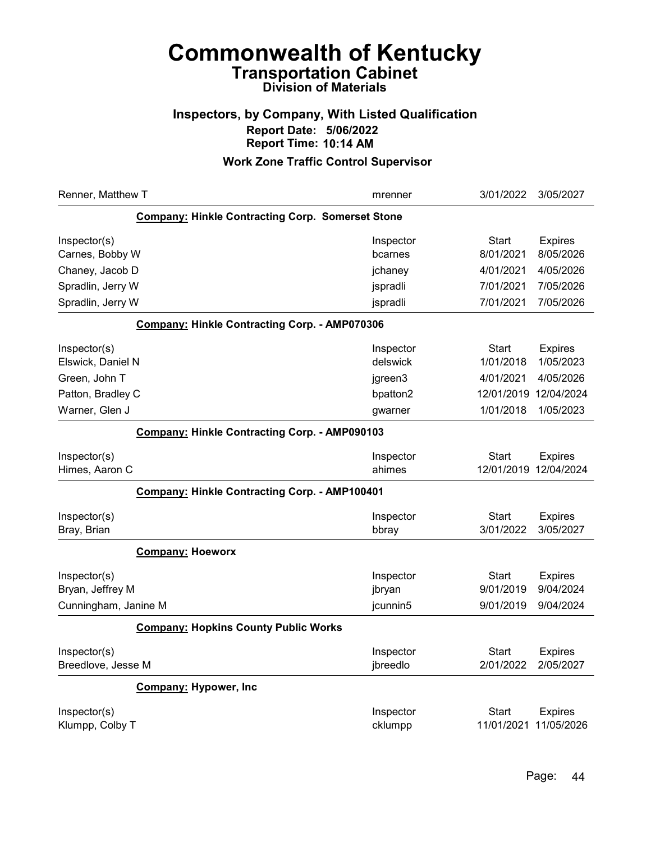#### Inspectors, by Company, With Listed Qualification Report Date: 5/06/2022 Report Time: 10:14 AM

| Renner, Matthew T                           |                                                         | mrenner               | 3/01/2022                 | 3/05/2027                   |  |
|---------------------------------------------|---------------------------------------------------------|-----------------------|---------------------------|-----------------------------|--|
|                                             | <b>Company: Hinkle Contracting Corp. Somerset Stone</b> |                       |                           |                             |  |
| Inspector(s)                                |                                                         | Inspector             | Start                     | <b>Expires</b>              |  |
| Carnes, Bobby W                             |                                                         | bcarnes               | 8/01/2021                 | 8/05/2026                   |  |
| Chaney, Jacob D                             |                                                         | jchaney               | 4/01/2021                 | 4/05/2026                   |  |
| Spradlin, Jerry W                           |                                                         | jspradli              | 7/01/2021                 | 7/05/2026                   |  |
| Spradlin, Jerry W                           |                                                         | jspradli              | 7/01/2021                 | 7/05/2026                   |  |
|                                             | Company: Hinkle Contracting Corp. - AMP070306           |                       |                           |                             |  |
| Inspector(s)                                |                                                         | Inspector             | Start                     | <b>Expires</b>              |  |
| Elswick, Daniel N                           |                                                         | delswick              | 1/01/2018                 | 1/05/2023                   |  |
| Green, John T                               |                                                         | jgreen3               | 4/01/2021                 | 4/05/2026                   |  |
| Patton, Bradley C                           |                                                         | bpatton2              | 12/01/2019                | 12/04/2024                  |  |
| Warner, Glen J                              |                                                         | gwarner               | 1/01/2018                 | 1/05/2023                   |  |
|                                             | Company: Hinkle Contracting Corp. - AMP090103           |                       |                           |                             |  |
| Inspector(s)                                |                                                         | Inspector             | <b>Start</b>              | <b>Expires</b>              |  |
| Himes, Aaron C                              |                                                         | ahimes                | 12/01/2019                | 12/04/2024                  |  |
|                                             | Company: Hinkle Contracting Corp. - AMP100401           |                       |                           |                             |  |
| Inspector(s)                                |                                                         | Inspector             | Start                     | <b>Expires</b>              |  |
| Bray, Brian                                 |                                                         | bbray                 | 3/01/2022                 | 3/05/2027                   |  |
|                                             | <b>Company: Hoeworx</b>                                 |                       |                           |                             |  |
| Inspector(s)                                |                                                         | Inspector             | Start                     | <b>Expires</b>              |  |
| Bryan, Jeffrey M                            |                                                         | jbryan                | 9/01/2019                 | 9/04/2024                   |  |
| Cunningham, Janine M                        |                                                         | jcunnin5              | 9/01/2019                 | 9/04/2024                   |  |
| <b>Company: Hopkins County Public Works</b> |                                                         |                       |                           |                             |  |
| Inspector(s)<br>Breedlove, Jesse M          |                                                         | Inspector<br>jbreedlo | <b>Start</b><br>2/01/2022 | <b>Expires</b><br>2/05/2027 |  |
|                                             | <b>Company: Hypower, Inc</b>                            |                       |                           |                             |  |
| Inspector(s)                                |                                                         | Inspector             | Start                     | <b>Expires</b>              |  |
| Klumpp, Colby T                             |                                                         | cklumpp               | 11/01/2021                | 11/05/2026                  |  |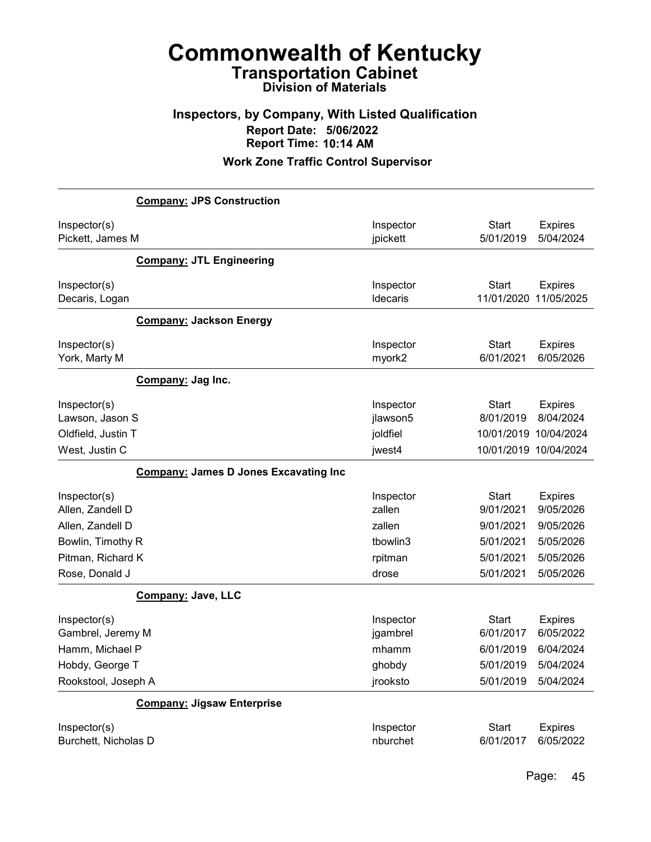#### Inspectors, by Company, With Listed Qualification Report Date: 5/06/2022 Report Time: 10:14 AM

|                                                                                                | <b>Company: JPS Construction</b>             |                                                      |                                                                  |                                                                    |
|------------------------------------------------------------------------------------------------|----------------------------------------------|------------------------------------------------------|------------------------------------------------------------------|--------------------------------------------------------------------|
| Inspector(s)<br>Pickett, James M                                                               |                                              | Inspector<br>jpickett                                | <b>Start</b><br>5/01/2019                                        | <b>Expires</b><br>5/04/2024                                        |
|                                                                                                | <b>Company: JTL Engineering</b>              |                                                      |                                                                  |                                                                    |
| Inspector(s)<br>Decaris, Logan                                                                 |                                              | Inspector<br>Idecaris                                | <b>Start</b><br>11/01/2020                                       | <b>Expires</b><br>11/05/2025                                       |
|                                                                                                | <b>Company: Jackson Energy</b>               |                                                      |                                                                  |                                                                    |
| Inspector(s)<br>York, Marty M                                                                  |                                              | Inspector<br>myork2                                  | <b>Start</b><br>6/01/2021                                        | <b>Expires</b><br>6/05/2026                                        |
|                                                                                                | Company: Jag Inc.                            |                                                      |                                                                  |                                                                    |
| Inspector(s)<br>Lawson, Jason S<br>Oldfield, Justin T                                          |                                              | Inspector<br>jlawson5<br>joldfiel                    | <b>Start</b><br>8/01/2019<br>10/01/2019                          | <b>Expires</b><br>8/04/2024<br>10/04/2024                          |
| West, Justin C                                                                                 |                                              | jwest4                                               | 10/01/2019 10/04/2024                                            |                                                                    |
|                                                                                                | <b>Company: James D Jones Excavating Inc</b> |                                                      |                                                                  |                                                                    |
| Inspector(s)<br>Allen, Zandell D<br>Allen, Zandell D<br>Bowlin, Timothy R<br>Pitman, Richard K |                                              | Inspector<br>zallen<br>zallen<br>tbowlin3<br>rpitman | <b>Start</b><br>9/01/2021<br>9/01/2021<br>5/01/2021<br>5/01/2021 | <b>Expires</b><br>9/05/2026<br>9/05/2026<br>5/05/2026<br>5/05/2026 |
| Rose, Donald J                                                                                 |                                              | drose                                                | 5/01/2021                                                        | 5/05/2026                                                          |
|                                                                                                | Company: Jave, LLC                           |                                                      |                                                                  |                                                                    |
| Inspector(s)<br>Gambrel, Jeremy M<br>Hamm, Michael P<br>Hobdy, George T<br>Rookstool, Joseph A |                                              | Inspector<br>jgambrel<br>mhamm<br>ghobdy<br>jrooksto | <b>Start</b><br>6/01/2017<br>6/01/2019<br>5/01/2019<br>5/01/2019 | <b>Expires</b><br>6/05/2022<br>6/04/2024<br>5/04/2024<br>5/04/2024 |
|                                                                                                | <b>Company: Jigsaw Enterprise</b>            |                                                      |                                                                  |                                                                    |
| Inspector(s)<br>Burchett, Nicholas D                                                           |                                              | Inspector<br>nburchet                                | <b>Start</b><br>6/01/2017                                        | <b>Expires</b><br>6/05/2022                                        |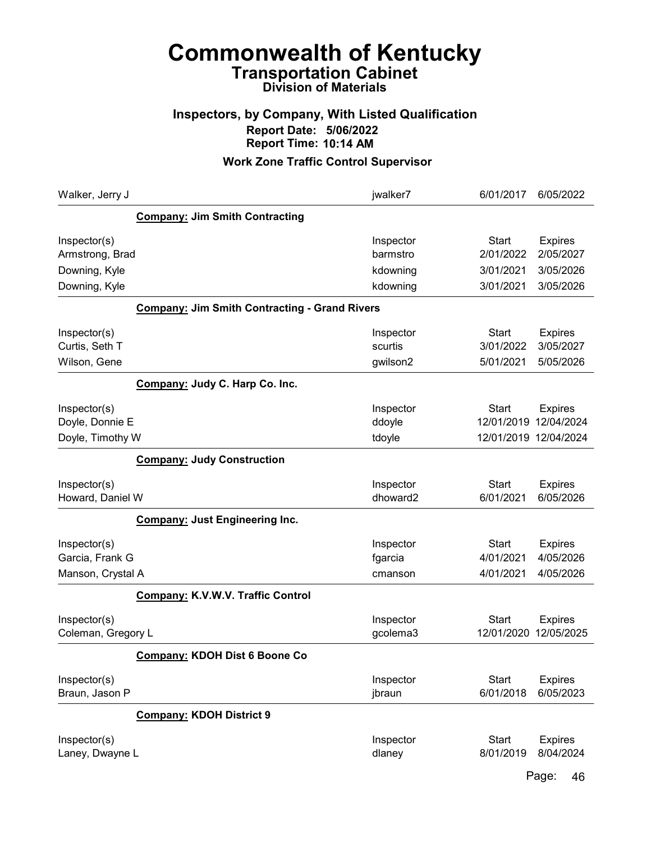#### Inspectors, by Company, With Listed Qualification Report Date: 5/06/2022 Report Time: 10:14 AM

| Walker, Jerry J                  |                                                      | jwalker7              | 6/01/2017                 | 6/05/2022                   |
|----------------------------------|------------------------------------------------------|-----------------------|---------------------------|-----------------------------|
|                                  | <b>Company: Jim Smith Contracting</b>                |                       |                           |                             |
| Inspector(s)                     |                                                      | Inspector             | <b>Start</b>              | <b>Expires</b>              |
| Armstrong, Brad                  |                                                      | barmstro              | 2/01/2022                 | 2/05/2027                   |
| Downing, Kyle                    |                                                      | kdowning              | 3/01/2021                 | 3/05/2026                   |
| Downing, Kyle                    |                                                      | kdowning              | 3/01/2021                 | 3/05/2026                   |
|                                  | <b>Company: Jim Smith Contracting - Grand Rivers</b> |                       |                           |                             |
| Inspector(s)                     |                                                      | Inspector             | <b>Start</b>              | <b>Expires</b>              |
| Curtis, Seth T                   |                                                      | scurtis               | 3/01/2022                 | 3/05/2027                   |
| Wilson, Gene                     |                                                      | gwilson2              | 5/01/2021                 | 5/05/2026                   |
|                                  | Company: Judy C. Harp Co. Inc.                       |                       |                           |                             |
| Inspector(s)                     |                                                      | Inspector             | <b>Start</b>              | <b>Expires</b>              |
| Doyle, Donnie E                  |                                                      | ddoyle                | 12/01/2019                | 12/04/2024                  |
| Doyle, Timothy W                 |                                                      | tdoyle                | 12/01/2019 12/04/2024     |                             |
|                                  | <b>Company: Judy Construction</b>                    |                       |                           |                             |
| Inspector(s)<br>Howard, Daniel W |                                                      | Inspector<br>dhoward2 | <b>Start</b><br>6/01/2021 | <b>Expires</b><br>6/05/2026 |
|                                  | <b>Company: Just Engineering Inc.</b>                |                       |                           |                             |
| Inspector(s)                     |                                                      | Inspector             | <b>Start</b>              | <b>Expires</b>              |
| Garcia, Frank G                  |                                                      | fgarcia               | 4/01/2021                 | 4/05/2026                   |
| Manson, Crystal A                |                                                      | cmanson               | 4/01/2021                 | 4/05/2026                   |
|                                  | <b>Company: K.V.W.V. Traffic Control</b>             |                       |                           |                             |
| Inspector(s)                     |                                                      | Inspector             | <b>Start</b>              | <b>Expires</b>              |
| Coleman, Gregory L               |                                                      | gcolema3              | 12/01/2020                | 12/05/2025                  |
|                                  | Company: KDOH Dist 6 Boone Co                        |                       |                           |                             |
| Inspector(s)                     |                                                      | Inspector             | <b>Start</b>              | <b>Expires</b>              |
| Braun, Jason P                   |                                                      | jbraun                | 6/01/2018                 | 6/05/2023                   |
|                                  | <b>Company: KDOH District 9</b>                      |                       |                           |                             |
| Inspector(s)                     |                                                      | Inspector             | <b>Start</b>              | <b>Expires</b>              |
| Laney, Dwayne L                  |                                                      | dlaney                | 8/01/2019                 | 8/04/2024                   |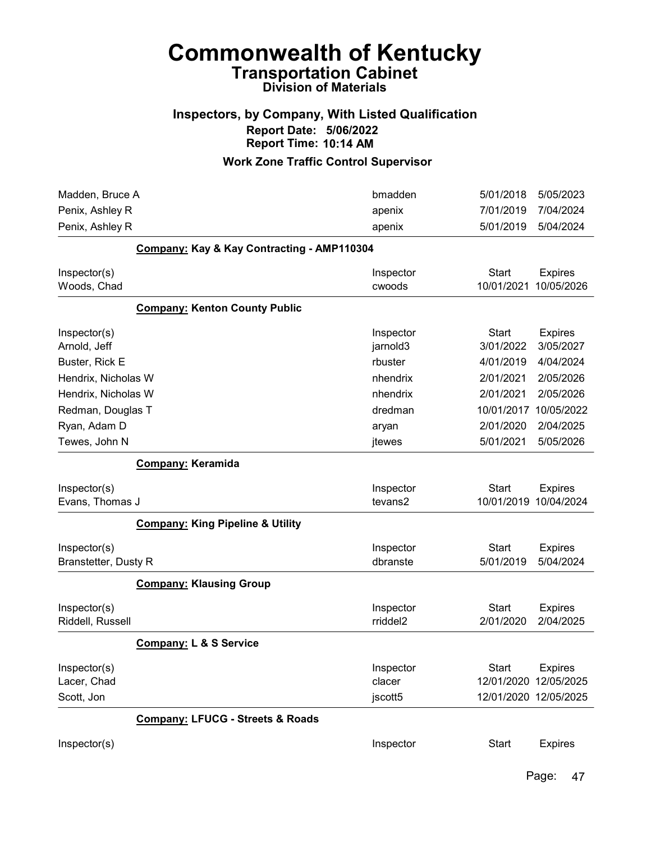#### Inspectors, by Company, With Listed Qualification Report Date: 5/06/2022 Report Time: 10:14 AM

| Madden, Bruce A      |                                             | bmadden   | 5/01/2018             | 5/05/2023      |
|----------------------|---------------------------------------------|-----------|-----------------------|----------------|
| Penix, Ashley R      |                                             | apenix    | 7/01/2019             | 7/04/2024      |
| Penix, Ashley R      |                                             | apenix    | 5/01/2019             | 5/04/2024      |
|                      | Company: Kay & Kay Contracting - AMP110304  |           |                       |                |
| Inspector(s)         |                                             | Inspector | <b>Start</b>          | <b>Expires</b> |
| Woods, Chad          |                                             | cwoods    | 10/01/2021            | 10/05/2026     |
|                      | <b>Company: Kenton County Public</b>        |           |                       |                |
| Inspector(s)         |                                             | Inspector | <b>Start</b>          | <b>Expires</b> |
| Arnold, Jeff         |                                             | jarnold3  | 3/01/2022             | 3/05/2027      |
| Buster, Rick E       |                                             | rbuster   | 4/01/2019             | 4/04/2024      |
| Hendrix, Nicholas W  |                                             | nhendrix  | 2/01/2021             | 2/05/2026      |
| Hendrix, Nicholas W  |                                             | nhendrix  | 2/01/2021             | 2/05/2026      |
| Redman, Douglas T    |                                             | dredman   | 10/01/2017            | 10/05/2022     |
| Ryan, Adam D         |                                             | aryan     | 2/01/2020             | 2/04/2025      |
| Tewes, John N        |                                             | jtewes    | 5/01/2021             | 5/05/2026      |
|                      | <b>Company: Keramida</b>                    |           |                       |                |
| Inspector(s)         |                                             | Inspector | <b>Start</b>          | <b>Expires</b> |
| Evans, Thomas J      |                                             | tevans2   | 10/01/2019            | 10/04/2024     |
|                      | <b>Company: King Pipeline &amp; Utility</b> |           |                       |                |
| Inspector(s)         |                                             | Inspector | <b>Start</b>          | <b>Expires</b> |
| Branstetter, Dusty R |                                             | dbranste  | 5/01/2019             | 5/04/2024      |
|                      | <b>Company: Klausing Group</b>              |           |                       |                |
| Inspector(s)         |                                             | Inspector | <b>Start</b>          | <b>Expires</b> |
| Riddell, Russell     |                                             | rriddel2  | 2/01/2020             | 2/04/2025      |
|                      | <b>Company: L &amp; S Service</b>           |           |                       |                |
| Inspector(s)         |                                             | Inspector | <b>Start</b>          | <b>Expires</b> |
| Lacer, Chad          |                                             | clacer    | 12/01/2020            | 12/05/2025     |
| Scott, Jon           |                                             | jscott5   | 12/01/2020 12/05/2025 |                |
|                      | <b>Company: LFUCG - Streets &amp; Roads</b> |           |                       |                |
| Inspector(s)         |                                             | Inspector | <b>Start</b>          | <b>Expires</b> |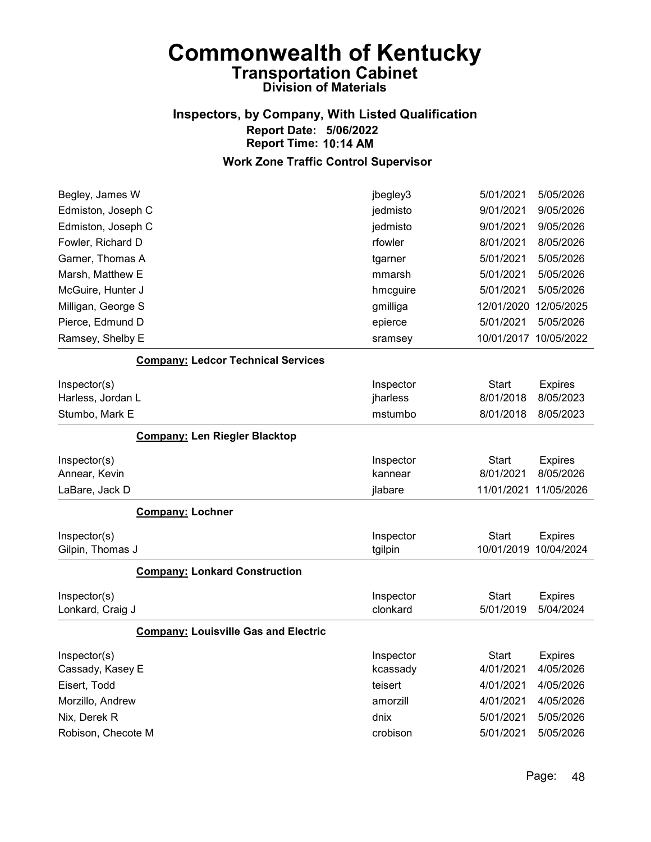### Inspectors, by Company, With Listed Qualification Report Date: 5/06/2022 Report Time: 10:14 AM

| Begley, James W    |                                             | jbegley3  | 5/01/2021    | 5/05/2026             |
|--------------------|---------------------------------------------|-----------|--------------|-----------------------|
| Edmiston, Joseph C |                                             | jedmisto  | 9/01/2021    | 9/05/2026             |
| Edmiston, Joseph C |                                             | jedmisto  | 9/01/2021    | 9/05/2026             |
| Fowler, Richard D  |                                             | rfowler   | 8/01/2021    | 8/05/2026             |
| Garner, Thomas A   |                                             | tgarner   | 5/01/2021    | 5/05/2026             |
| Marsh, Matthew E   |                                             | mmarsh    | 5/01/2021    | 5/05/2026             |
| McGuire, Hunter J  |                                             | hmcguire  | 5/01/2021    | 5/05/2026             |
| Milligan, George S |                                             | gmilliga  | 12/01/2020   | 12/05/2025            |
| Pierce, Edmund D   |                                             | epierce   | 5/01/2021    | 5/05/2026             |
| Ramsey, Shelby E   |                                             | sramsey   |              | 10/01/2017 10/05/2022 |
|                    | <b>Company: Ledcor Technical Services</b>   |           |              |                       |
| Inspector(s)       |                                             | Inspector | Start        | <b>Expires</b>        |
| Harless, Jordan L  |                                             | jharless  | 8/01/2018    | 8/05/2023             |
| Stumbo, Mark E     |                                             | mstumbo   | 8/01/2018    | 8/05/2023             |
|                    | <b>Company: Len Riegler Blacktop</b>        |           |              |                       |
| Inspector(s)       |                                             | Inspector | <b>Start</b> | <b>Expires</b>        |
| Annear, Kevin      |                                             | kannear   | 8/01/2021    | 8/05/2026             |
| LaBare, Jack D     |                                             | jlabare   | 11/01/2021   | 11/05/2026            |
|                    | <b>Company: Lochner</b>                     |           |              |                       |
| Inspector(s)       |                                             | Inspector | <b>Start</b> | <b>Expires</b>        |
| Gilpin, Thomas J   |                                             | tgilpin   |              | 10/01/2019 10/04/2024 |
|                    | <b>Company: Lonkard Construction</b>        |           |              |                       |
| Inspector(s)       |                                             | Inspector | Start        | <b>Expires</b>        |
| Lonkard, Craig J   |                                             | clonkard  | 5/01/2019    | 5/04/2024             |
|                    | <b>Company: Louisville Gas and Electric</b> |           |              |                       |
| Inspector(s)       |                                             | Inspector | <b>Start</b> | <b>Expires</b>        |
| Cassady, Kasey E   |                                             | kcassady  | 4/01/2021    | 4/05/2026             |
| Eisert, Todd       |                                             | teisert   | 4/01/2021    | 4/05/2026             |
| Morzillo, Andrew   |                                             | amorzill  | 4/01/2021    | 4/05/2026             |
| Nix, Derek R       |                                             | dnix      | 5/01/2021    | 5/05/2026             |
| Robison, Checote M |                                             | crobison  | 5/01/2021    | 5/05/2026             |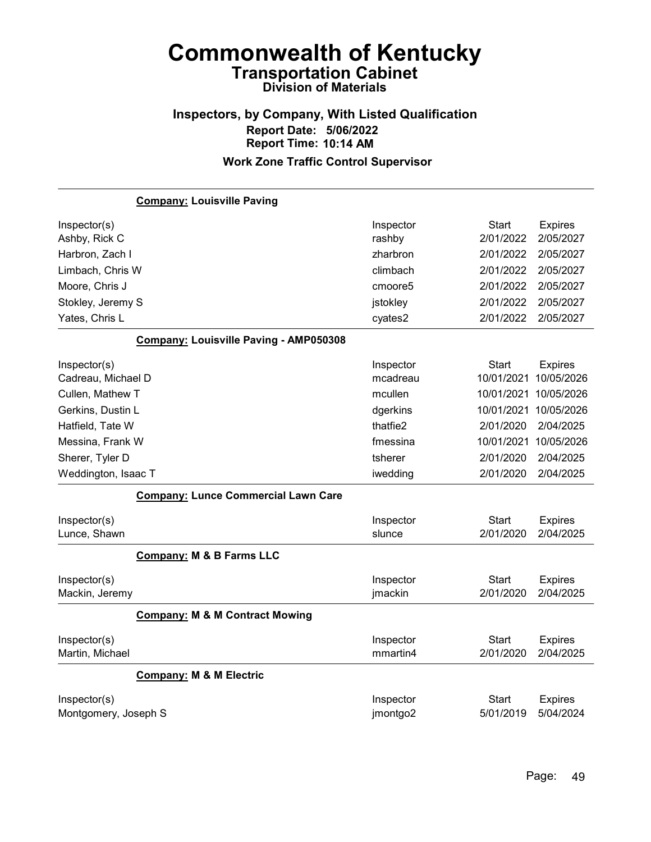#### Inspectors, by Company, With Listed Qualification Report Date: 5/06/2022 Report Time: 10:14 AM Work Zone Traffic Control Supervisor

|                      | <b>Company: Louisville Paving</b>          |                     |              |                |
|----------------------|--------------------------------------------|---------------------|--------------|----------------|
| Inspector(s)         |                                            | Inspector           | <b>Start</b> | <b>Expires</b> |
| Ashby, Rick C        |                                            | rashby              | 2/01/2022    | 2/05/2027      |
| Harbron, Zach I      |                                            | zharbron            | 2/01/2022    | 2/05/2027      |
| Limbach, Chris W     |                                            | climbach            | 2/01/2022    | 2/05/2027      |
| Moore, Chris J       |                                            | cmoore <sub>5</sub> | 2/01/2022    | 2/05/2027      |
| Stokley, Jeremy S    |                                            | jstokley            | 2/01/2022    | 2/05/2027      |
| Yates, Chris L       |                                            | cyates2             | 2/01/2022    | 2/05/2027      |
|                      | Company: Louisville Paving - AMP050308     |                     |              |                |
| Inspector(s)         |                                            | Inspector           | <b>Start</b> | <b>Expires</b> |
| Cadreau, Michael D   |                                            | mcadreau            | 10/01/2021   | 10/05/2026     |
| Cullen, Mathew T     |                                            | mcullen             | 10/01/2021   | 10/05/2026     |
| Gerkins, Dustin L    |                                            | dgerkins            | 10/01/2021   | 10/05/2026     |
| Hatfield, Tate W     |                                            | thatfie2            | 2/01/2020    | 2/04/2025      |
| Messina, Frank W     |                                            | fmessina            | 10/01/2021   | 10/05/2026     |
| Sherer, Tyler D      |                                            | tsherer             | 2/01/2020    | 2/04/2025      |
| Weddington, Isaac T  |                                            | iwedding            | 2/01/2020    | 2/04/2025      |
|                      | <b>Company: Lunce Commercial Lawn Care</b> |                     |              |                |
| Inspector(s)         |                                            | Inspector           | <b>Start</b> | <b>Expires</b> |
| Lunce, Shawn         |                                            | slunce              | 2/01/2020    | 2/04/2025      |
|                      | <b>Company: M &amp; B Farms LLC</b>        |                     |              |                |
| Inspector(s)         |                                            | Inspector           | <b>Start</b> | <b>Expires</b> |
| Mackin, Jeremy       |                                            | jmackin             | 2/01/2020    | 2/04/2025      |
|                      | <b>Company: M &amp; M Contract Mowing</b>  |                     |              |                |
| Inspector(s)         |                                            | Inspector           | <b>Start</b> | <b>Expires</b> |
| Martin, Michael      |                                            | mmartin4            | 2/01/2020    | 2/04/2025      |
|                      | <b>Company: M &amp; M Electric</b>         |                     |              |                |
| Inspector(s)         |                                            | Inspector           | <b>Start</b> | <b>Expires</b> |
| Montgomery, Joseph S |                                            | jmontgo2            | 5/01/2019    | 5/04/2024      |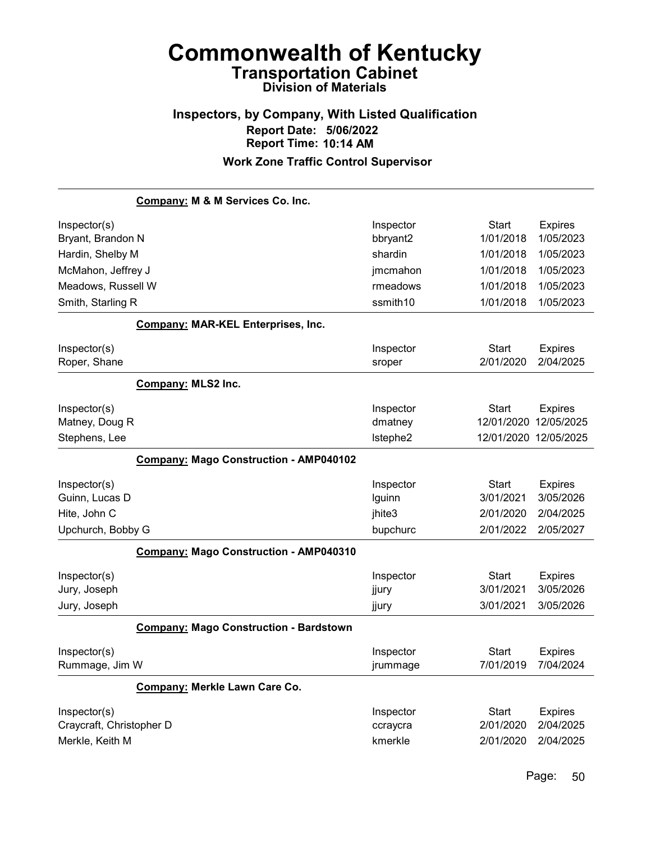#### Inspectors, by Company, With Listed Qualification Report Date: 5/06/2022 Report Time: 10:14 AM Work Zone Traffic Control Supervisor

### Company: M & M Services Co. Inc. Inspector(s) **Inspector** Start Expires Bryant, Brandon N bbryant2 1/01/2018 1/05/2023 Hardin, Shelby M shardin 1/01/2018 1/05/2023 McMahon, Jeffrey J jmcmahon 1/01/2018 1/05/2023 Meadows, Russell W rmeadows 1/01/2018 1/05/2023 Smith, Starling R ssmith10 1/01/2018 1/05/2023 Company: MAR-KEL Enterprises, Inc. Inspector(s) **Inspector** Start Expires Roper, Shane sroper 2/01/2020 2/04/2025 Company: MLS2 Inc. Inspector(s) **Inspector** Start Expires Matney, Doug R dmatney 12/01/2020 12/05/2025 Stephens, Lee lstephe2 12/01/2020 12/05/2025 Company: Mago Construction - AMP040102 Inspector(s) **Inspector** Start Expires Guinn, Lucas D lguinn 3/01/2021 3/05/2026 Hite, John C jhite3 2/01/2020 2/04/2025 Upchurch, Bobby G bupchurc 2/01/2022 2/05/2027 Company: Mago Construction - AMP040310 Inspector(s) **Inspector** Start Expires Jury, Joseph jjury 3/01/2021 3/05/2026 Jury, Joseph jjury 3/01/2021 3/05/2026 Company: Mago Construction - Bardstown Inspector(s) **Inspector** Start Expires Rummage, Jim W jrummage 7/01/2019 7/04/2024 Company: Merkle Lawn Care Co. Inspector(s) **Inspector** Start Expires Craycraft, Christopher D ccraycra 2/01/2020 2/04/2025 Merkle, Keith M kmerkle 2/01/2020 2/04/2025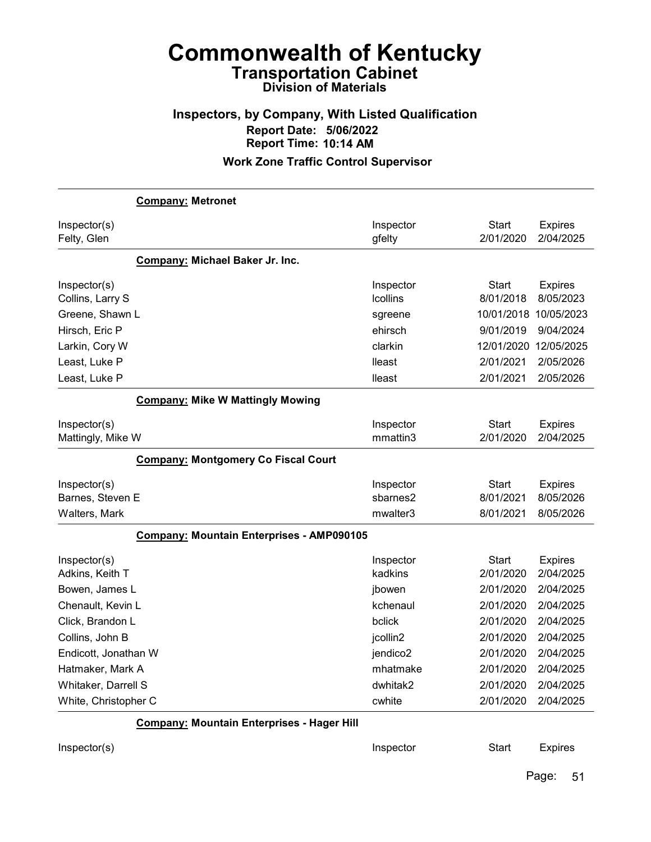#### Inspectors, by Company, With Listed Qualification Report Date: 5/06/2022 Report Time: 10:14 AM

|                             | <b>Company: Metronet</b>                          |                     |                           |                             |
|-----------------------------|---------------------------------------------------|---------------------|---------------------------|-----------------------------|
| Inspector(s)<br>Felty, Glen |                                                   | Inspector<br>gfelty | <b>Start</b><br>2/01/2020 | <b>Expires</b><br>2/04/2025 |
|                             | Company: Michael Baker Jr. Inc.                   |                     |                           |                             |
| Inspector(s)                |                                                   | Inspector           | <b>Start</b>              | <b>Expires</b>              |
| Collins, Larry S            |                                                   | <b>Icollins</b>     | 8/01/2018                 | 8/05/2023                   |
| Greene, Shawn L             |                                                   | sgreene             | 10/01/2018                | 10/05/2023                  |
| Hirsch, Eric P              |                                                   | ehirsch             | 9/01/2019                 | 9/04/2024                   |
| Larkin, Cory W              |                                                   | clarkin             | 12/01/2020                | 12/05/2025                  |
| Least, Luke P               |                                                   | lleast              | 2/01/2021                 | 2/05/2026                   |
| Least, Luke P               |                                                   | lleast              | 2/01/2021                 | 2/05/2026                   |
|                             | <b>Company: Mike W Mattingly Mowing</b>           |                     |                           |                             |
| Inspector(s)                |                                                   | Inspector           | <b>Start</b>              | <b>Expires</b>              |
| Mattingly, Mike W           |                                                   | mmattin3            | 2/01/2020                 | 2/04/2025                   |
|                             | <b>Company: Montgomery Co Fiscal Court</b>        |                     |                           |                             |
| Inspector(s)                |                                                   | Inspector           | <b>Start</b>              | <b>Expires</b>              |
| Barnes, Steven E            |                                                   | sbarnes2            | 8/01/2021                 | 8/05/2026                   |
| Walters, Mark               |                                                   | mwalter3            | 8/01/2021                 | 8/05/2026                   |
|                             | Company: Mountain Enterprises - AMP090105         |                     |                           |                             |
| Inspector(s)                |                                                   | Inspector           | <b>Start</b>              | <b>Expires</b>              |
| Adkins, Keith T             |                                                   | kadkins             | 2/01/2020                 | 2/04/2025                   |
| Bowen, James L              |                                                   | jbowen              | 2/01/2020                 | 2/04/2025                   |
| Chenault, Kevin L           |                                                   | kchenaul            | 2/01/2020                 | 2/04/2025                   |
| Click, Brandon L            |                                                   | bclick              | 2/01/2020                 | 2/04/2025                   |
| Collins, John B             |                                                   | jcollin2            | 2/01/2020                 | 2/04/2025                   |
| Endicott, Jonathan W        |                                                   | jendico2            | 2/01/2020                 | 2/04/2025                   |
| Hatmaker, Mark A            |                                                   | mhatmake            | 2/01/2020                 | 2/04/2025                   |
| Whitaker, Darrell S         |                                                   | dwhitak2            | 2/01/2020                 | 2/04/2025                   |
| White, Christopher C        |                                                   | cwhite              | 2/01/2020                 | 2/04/2025                   |
|                             | <b>Company: Mountain Enterprises - Hager Hill</b> |                     |                           |                             |
| Inspector(s)                |                                                   | Inspector           | <b>Start</b>              | <b>Expires</b>              |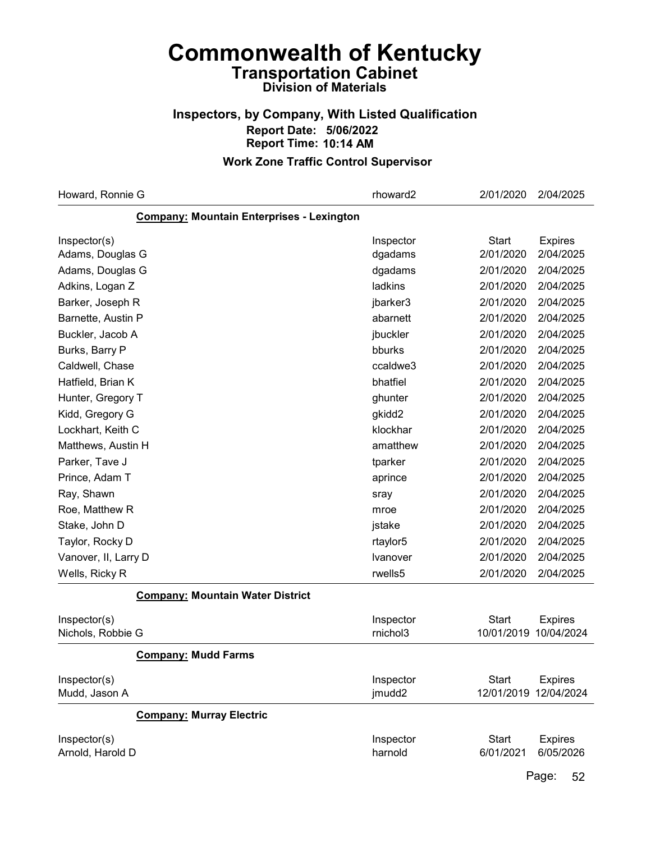#### Inspectors, by Company, With Listed Qualification Report Date: 5/06/2022 Report Time: 10:14 AM

#### Work Zone Traffic Control Supervisor

| Howard, Ronnie G                                 | rhoward2  | 2/01/2020    | 2/04/2025      |
|--------------------------------------------------|-----------|--------------|----------------|
| <b>Company: Mountain Enterprises - Lexington</b> |           |              |                |
| Inspector(s)                                     | Inspector | <b>Start</b> | <b>Expires</b> |
| Adams, Douglas G                                 | dgadams   | 2/01/2020    | 2/04/2025      |
| Adams, Douglas G                                 | dgadams   | 2/01/2020    | 2/04/2025      |
| Adkins, Logan Z                                  | ladkins   | 2/01/2020    | 2/04/2025      |
| Barker, Joseph R                                 | jbarker3  | 2/01/2020    | 2/04/2025      |
| Barnette, Austin P                               | abarnett  | 2/01/2020    | 2/04/2025      |
| Buckler, Jacob A                                 | jbuckler  | 2/01/2020    | 2/04/2025      |
| Burks, Barry P                                   | bburks    | 2/01/2020    | 2/04/2025      |
| Caldwell, Chase                                  | ccaldwe3  | 2/01/2020    | 2/04/2025      |
| Hatfield, Brian K                                | bhatfiel  | 2/01/2020    | 2/04/2025      |
| Hunter, Gregory T                                | ghunter   | 2/01/2020    | 2/04/2025      |
| Kidd, Gregory G                                  | gkidd2    | 2/01/2020    | 2/04/2025      |
| Lockhart, Keith C                                | klockhar  | 2/01/2020    | 2/04/2025      |
| Matthews, Austin H                               | amatthew  | 2/01/2020    | 2/04/2025      |
| Parker, Tave J                                   | tparker   | 2/01/2020    | 2/04/2025      |
| Prince, Adam T                                   | aprince   | 2/01/2020    | 2/04/2025      |
| Ray, Shawn                                       | sray      | 2/01/2020    | 2/04/2025      |
| Roe, Matthew R                                   | mroe      | 2/01/2020    | 2/04/2025      |
| Stake, John D                                    | jstake    | 2/01/2020    | 2/04/2025      |
| Taylor, Rocky D                                  | rtaylor5  | 2/01/2020    | 2/04/2025      |
| Vanover, II, Larry D                             | Ivanover  | 2/01/2020    | 2/04/2025      |
| Wells, Ricky R                                   | rwells5   | 2/01/2020    | 2/04/2025      |
| <b>Company: Mountain Water District</b>          |           |              |                |
| Inspector(s)                                     | Inspector | <b>Start</b> | <b>Expires</b> |
| Nichols, Robbie G                                | rnichol3  | 10/01/2019   | 10/04/2024     |
| <b>Company: Mudd Farms</b>                       |           |              |                |
| Inspector(s)                                     | Inspector | <b>Start</b> | <b>Expires</b> |
| Mudd, Jason A                                    | jmudd2    | 12/01/2019   | 12/04/2024     |
| <b>Company: Murray Electric</b>                  |           |              |                |
| Inspector(s)                                     | Inspector | <b>Start</b> | <b>Expires</b> |
| Arnold, Harold D                                 | harnold   | 6/01/2021    | 6/05/2026      |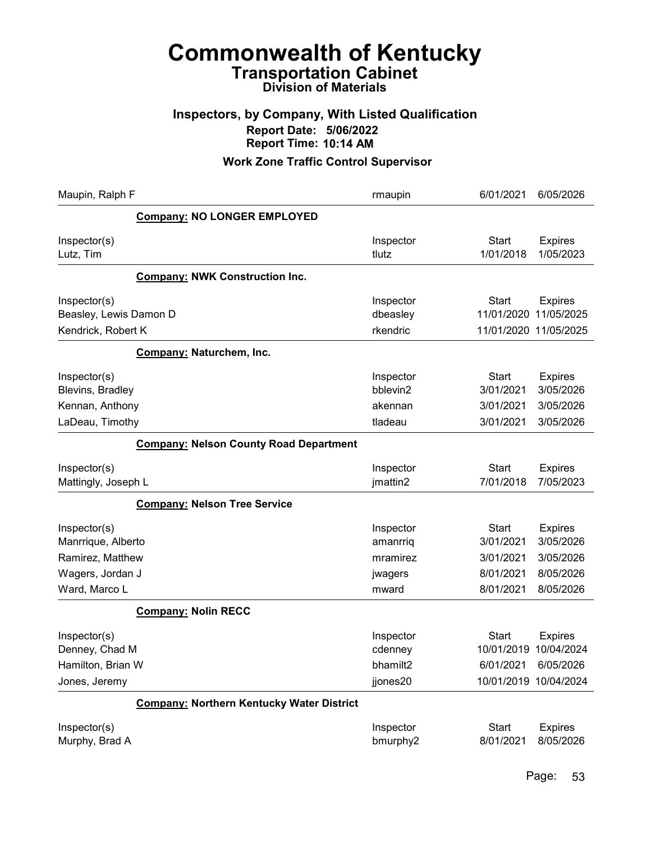# Inspectors, by Company, With Listed Qualification

Report Date: 5/06/2022

Report Time: 10:14 AM

| Maupin, Ralph F                                                                             | rmaupin                                               | 6/01/2021                                                        | 6/05/2026                                                          |
|---------------------------------------------------------------------------------------------|-------------------------------------------------------|------------------------------------------------------------------|--------------------------------------------------------------------|
| <b>Company: NO LONGER EMPLOYED</b>                                                          |                                                       |                                                                  |                                                                    |
| Inspector(s)<br>Lutz, Tim                                                                   | Inspector<br>tlutz                                    | <b>Start</b><br>1/01/2018                                        | <b>Expires</b><br>1/05/2023                                        |
| <b>Company: NWK Construction Inc.</b>                                                       |                                                       |                                                                  |                                                                    |
| Inspector(s)<br>Beasley, Lewis Damon D<br>Kendrick, Robert K                                | Inspector<br>dbeasley<br>rkendric                     | Start<br>11/01/2020<br>11/01/2020 11/05/2025                     | <b>Expires</b><br>11/05/2025                                       |
| <b>Company: Naturchem, Inc.</b>                                                             |                                                       |                                                                  |                                                                    |
| Inspector(s)<br>Blevins, Bradley<br>Kennan, Anthony                                         | Inspector<br>bblevin2<br>akennan                      | <b>Start</b><br>3/01/2021<br>3/01/2021                           | <b>Expires</b><br>3/05/2026<br>3/05/2026                           |
| LaDeau, Timothy                                                                             | tladeau                                               | 3/01/2021                                                        | 3/05/2026                                                          |
| <b>Company: Nelson County Road Department</b>                                               |                                                       |                                                                  |                                                                    |
| Inspector(s)<br>Mattingly, Joseph L                                                         | Inspector<br>jmattin2                                 | <b>Start</b><br>7/01/2018                                        | <b>Expires</b><br>7/05/2023                                        |
| <b>Company: Nelson Tree Service</b>                                                         |                                                       |                                                                  |                                                                    |
| Inspector(s)<br>Manrrique, Alberto<br>Ramirez, Matthew<br>Wagers, Jordan J<br>Ward, Marco L | Inspector<br>amanrriq<br>mramirez<br>jwagers<br>mward | <b>Start</b><br>3/01/2021<br>3/01/2021<br>8/01/2021<br>8/01/2021 | <b>Expires</b><br>3/05/2026<br>3/05/2026<br>8/05/2026<br>8/05/2026 |
| <b>Company: Nolin RECC</b>                                                                  |                                                       |                                                                  |                                                                    |
| Inspector(s)<br>Denney, Chad M<br>Hamilton, Brian W<br>Jones, Jeremy                        | Inspector<br>cdenney<br>bhamilt2<br>jjones20          | <b>Start</b><br>10/01/2019<br>6/01/2021                          | <b>Expires</b><br>10/04/2024<br>6/05/2026<br>10/01/2019 10/04/2024 |
| <b>Company: Northern Kentucky Water District</b>                                            |                                                       |                                                                  |                                                                    |
| Inspector(s)<br>Murphy, Brad A                                                              | Inspector<br>bmurphy2                                 | <b>Start</b><br>8/01/2021                                        | <b>Expires</b><br>8/05/2026                                        |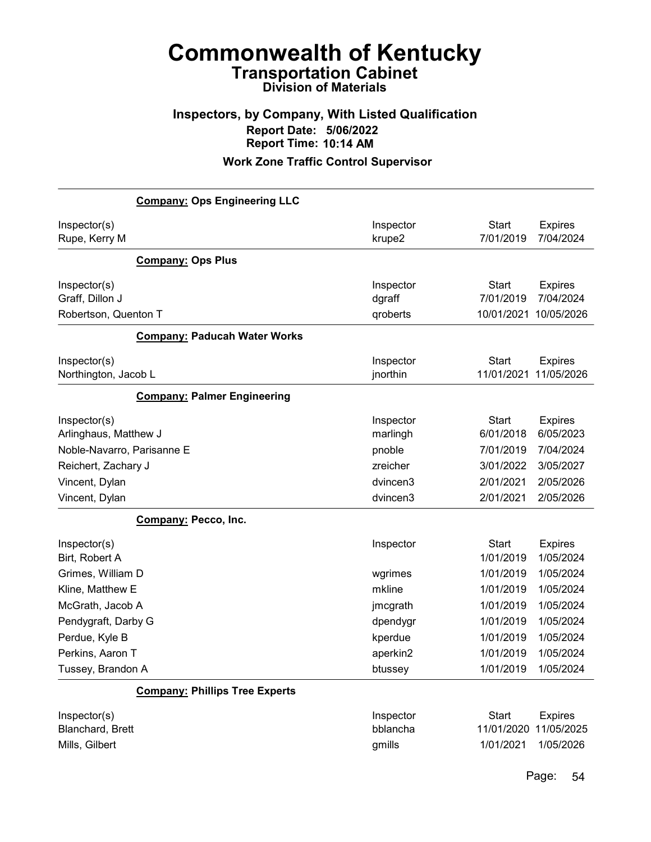#### Inspectors, by Company, With Listed Qualification Report Date: 5/06/2022 Report Time: 10:14 AM

|                                                         | <b>Company: Ops Engineering LLC</b>   |                                 |                                         |                                           |
|---------------------------------------------------------|---------------------------------------|---------------------------------|-----------------------------------------|-------------------------------------------|
| Inspector(s)<br>Rupe, Kerry M                           |                                       | Inspector<br>krupe2             | <b>Start</b><br>7/01/2019               | <b>Expires</b><br>7/04/2024               |
|                                                         | <b>Company: Ops Plus</b>              |                                 |                                         |                                           |
| Inspector(s)<br>Graff, Dillon J<br>Robertson, Quenton T |                                       | Inspector<br>dgraff<br>qroberts | <b>Start</b><br>7/01/2019<br>10/01/2021 | <b>Expires</b><br>7/04/2024<br>10/05/2026 |
|                                                         | <b>Company: Paducah Water Works</b>   |                                 |                                         |                                           |
| Inspector(s)<br>Northington, Jacob L                    |                                       | Inspector<br>jnorthin           | <b>Start</b><br>11/01/2021              | <b>Expires</b><br>11/05/2026              |
|                                                         | <b>Company: Palmer Engineering</b>    |                                 |                                         |                                           |
| Inspector(s)<br>Arlinghaus, Matthew J                   |                                       | Inspector<br>marlingh           | <b>Start</b><br>6/01/2018               | <b>Expires</b><br>6/05/2023               |
| Noble-Navarro, Parisanne E                              |                                       | pnoble                          | 7/01/2019                               | 7/04/2024                                 |
| Reichert, Zachary J                                     |                                       | zreicher                        | 3/01/2022                               | 3/05/2027                                 |
| Vincent, Dylan                                          |                                       | dvincen3                        | 2/01/2021                               | 2/05/2026                                 |
| Vincent, Dylan                                          |                                       | dvincen3                        | 2/01/2021                               | 2/05/2026                                 |
|                                                         | <b>Company: Pecco, Inc.</b>           |                                 |                                         |                                           |
| Inspector(s)<br>Birt, Robert A                          |                                       | Inspector                       | <b>Start</b><br>1/01/2019               | <b>Expires</b><br>1/05/2024               |
| Grimes, William D                                       |                                       | wgrimes                         | 1/01/2019                               | 1/05/2024                                 |
| Kline, Matthew E                                        |                                       | mkline                          | 1/01/2019                               | 1/05/2024                                 |
| McGrath, Jacob A                                        |                                       | jmcgrath                        | 1/01/2019                               | 1/05/2024                                 |
| Pendygraft, Darby G                                     |                                       | dpendygr                        | 1/01/2019                               | 1/05/2024                                 |
| Perdue, Kyle B                                          |                                       | kperdue                         | 1/01/2019                               | 1/05/2024                                 |
| Perkins, Aaron T                                        |                                       | aperkin2                        | 1/01/2019                               | 1/05/2024                                 |
| Tussey, Brandon A                                       |                                       | btussey                         | 1/01/2019                               | 1/05/2024                                 |
|                                                         | <b>Company: Phillips Tree Experts</b> |                                 |                                         |                                           |
| Inspector(s)<br>Blanchard, Brett<br>Mills, Gilbert      |                                       | Inspector<br>bblancha<br>gmills | <b>Start</b><br>11/01/2020<br>1/01/2021 | <b>Expires</b><br>11/05/2025<br>1/05/2026 |
|                                                         |                                       |                                 |                                         |                                           |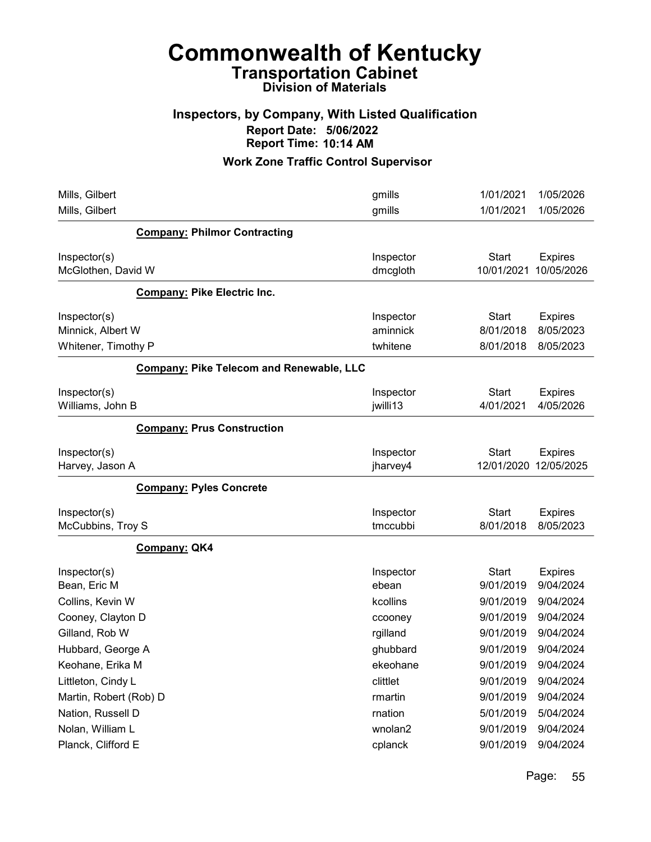# Commonwealth of Kentucky Transportation Cabinet

#### Division of Materials

#### Inspectors, by Company, With Listed Qualification Report Date: 5/06/2022 Report Time: 10:14 AM

| Mills, Gilbert<br>Mills, Gilbert                         | gmills<br>gmills                  | 1/01/2021<br>1/01/2021                 | 1/05/2026<br>1/05/2026                   |
|----------------------------------------------------------|-----------------------------------|----------------------------------------|------------------------------------------|
| <b>Company: Philmor Contracting</b>                      |                                   |                                        |                                          |
| Inspector(s)<br>McGlothen, David W                       | Inspector<br>dmcgloth             | <b>Start</b><br>10/01/2021             | <b>Expires</b><br>10/05/2026             |
| <b>Company: Pike Electric Inc.</b>                       |                                   |                                        |                                          |
| Inspector(s)<br>Minnick, Albert W<br>Whitener, Timothy P | Inspector<br>aminnick<br>twhitene | <b>Start</b><br>8/01/2018<br>8/01/2018 | <b>Expires</b><br>8/05/2023<br>8/05/2023 |
| Company: Pike Telecom and Renewable, LLC                 |                                   |                                        |                                          |
| Inspector(s)<br>Williams, John B                         | Inspector<br>jwilli13             | <b>Start</b><br>4/01/2021              | <b>Expires</b><br>4/05/2026              |
| <b>Company: Prus Construction</b>                        |                                   |                                        |                                          |
| Inspector(s)<br>Harvey, Jason A                          | Inspector<br>jharvey4             | <b>Start</b><br>12/01/2020             | <b>Expires</b><br>12/05/2025             |
| <b>Company: Pyles Concrete</b>                           |                                   |                                        |                                          |
| Inspector(s)<br>McCubbins, Troy S                        | Inspector<br>tmccubbi             | <b>Start</b><br>8/01/2018              | <b>Expires</b><br>8/05/2023              |
| <b>Company: QK4</b>                                      |                                   |                                        |                                          |
| Inspector(s)<br>Bean, Eric M                             | Inspector<br>ebean                | <b>Start</b><br>9/01/2019              | <b>Expires</b><br>9/04/2024              |
| Collins, Kevin W<br>Cooney, Clayton D                    | kcollins<br>ccooney               | 9/01/2019<br>9/01/2019                 | 9/04/2024<br>9/04/2024                   |
| Gilland, Rob W                                           | rgilland                          | 9/01/2019                              | 9/04/2024                                |
| Hubbard, George A                                        | ghubbard                          | 9/01/2019                              | 9/04/2024                                |
| Keohane, Erika M                                         | ekeohane                          | 9/01/2019                              | 9/04/2024                                |
| Littleton, Cindy L                                       | clittlet                          | 9/01/2019                              | 9/04/2024                                |
| Martin, Robert (Rob) D                                   | rmartin                           | 9/01/2019                              | 9/04/2024                                |
| Nation, Russell D                                        | rnation                           | 5/01/2019                              | 5/04/2024                                |
| Nolan, William L                                         | wnolan2                           | 9/01/2019                              | 9/04/2024                                |
| Planck, Clifford E                                       | cplanck                           | 9/01/2019                              | 9/04/2024                                |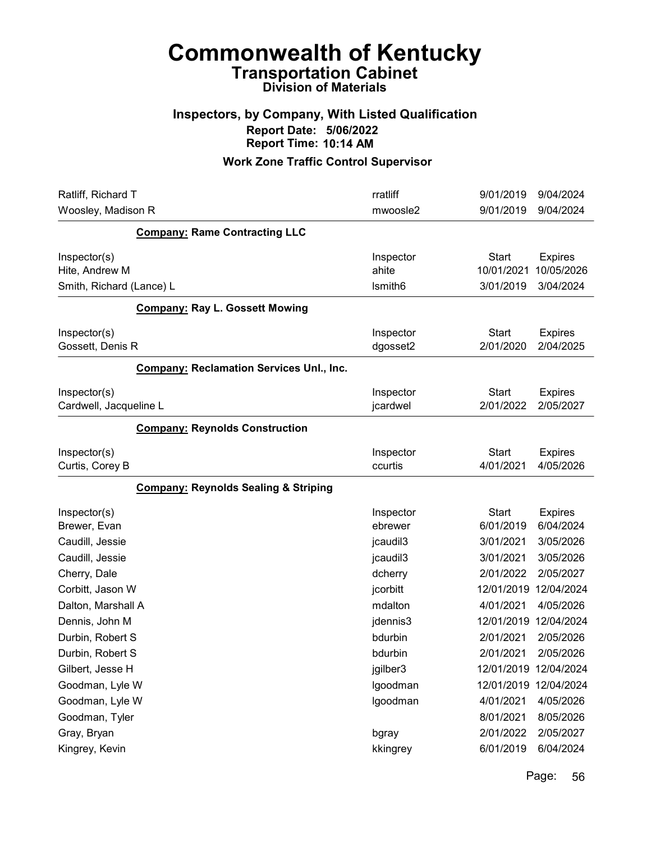# Commonwealth of Kentucky Transportation Cabinet

### Division of Materials

#### Inspectors, by Company, With Listed Qualification Report Date: 5/06/2022 Report Time: 10:14 AM

#### Work Zone Traffic Control Supervisor

| Ratliff, Richard T<br>Woosley, Madison R                                   |                                                 | rratliff<br>mwoosle2                        | 9/01/2019<br>9/01/2019                              | 9/04/2024<br>9/04/2024                                                   |
|----------------------------------------------------------------------------|-------------------------------------------------|---------------------------------------------|-----------------------------------------------------|--------------------------------------------------------------------------|
|                                                                            | <b>Company: Rame Contracting LLC</b>            |                                             |                                                     |                                                                          |
| Inspector(s)<br>Hite, Andrew M<br>Smith, Richard (Lance) L                 |                                                 | Inspector<br>ahite<br>Ismith <sub>6</sub>   | <b>Start</b><br>10/01/2021<br>3/01/2019             | <b>Expires</b><br>10/05/2026<br>3/04/2024                                |
|                                                                            | <b>Company: Ray L. Gossett Mowing</b>           |                                             |                                                     |                                                                          |
| Inspector(s)<br>Gossett, Denis R                                           |                                                 | Inspector<br>dgosset2                       | <b>Start</b><br>2/01/2020                           | <b>Expires</b><br>2/04/2025                                              |
|                                                                            | <b>Company: Reclamation Services Unl., Inc.</b> |                                             |                                                     |                                                                          |
| Inspector(s)<br>Cardwell, Jacqueline L                                     |                                                 | Inspector<br>jcardwel                       | <b>Start</b><br>2/01/2022                           | <b>Expires</b><br>2/05/2027                                              |
|                                                                            | <b>Company: Reynolds Construction</b>           |                                             |                                                     |                                                                          |
| Inspector(s)<br>Curtis, Corey B                                            |                                                 | Inspector<br>ccurtis                        | <b>Start</b><br>4/01/2021                           | <b>Expires</b><br>4/05/2026                                              |
|                                                                            | <b>Company: Reynolds Sealing &amp; Striping</b> |                                             |                                                     |                                                                          |
| Inspector(s)<br>Brewer, Evan<br>Caudill, Jessie                            |                                                 | Inspector<br>ebrewer<br>jcaudil3            | <b>Start</b><br>6/01/2019<br>3/01/2021<br>3/01/2021 | <b>Expires</b><br>6/04/2024<br>3/05/2026<br>3/05/2026                    |
| Caudill, Jessie<br>Cherry, Dale<br>Corbitt, Jason W                        |                                                 | jcaudil3<br>dcherry<br>jcorbitt             | 2/01/2022<br>12/01/2019                             | 2/05/2027<br>12/04/2024                                                  |
| Dalton, Marshall A<br>Dennis, John M<br>Durbin, Robert S                   |                                                 | mdalton<br>jdennis3<br>bdurbin              | 4/01/2021<br>12/01/2019<br>2/01/2021                | 4/05/2026<br>12/04/2024<br>2/05/2026                                     |
| Durbin, Robert S<br>Gilbert, Jesse H<br>Goodman, Lyle W<br>Goodman, Lyle W |                                                 | bdurbin<br>jgilber3<br>Igoodman<br>Igoodman | 2/01/2021<br>4/01/2021                              | 2/05/2026<br>12/01/2019 12/04/2024<br>12/01/2019 12/04/2024<br>4/05/2026 |
| Goodman, Tyler<br>Gray, Bryan<br>Kingrey, Kevin                            |                                                 | bgray<br>kkingrey                           | 8/01/2021<br>2/01/2022<br>6/01/2019                 | 8/05/2026<br>2/05/2027<br>6/04/2024                                      |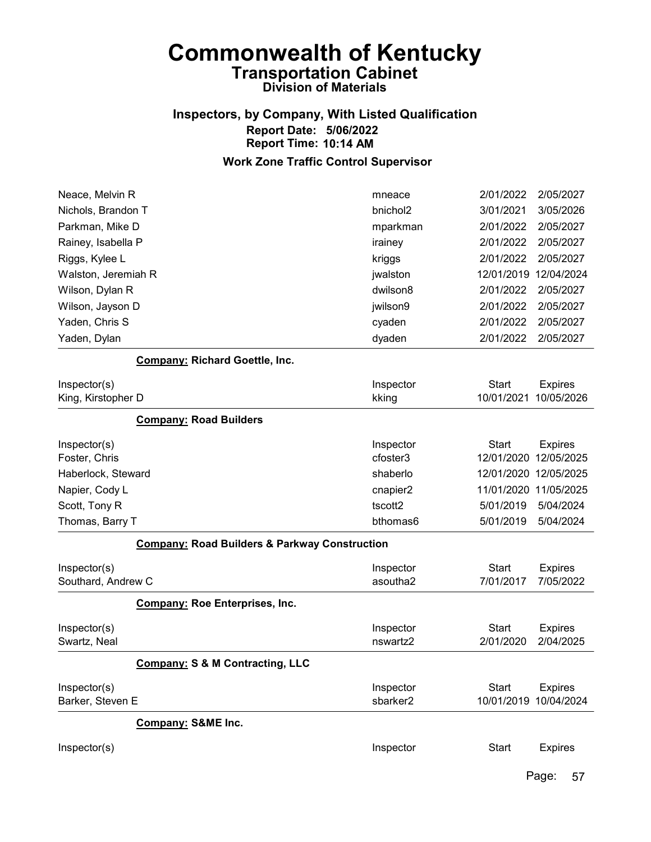### Inspectors, by Company, With Listed Qualification Report Date: 5/06/2022 Report Time: 10:14 AM

#### Work Zone Traffic Control Supervisor

| Neace, Melvin R     |                                                          | mneace    | 2/01/2022             | 2/05/2027      |
|---------------------|----------------------------------------------------------|-----------|-----------------------|----------------|
| Nichols, Brandon T  |                                                          | bnichol2  | 3/01/2021             | 3/05/2026      |
| Parkman, Mike D     |                                                          | mparkman  | 2/01/2022             | 2/05/2027      |
| Rainey, Isabella P  |                                                          | irainey   | 2/01/2022             | 2/05/2027      |
| Riggs, Kylee L      |                                                          | kriggs    | 2/01/2022             | 2/05/2027      |
| Walston, Jeremiah R |                                                          | jwalston  | 12/01/2019            | 12/04/2024     |
| Wilson, Dylan R     |                                                          | dwilson8  | 2/01/2022             | 2/05/2027      |
| Wilson, Jayson D    |                                                          | jwilson9  | 2/01/2022             | 2/05/2027      |
| Yaden, Chris S      |                                                          | cyaden    | 2/01/2022             | 2/05/2027      |
| Yaden, Dylan        |                                                          | dyaden    | 2/01/2022             | 2/05/2027      |
|                     | <b>Company: Richard Goettle, Inc.</b>                    |           |                       |                |
| Inspector(s)        |                                                          | Inspector | <b>Start</b>          | <b>Expires</b> |
| King, Kirstopher D  |                                                          | kking     | 10/01/2021            | 10/05/2026     |
|                     | <b>Company: Road Builders</b>                            |           |                       |                |
| Inspector(s)        |                                                          | Inspector | <b>Start</b>          | <b>Expires</b> |
| Foster, Chris       |                                                          | cfoster3  | 12/01/2020            | 12/05/2025     |
| Haberlock, Steward  |                                                          | shaberlo  | 12/01/2020 12/05/2025 |                |
| Napier, Cody L      |                                                          | cnapier2  | 11/01/2020 11/05/2025 |                |
| Scott, Tony R       |                                                          | tscott2   | 5/01/2019             | 5/04/2024      |
| Thomas, Barry T     |                                                          | bthomas6  | 5/01/2019             | 5/04/2024      |
|                     | <b>Company: Road Builders &amp; Parkway Construction</b> |           |                       |                |
| Inspector(s)        |                                                          | Inspector | <b>Start</b>          | <b>Expires</b> |
| Southard, Andrew C  |                                                          | asoutha2  | 7/01/2017             | 7/05/2022      |
|                     | <b>Company: Roe Enterprises, Inc.</b>                    |           |                       |                |
| Inspector(s)        |                                                          | Inspector | <b>Start</b>          | <b>Expires</b> |
| Swartz, Neal        |                                                          | nswartz2  | 2/01/2020             | 2/04/2025      |
|                     | Company: S & M Contracting, LLC                          |           |                       |                |
| Inspector(s)        |                                                          | Inspector | <b>Start</b>          | <b>Expires</b> |
| Barker, Steven E    |                                                          | sbarker2  | 10/01/2019            | 10/04/2024     |
|                     | Company: S&ME Inc.                                       |           |                       |                |
| Inspector(s)        |                                                          | Inspector | <b>Start</b>          | <b>Expires</b> |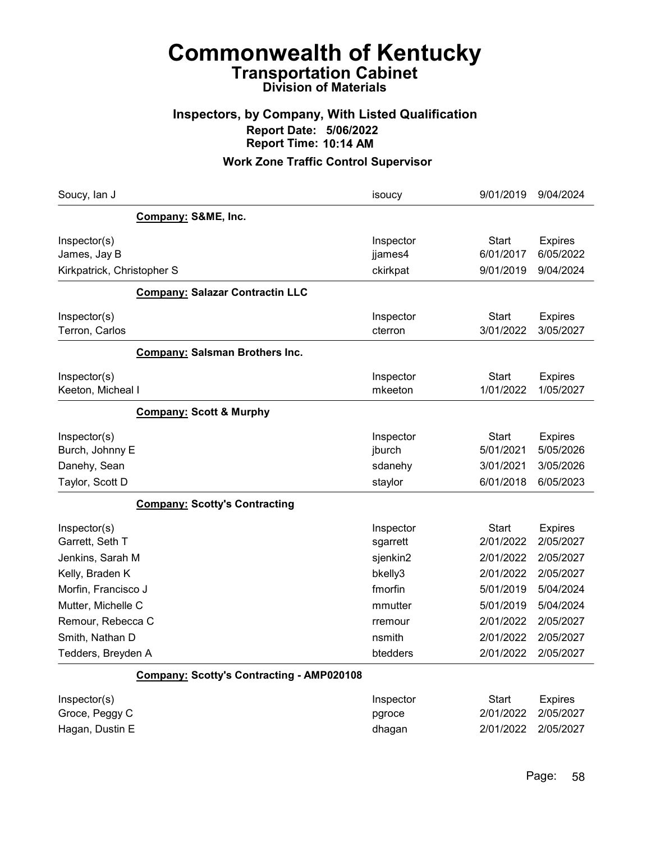#### Inspectors, by Company, With Listed Qualification Report Date: 5/06/2022 Report Time: 10:14 AM

| Soucy, lan J                                     | isoucy    | 9/01/2019    | 9/04/2024      |  |
|--------------------------------------------------|-----------|--------------|----------------|--|
| Company: S&ME, Inc.                              |           |              |                |  |
| Inspector(s)                                     | Inspector | <b>Start</b> | <b>Expires</b> |  |
| James, Jay B                                     | jjames4   | 6/01/2017    | 6/05/2022      |  |
| Kirkpatrick, Christopher S                       | ckirkpat  | 9/01/2019    | 9/04/2024      |  |
| <b>Company: Salazar Contractin LLC</b>           |           |              |                |  |
| Inspector(s)                                     | Inspector | <b>Start</b> | <b>Expires</b> |  |
| Terron, Carlos                                   | cterron   | 3/01/2022    | 3/05/2027      |  |
| <b>Company: Salsman Brothers Inc.</b>            |           |              |                |  |
| Inspector(s)                                     | Inspector | <b>Start</b> | <b>Expires</b> |  |
| Keeton, Micheal I                                | mkeeton   | 1/01/2022    | 1/05/2027      |  |
| <b>Company: Scott &amp; Murphy</b>               |           |              |                |  |
| Inspector(s)                                     | Inspector | <b>Start</b> | <b>Expires</b> |  |
| Burch, Johnny E                                  | jburch    | 5/01/2021    | 5/05/2026      |  |
| Danehy, Sean                                     | sdanehy   | 3/01/2021    | 3/05/2026      |  |
| Taylor, Scott D                                  | staylor   | 6/01/2018    | 6/05/2023      |  |
| <b>Company: Scotty's Contracting</b>             |           |              |                |  |
| Inspector(s)                                     | Inspector | <b>Start</b> | <b>Expires</b> |  |
| Garrett, Seth T                                  | sgarrett  | 2/01/2022    | 2/05/2027      |  |
| Jenkins, Sarah M                                 | sjenkin2  | 2/01/2022    | 2/05/2027      |  |
| Kelly, Braden K                                  | bkelly3   | 2/01/2022    | 2/05/2027      |  |
| Morfin, Francisco J                              | fmorfin   | 5/01/2019    | 5/04/2024      |  |
| Mutter, Michelle C                               | mmutter   | 5/01/2019    | 5/04/2024      |  |
| Remour, Rebecca C                                | rremour   | 2/01/2022    | 2/05/2027      |  |
| Smith, Nathan D                                  | nsmith    | 2/01/2022    | 2/05/2027      |  |
| Tedders, Breyden A                               | btedders  | 2/01/2022    | 2/05/2027      |  |
| <b>Company: Scotty's Contracting - AMP020108</b> |           |              |                |  |
| Inspector(s)                                     | Inspector | <b>Start</b> | <b>Expires</b> |  |
| Groce, Peggy C                                   | pgroce    | 2/01/2022    | 2/05/2027      |  |
| Hagan, Dustin E                                  | dhagan    | 2/01/2022    | 2/05/2027      |  |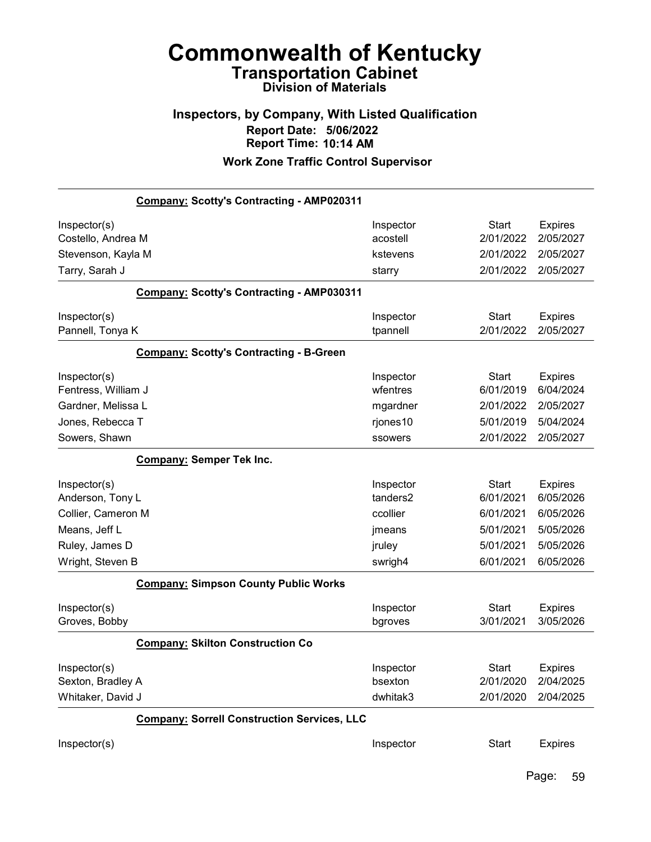### Inspectors, by Company, With Listed Qualification Report Date: 5/06/2022 Report Time: 10:14 AM

|                                                          | Company: Scotty's Contracting - AMP020311          |                                   |                                        |                                          |
|----------------------------------------------------------|----------------------------------------------------|-----------------------------------|----------------------------------------|------------------------------------------|
| Inspector(s)<br>Costello, Andrea M<br>Stevenson, Kayla M |                                                    | Inspector<br>acostell<br>kstevens | <b>Start</b><br>2/01/2022<br>2/01/2022 | <b>Expires</b><br>2/05/2027<br>2/05/2027 |
| Tarry, Sarah J                                           |                                                    | starry                            | 2/01/2022                              | 2/05/2027                                |
|                                                          |                                                    |                                   |                                        |                                          |
|                                                          | <b>Company: Scotty's Contracting - AMP030311</b>   |                                   |                                        |                                          |
| Inspector(s)<br>Pannell, Tonya K                         |                                                    | Inspector<br>tpannell             | <b>Start</b><br>2/01/2022              | <b>Expires</b><br>2/05/2027              |
|                                                          | <b>Company: Scotty's Contracting - B-Green</b>     |                                   |                                        |                                          |
| Inspector(s)                                             |                                                    | Inspector                         | <b>Start</b>                           | <b>Expires</b>                           |
| Fentress, William J                                      |                                                    | wfentres                          | 6/01/2019                              | 6/04/2024                                |
| Gardner, Melissa L                                       |                                                    | mgardner                          | 2/01/2022                              | 2/05/2027                                |
| Jones, Rebecca T                                         |                                                    | rjones10                          | 5/01/2019                              | 5/04/2024                                |
| Sowers, Shawn                                            |                                                    | ssowers                           | 2/01/2022                              | 2/05/2027                                |
|                                                          | <b>Company: Semper Tek Inc.</b>                    |                                   |                                        |                                          |
| Inspector(s)<br>Anderson, Tony L                         |                                                    | Inspector<br>tanders2             | <b>Start</b><br>6/01/2021              | <b>Expires</b><br>6/05/2026              |
| Collier, Cameron M                                       |                                                    | ccollier                          | 6/01/2021                              | 6/05/2026                                |
| Means, Jeff L                                            |                                                    | jmeans                            | 5/01/2021                              | 5/05/2026                                |
| Ruley, James D                                           |                                                    | jruley                            | 5/01/2021                              | 5/05/2026                                |
| Wright, Steven B                                         |                                                    | swrigh4                           | 6/01/2021                              | 6/05/2026                                |
|                                                          | <b>Company: Simpson County Public Works</b>        |                                   |                                        |                                          |
| Inspector(s)<br>Groves, Bobby                            |                                                    | Inspector<br>bgroves              | <b>Start</b><br>3/01/2021              | <b>Expires</b><br>3/05/2026              |
|                                                          | <b>Company: Skilton Construction Co</b>            |                                   |                                        |                                          |
| Inspector(s)<br>Sexton, Bradley A<br>Whitaker, David J   |                                                    | Inspector<br>bsexton<br>dwhitak3  | <b>Start</b><br>2/01/2020<br>2/01/2020 | <b>Expires</b><br>2/04/2025<br>2/04/2025 |
|                                                          | <b>Company: Sorrell Construction Services, LLC</b> |                                   |                                        |                                          |
| Inspector(s)                                             |                                                    | Inspector                         | <b>Start</b>                           | <b>Expires</b>                           |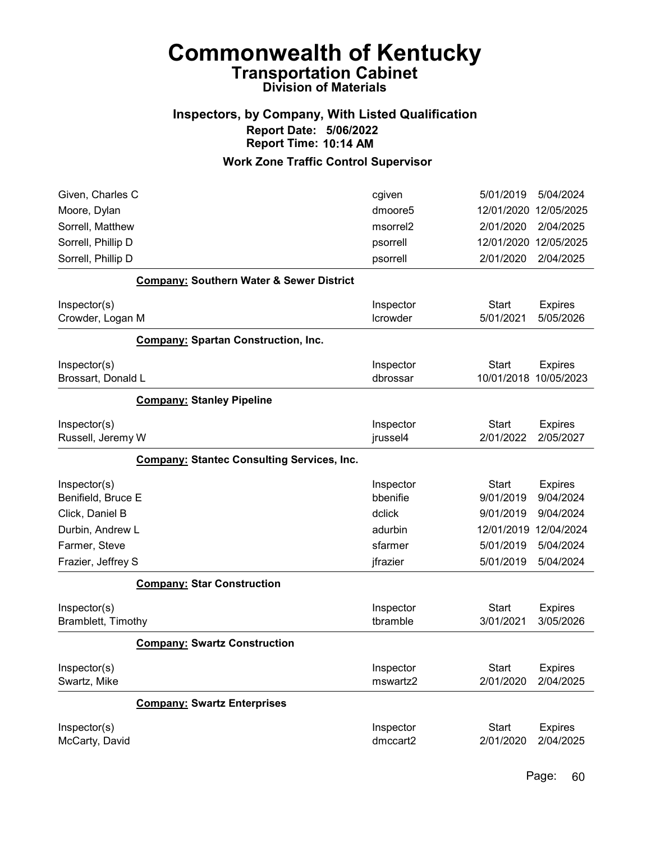#### Inspectors, by Company, With Listed Qualification Report Date: 5/06/2022 Report Time: 10:14 AM

| Given, Charles C   |                                                     | cgiven               | 5/01/2019    | 5/04/2024      |
|--------------------|-----------------------------------------------------|----------------------|--------------|----------------|
| Moore, Dylan       |                                                     | dmoore5              | 12/01/2020   | 12/05/2025     |
| Sorrell, Matthew   |                                                     | msorrel <sub>2</sub> | 2/01/2020    | 2/04/2025      |
| Sorrell, Phillip D |                                                     | psorrell             | 12/01/2020   | 12/05/2025     |
| Sorrell, Phillip D |                                                     | psorrell             | 2/01/2020    | 2/04/2025      |
|                    | <b>Company: Southern Water &amp; Sewer District</b> |                      |              |                |
| Inspector(s)       |                                                     | Inspector            | <b>Start</b> | <b>Expires</b> |
| Crowder, Logan M   |                                                     | Icrowder             | 5/01/2021    | 5/05/2026      |
|                    | <b>Company: Spartan Construction, Inc.</b>          |                      |              |                |
| Inspector(s)       |                                                     | Inspector            | <b>Start</b> | <b>Expires</b> |
| Brossart, Donald L |                                                     | dbrossar             | 10/01/2018   | 10/05/2023     |
|                    | <b>Company: Stanley Pipeline</b>                    |                      |              |                |
| Inspector(s)       |                                                     | Inspector            | <b>Start</b> | <b>Expires</b> |
| Russell, Jeremy W  |                                                     | jrussel4             | 2/01/2022    | 2/05/2027      |
|                    | <b>Company: Stantec Consulting Services, Inc.</b>   |                      |              |                |
| Inspector(s)       |                                                     | Inspector            | <b>Start</b> | <b>Expires</b> |
| Benifield, Bruce E |                                                     | bbenifie             | 9/01/2019    | 9/04/2024      |
| Click, Daniel B    |                                                     | dclick               | 9/01/2019    | 9/04/2024      |
| Durbin, Andrew L   |                                                     | adurbin              | 12/01/2019   | 12/04/2024     |
| Farmer, Steve      |                                                     | sfarmer              | 5/01/2019    | 5/04/2024      |
| Frazier, Jeffrey S |                                                     | jfrazier             | 5/01/2019    | 5/04/2024      |
|                    | <b>Company: Star Construction</b>                   |                      |              |                |
| Inspector(s)       |                                                     | Inspector            | <b>Start</b> | <b>Expires</b> |
| Bramblett, Timothy |                                                     | tbramble             | 3/01/2021    | 3/05/2026      |
|                    | <b>Company: Swartz Construction</b>                 |                      |              |                |
| Inspector(s)       |                                                     | Inspector            | Start        | <b>Expires</b> |
| Swartz, Mike       |                                                     | mswartz2             | 2/01/2020    | 2/04/2025      |
|                    | <b>Company: Swartz Enterprises</b>                  |                      |              |                |
| Inspector(s)       |                                                     | Inspector            | <b>Start</b> | <b>Expires</b> |
| McCarty, David     |                                                     | dmccart2             | 2/01/2020    | 2/04/2025      |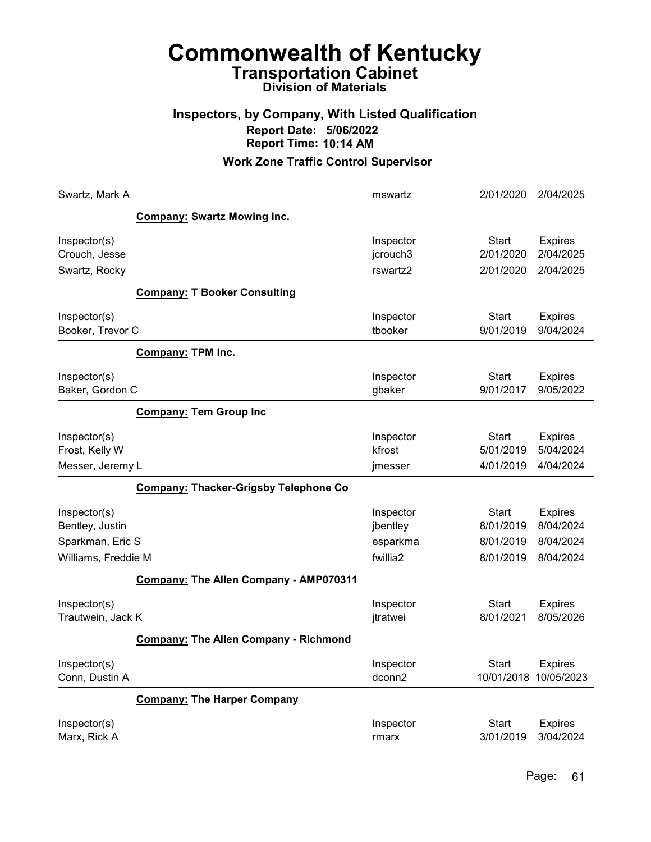#### Inspectors, by Company, With Listed Qualification Report Date: 5/06/2022 Report Time: 10:14 AM

| Swartz, Mark A                                                             |                                              | mswartz                                       | 2/01/2020                                           | 2/04/2025                                             |
|----------------------------------------------------------------------------|----------------------------------------------|-----------------------------------------------|-----------------------------------------------------|-------------------------------------------------------|
|                                                                            | <b>Company: Swartz Mowing Inc.</b>           |                                               |                                                     |                                                       |
| Inspector(s)<br>Crouch, Jesse                                              |                                              | Inspector<br>jcrouch3                         | <b>Start</b><br>2/01/2020                           | <b>Expires</b><br>2/04/2025                           |
| Swartz, Rocky                                                              |                                              | rswartz2                                      | 2/01/2020                                           | 2/04/2025                                             |
|                                                                            | <b>Company: T Booker Consulting</b>          |                                               |                                                     |                                                       |
| Inspector(s)<br>Booker, Trevor C                                           |                                              | Inspector<br>tbooker                          | <b>Start</b><br>9/01/2019                           | <b>Expires</b><br>9/04/2024                           |
|                                                                            | Company: TPM Inc.                            |                                               |                                                     |                                                       |
| Inspector(s)<br>Baker, Gordon C                                            |                                              | Inspector<br>gbaker                           | Start<br>9/01/2017                                  | <b>Expires</b><br>9/05/2022                           |
|                                                                            | <b>Company: Tem Group Inc</b>                |                                               |                                                     |                                                       |
| Inspector(s)<br>Frost, Kelly W                                             |                                              | Inspector<br>kfrost                           | <b>Start</b><br>5/01/2019                           | <b>Expires</b><br>5/04/2024                           |
| Messer, Jeremy L                                                           |                                              | jmesser                                       | 4/01/2019                                           | 4/04/2024                                             |
|                                                                            | <b>Company: Thacker-Grigsby Telephone Co</b> |                                               |                                                     |                                                       |
| Inspector(s)<br>Bentley, Justin<br>Sparkman, Eric S<br>Williams, Freddie M |                                              | Inspector<br>jbentley<br>esparkma<br>fwillia2 | <b>Start</b><br>8/01/2019<br>8/01/2019<br>8/01/2019 | <b>Expires</b><br>8/04/2024<br>8/04/2024<br>8/04/2024 |
|                                                                            | Company: The Allen Company - AMP070311       |                                               |                                                     |                                                       |
| Inspector(s)<br>Trautwein, Jack K                                          |                                              | Inspector<br>jtratwei                         | <b>Start</b><br>8/01/2021                           | <b>Expires</b><br>8/05/2026                           |
|                                                                            | <b>Company: The Allen Company - Richmond</b> |                                               |                                                     |                                                       |
| Inspector(s)<br>Conn, Dustin A                                             |                                              | Inspector<br>dconn2                           | Start<br>10/01/2018 10/05/2023                      | <b>Expires</b>                                        |
|                                                                            | <b>Company: The Harper Company</b>           |                                               |                                                     |                                                       |
| Inspector(s)<br>Marx, Rick A                                               |                                              | Inspector<br>rmarx                            | <b>Start</b><br>3/01/2019                           | <b>Expires</b><br>3/04/2024                           |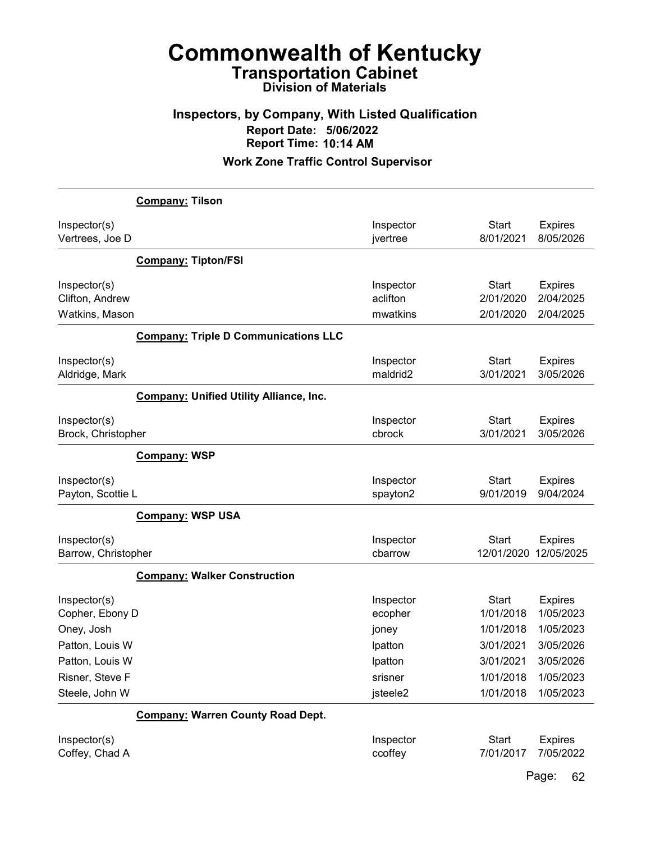#### Inspectors, by Company, With Listed Qualification Report Date: 5/06/2022 Report Time: 10:14 AM

#### Work Zone Traffic Control Supervisor

|                                                   | <b>Company: Tilson</b>                         |                                   |                                        |                                          |
|---------------------------------------------------|------------------------------------------------|-----------------------------------|----------------------------------------|------------------------------------------|
| Inspector(s)<br>Vertrees, Joe D                   |                                                | Inspector<br>jvertree             | <b>Start</b><br>8/01/2021              | <b>Expires</b><br>8/05/2026              |
|                                                   | <b>Company: Tipton/FSI</b>                     |                                   |                                        |                                          |
| Inspector(s)<br>Clifton, Andrew<br>Watkins, Mason |                                                | Inspector<br>aclifton<br>mwatkins | <b>Start</b><br>2/01/2020<br>2/01/2020 | <b>Expires</b><br>2/04/2025<br>2/04/2025 |
|                                                   | <b>Company: Triple D Communications LLC</b>    |                                   |                                        |                                          |
| Inspector(s)<br>Aldridge, Mark                    |                                                | Inspector<br>maldrid2             | <b>Start</b><br>3/01/2021              | <b>Expires</b><br>3/05/2026              |
|                                                   | <b>Company: Unified Utility Alliance, Inc.</b> |                                   |                                        |                                          |
| Inspector(s)<br>Brock, Christopher                |                                                | Inspector<br>cbrock               | <b>Start</b><br>3/01/2021              | <b>Expires</b><br>3/05/2026              |
|                                                   | <b>Company: WSP</b>                            |                                   |                                        |                                          |
| Inspector(s)<br>Payton, Scottie L                 |                                                | Inspector<br>spayton2             | <b>Start</b><br>9/01/2019              | <b>Expires</b><br>9/04/2024              |
|                                                   | <b>Company: WSP USA</b>                        |                                   |                                        |                                          |
| Inspector(s)<br>Barrow, Christopher               |                                                | Inspector<br>cbarrow              | <b>Start</b><br>12/01/2020             | <b>Expires</b><br>12/05/2025             |
|                                                   | <b>Company: Walker Construction</b>            |                                   |                                        |                                          |
| Inspector(s)<br>Copher, Ebony D<br>Oney, Josh     |                                                | Inspector<br>ecopher<br>joney     | <b>Start</b><br>1/01/2018<br>1/01/2018 | <b>Expires</b><br>1/05/2023<br>1/05/2023 |
| Patton, Louis W                                   |                                                | Ipatton                           | 3/01/2021                              | 3/05/2026                                |
| Patton, Louis W                                   |                                                | Ipatton                           | 3/01/2021                              | 3/05/2026                                |
| Risner, Steve F<br>Steele, John W                 |                                                | srisner<br>jsteele2               | 1/01/2018<br>1/01/2018                 | 1/05/2023<br>1/05/2023                   |
|                                                   | <b>Company: Warren County Road Dept.</b>       |                                   |                                        |                                          |
| Inspector(s)<br>Coffey, Chad A                    |                                                | Inspector<br>ccoffey              | <b>Start</b><br>7/01/2017              | <b>Expires</b><br>7/05/2022              |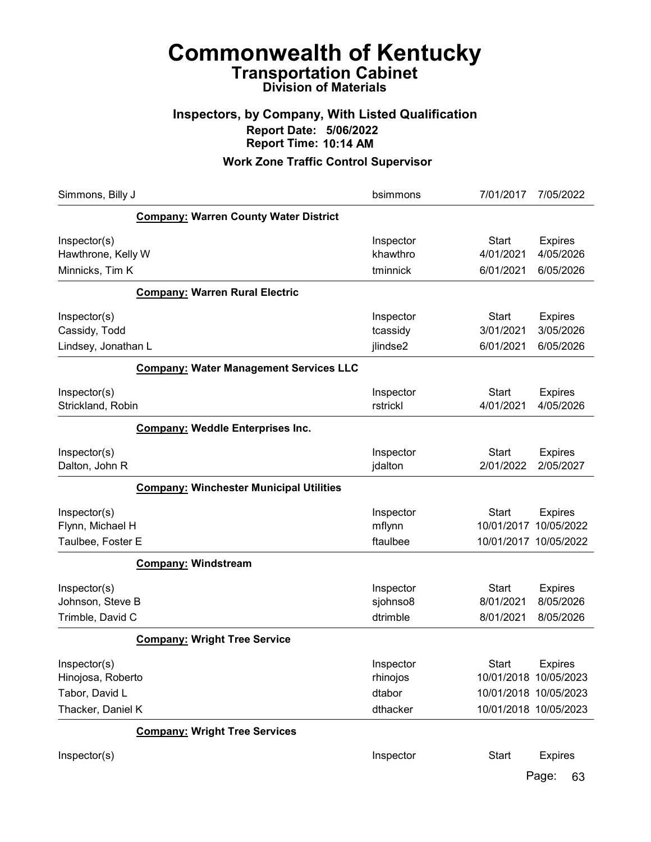#### Inspectors, by Company, With Listed Qualification Report Date: 5/06/2022 Report Time: 10:14 AM

#### Work Zone Traffic Control Supervisor

| Simmons, Billy J                                                         |                                                | bsimmons                                    | 7/01/2017                              | 7/05/2022                                                                                 |
|--------------------------------------------------------------------------|------------------------------------------------|---------------------------------------------|----------------------------------------|-------------------------------------------------------------------------------------------|
|                                                                          | <b>Company: Warren County Water District</b>   |                                             |                                        |                                                                                           |
| Inspector(s)<br>Hawthrone, Kelly W<br>Minnicks, Tim K                    |                                                | Inspector<br>khawthro<br>tminnick           | <b>Start</b><br>4/01/2021<br>6/01/2021 | <b>Expires</b><br>4/05/2026<br>6/05/2026                                                  |
|                                                                          | <b>Company: Warren Rural Electric</b>          |                                             |                                        |                                                                                           |
| Inspector(s)<br>Cassidy, Todd<br>Lindsey, Jonathan L                     |                                                | Inspector<br>tcassidy<br>jlindse2           | <b>Start</b><br>3/01/2021<br>6/01/2021 | <b>Expires</b><br>3/05/2026<br>6/05/2026                                                  |
|                                                                          | <b>Company: Water Management Services LLC</b>  |                                             |                                        |                                                                                           |
| Inspector(s)<br>Strickland, Robin                                        |                                                | Inspector<br>rstrickl                       | <b>Start</b><br>4/01/2021              | <b>Expires</b><br>4/05/2026                                                               |
|                                                                          | <b>Company: Weddle Enterprises Inc.</b>        |                                             |                                        |                                                                                           |
| Inspector(s)<br>Dalton, John R                                           |                                                | Inspector<br>jdalton                        | <b>Start</b><br>2/01/2022              | <b>Expires</b><br>2/05/2027                                                               |
|                                                                          | <b>Company: Winchester Municipal Utilities</b> |                                             |                                        |                                                                                           |
| Inspector(s)<br>Flynn, Michael H<br>Taulbee, Foster E                    |                                                | Inspector<br>mflynn<br>ftaulbee             | <b>Start</b><br>10/01/2017             | <b>Expires</b><br>10/05/2022<br>10/01/2017 10/05/2022                                     |
|                                                                          | <b>Company: Windstream</b>                     |                                             |                                        |                                                                                           |
| Inspector(s)<br>Johnson, Steve B<br>Trimble, David C                     |                                                | Inspector<br>sjohnso8<br>dtrimble           | <b>Start</b><br>8/01/2021<br>8/01/2021 | <b>Expires</b><br>8/05/2026<br>8/05/2026                                                  |
|                                                                          | <b>Company: Wright Tree Service</b>            |                                             |                                        |                                                                                           |
| Inspector(s)<br>Hinojosa, Roberto<br>Tabor, David L<br>Thacker, Daniel K |                                                | Inspector<br>rhinojos<br>dtabor<br>dthacker | Start                                  | <b>Expires</b><br>10/01/2018 10/05/2023<br>10/01/2018 10/05/2023<br>10/01/2018 10/05/2023 |
|                                                                          | <b>Company: Wright Tree Services</b>           |                                             |                                        |                                                                                           |
| Inspector(s)                                                             |                                                | Inspector                                   | <b>Start</b>                           | <b>Expires</b>                                                                            |